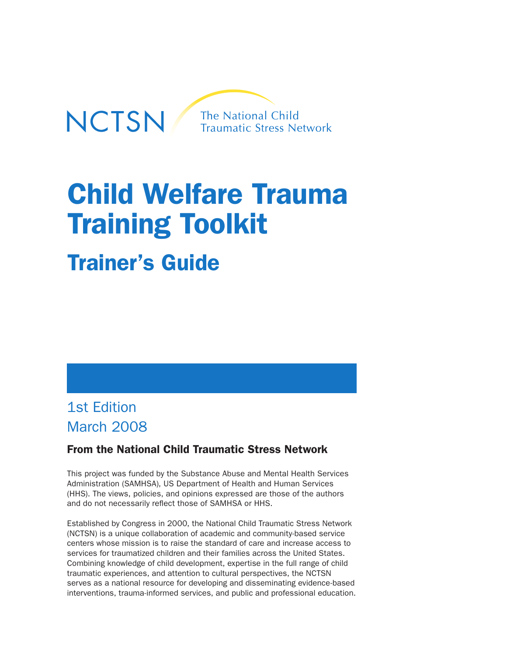

# Child Welfare Trauma Training Toolkit

## Trainer's Guide

## 1st Edition March 2008

## From the National Child Traumatic Stress Network

This project was funded by the Substance Abuse and Mental Health Services Administration (SAMHSA), US Department of Health and Human Services (HHS). The views, policies, and opinions expressed are those of the authors and do not necessarily reflect those of SAMHSA or HHS.

Established by Congress in 2000, the National Child Traumatic Stress Network (NCTSN) is a unique collaboration of academic and community-based service centers whose mission is to raise the standard of care and increase access to services for traumatized children and their families across the United States. Combining knowledge of child development, expertise in the full range of child traumatic experiences, and attention to cultural perspectives, the NCTSN serves as a national resource for developing and disseminating evidence-based interventions, trauma-informed services, and public and professional education.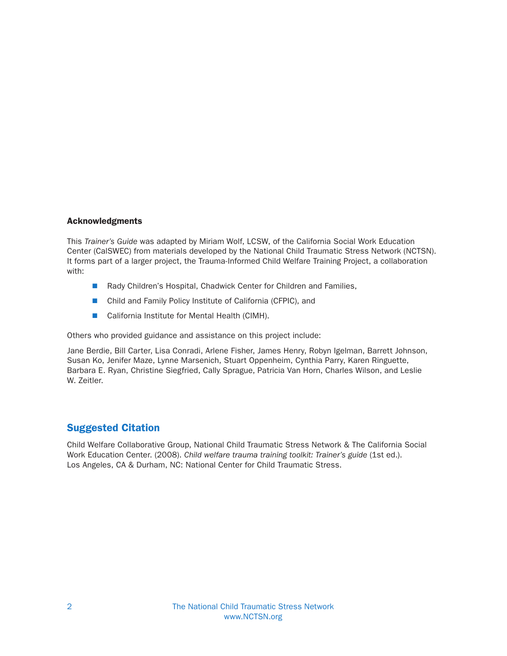#### Acknowledgments

This Trainer's Guide was adapted by Miriam Wolf, LCSW, of the California Social Work Education Center (CalSWEC) from materials developed by the National Child Traumatic Stress Network (NCTSN). It forms part of a larger project, the Trauma-Informed Child Welfare Training Project, a collaboration with:

- Rady Children's Hospital, Chadwick Center for Children and Families,
- Child and Family Policy Institute of California (CFPIC), and
- California Institute for Mental Health (CIMH).

Others who provided guidance and assistance on this project include:

Jane Berdie, Bill Carter, Lisa Conradi, Arlene Fisher, James Henry, Robyn Igelman, Barrett Johnson, Susan Ko, Jenifer Maze, Lynne Marsenich, Stuart Oppenheim, Cynthia Parry, Karen Ringuette, Barbara E. Ryan, Christine Siegfried, Cally Sprague, Patricia Van Horn, Charles Wilson, and Leslie W. Zeitler.

## Suggested Citation

Child Welfare Collaborative Group, National Child Traumatic Stress Network & The California Social Work Education Center. (2008). Child welfare trauma training toolkit: Trainer's guide (1st ed.). Los Angeles, CA & Durham, NC: National Center for Child Traumatic Stress.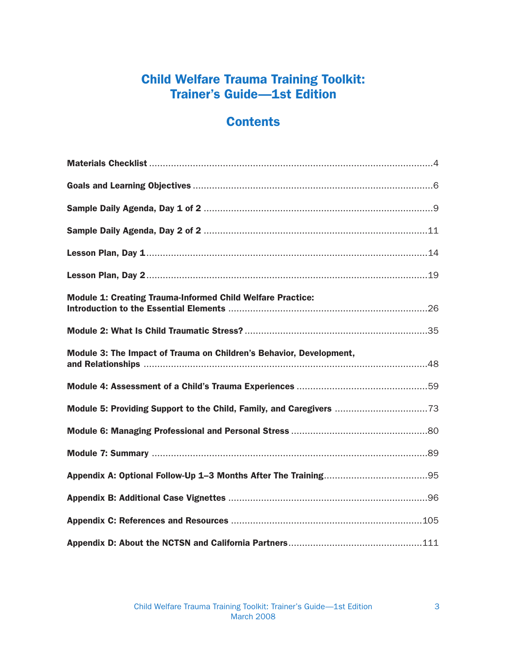## Child Welfare Trauma Training Toolkit: Trainer's Guide—1st Edition

## **Contents**

| <b>Module 1: Creating Trauma-Informed Child Welfare Practice:</b>   |  |
|---------------------------------------------------------------------|--|
|                                                                     |  |
| Module 3: The Impact of Trauma on Children's Behavior, Development, |  |
|                                                                     |  |
|                                                                     |  |
|                                                                     |  |
|                                                                     |  |
|                                                                     |  |
|                                                                     |  |
|                                                                     |  |
|                                                                     |  |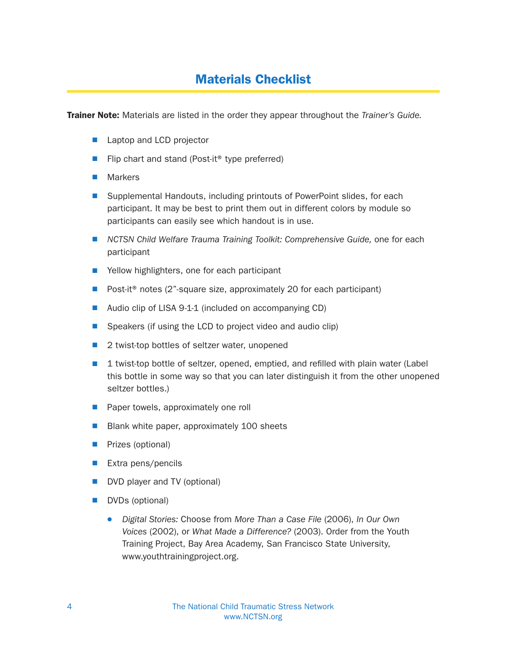## Materials Checklist

**Trainer Note:** Materials are listed in the order they appear throughout the *Trainer's Guide.* 

- **E** Laptop and LCD projector
- Flip chart and stand (Post-it<sup>®</sup> type preferred)
- $\blacksquare$  Markers
- Supplemental Handouts, including printouts of PowerPoint slides, for each participant. It may be best to print them out in different colors by module so participants can easily see which handout is in use.
- **NCTSN Child Welfare Trauma Training Toolkit: Comprehensive Guide, one for each** participant
- Yellow highlighters, one for each participant
- $\blacksquare$  Post-it<sup>®</sup> notes (2"-square size, approximately 20 for each participant)
- $\blacksquare$  Audio clip of LISA 9-1-1 (included on accompanying CD)
- $\blacksquare$  Speakers (if using the LCD to project video and audio clip)
- $\blacksquare$  2 twist-top bottles of seltzer water, unopened
- $\blacksquare$  1 twist-top bottle of seltzer, opened, emptied, and refilled with plain water (Label this bottle in some way so that you can later distinguish it from the other unopened seltzer bottles.)
- **Paper towels, approximately one roll**
- $\blacksquare$  Blank white paper, approximately 100 sheets
- **N** Prizes (optional)
- $\blacksquare$  Extra pens/pencils
- DVD player and TV (optional)
- DVDs (optional)
	- Digital Stories: Choose from More Than a Case File (2006), In Our Own Voices (2002), or What Made a Difference? (2003). Order from the Youth Training Project, Bay Area Academy, San Francisco State University, www.youthtrainingproject.org.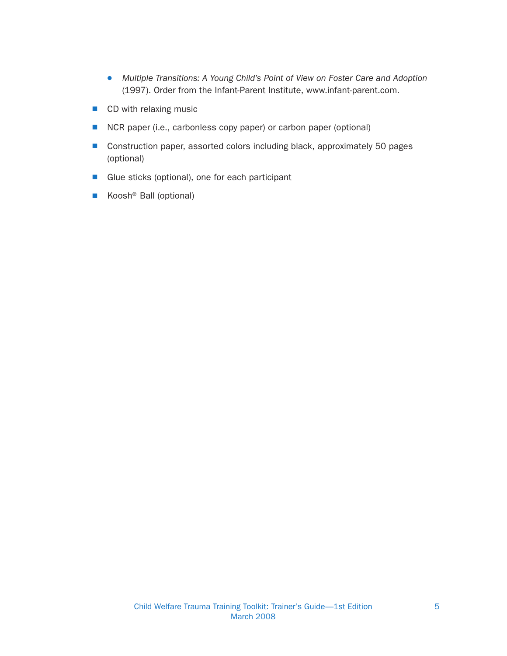- Multiple Transitions: A Young Child's Point of View on Foster Care and Adoption (1997). Order from the Infant-Parent Institute, www.infant-parent.com.
- $\blacksquare$  CD with relaxing music
- NCR paper (i.e., carbonless copy paper) or carbon paper (optional)
- Construction paper, assorted colors including black, approximately 50 pages (optional)
- Glue sticks (optional), one for each participant
- Koosh<sup>®</sup> Ball (optional)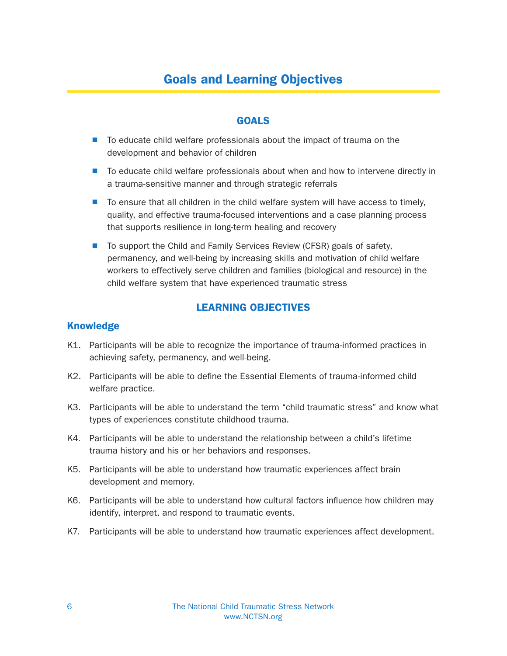## Goals and Learning Objectives

## GOALS

- To educate child welfare professionals about the impact of trauma on the development and behavior of children
- To educate child welfare professionals about when and how to intervene directly in a trauma-sensitive manner and through strategic referrals
- $\blacksquare$  To ensure that all children in the child welfare system will have access to timely, quality, and effective trauma-focused interventions and a case planning process that supports resilience in long-term healing and recovery
- To support the Child and Family Services Review (CFSR) goals of safety, permanency, and well-being by increasing skills and motivation of child welfare workers to effectively serve children and families (biological and resource) in the child welfare system that have experienced traumatic stress

## LEARNING OBJECTIVES

#### Knowledge

- K1. Participants will be able to recognize the importance of trauma-informed practices in achieving safety, permanency, and well-being.
- K2. Participants will be able to define the Essential Elements of trauma-informed child welfare practice.
- K3. Participants will be able to understand the term "child traumatic stress" and know what types of experiences constitute childhood trauma.
- K4. Participants will be able to understand the relationship between a child's lifetime trauma history and his or her behaviors and responses.
- K5. Participants will be able to understand how traumatic experiences affect brain development and memory.
- K6. Participants will be able to understand how cultural factors influence how children may identify, interpret, and respond to traumatic events.
- K7. Participants will be able to understand how traumatic experiences affect development.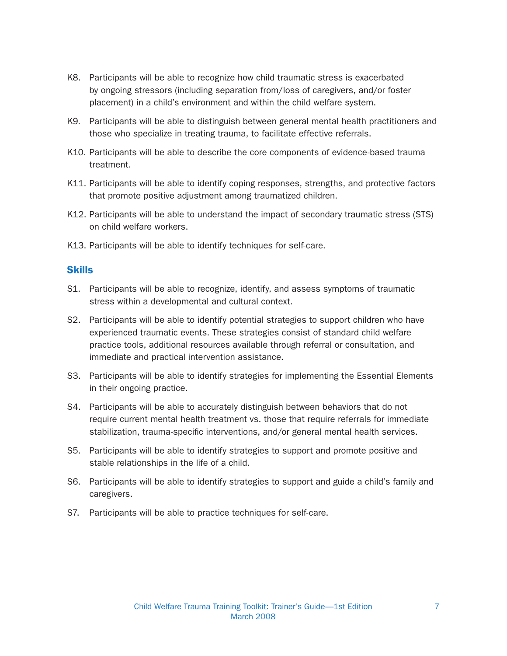- K8. Participants will be able to recognize how child traumatic stress is exacerbated by ongoing stressors (including separation from/loss of caregivers, and/or foster placement) in a child's environment and within the child welfare system.
- K9. Participants will be able to distinguish between general mental health practitioners and those who specialize in treating trauma, to facilitate effective referrals.
- K10. Participants will be able to describe the core components of evidence-based trauma treatment.
- K11. Participants will be able to identify coping responses, strengths, and protective factors that promote positive adjustment among traumatized children.
- K12. Participants will be able to understand the impact of secondary traumatic stress (STS) on child welfare workers.
- K13. Participants will be able to identify techniques for self-care.

#### **Skills**

- S1. Participants will be able to recognize, identify, and assess symptoms of traumatic stress within a developmental and cultural context.
- S2. Participants will be able to identify potential strategies to support children who have experienced traumatic events. These strategies consist of standard child welfare practice tools, additional resources available through referral or consultation, and immediate and practical intervention assistance.
- S3. Participants will be able to identify strategies for implementing the Essential Elements in their ongoing practice.
- S4. Participants will be able to accurately distinguish between behaviors that do not require current mental health treatment vs. those that require referrals for immediate stabilization, trauma-specific interventions, and/or general mental health services.
- S5. Participants will be able to identify strategies to support and promote positive and stable relationships in the life of a child.
- S6. Participants will be able to identify strategies to support and guide a child's family and caregivers.
- S7. Participants will be able to practice techniques for self-care.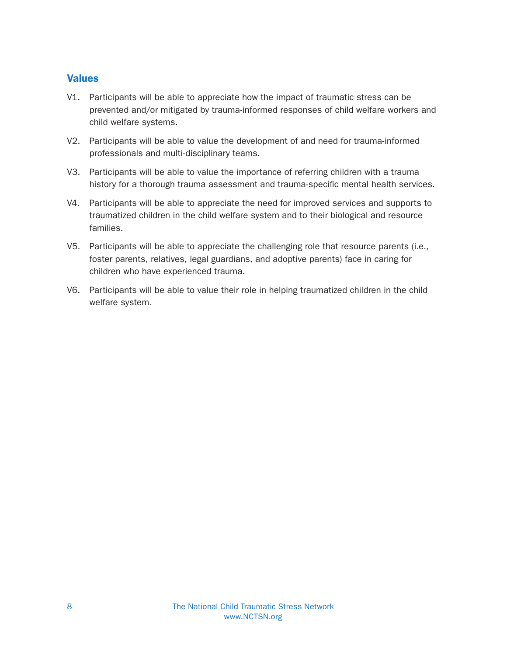## **Values**

- V1. Participants will be able to appreciate how the impact of traumatic stress can be prevented and/or mitigated by trauma-informed responses of child welfare workers and child welfare systems.
- V2. Participants will be able to value the development of and need for trauma-informed professionals and multi-disciplinary teams.
- V3. Participants will be able to value the importance of referring children with a trauma history for a thorough trauma assessment and trauma-specific mental health services.
- V4. Participants will be able to appreciate the need for improved services and supports to traumatized children in the child welfare system and to their biological and resource families.
- V5. Participants will be able to appreciate the challenging role that resource parents (i.e., foster parents, relatives, legal guardians, and adoptive parents) face in caring for children who have experienced trauma.
- V6. Participants will be able to value their role in helping traumatized children in the child welfare system.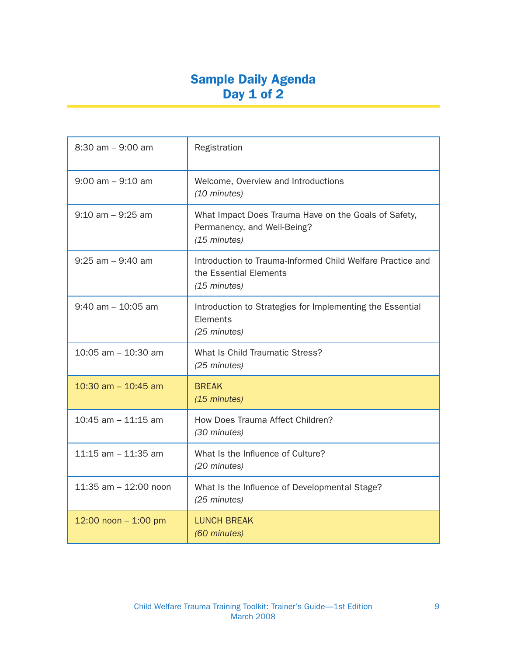## Sample Daily Agenda Day 1 of 2

| $8:30$ am $-9:00$ am     | Registration                                                                                         |
|--------------------------|------------------------------------------------------------------------------------------------------|
| $9:00$ am $-9:10$ am     | Welcome, Overview and Introductions<br>(10 minutes)                                                  |
| $9:10$ am $-9:25$ am     | What Impact Does Trauma Have on the Goals of Safety,<br>Permanency, and Well-Being?<br>(15 minutes)  |
| $9:25$ am $-9:40$ am     | Introduction to Trauma-Informed Child Welfare Practice and<br>the Essential Elements<br>(15 minutes) |
| $9:40$ am $-10:05$ am    | Introduction to Strategies for Implementing the Essential<br>Elements<br>(25 minutes)                |
| $10:05$ am $- 10:30$ am  | What Is Child Traumatic Stress?<br>(25 minutes)                                                      |
| 10:30 am $-$ 10:45 am    | <b>BREAK</b><br>(15 minutes)                                                                         |
| $10:45$ am $-11:15$ am   | How Does Trauma Affect Children?<br>(30 minutes)                                                     |
| $11:15$ am $-11:35$ am   | What Is the Influence of Culture?<br>(20 minutes)                                                    |
| $11:35$ am $-12:00$ noon | What Is the Influence of Developmental Stage?<br>(25 minutes)                                        |
| 12:00 noon $- 1:00$ pm   | <b>LUNCH BREAK</b><br>(60 minutes)                                                                   |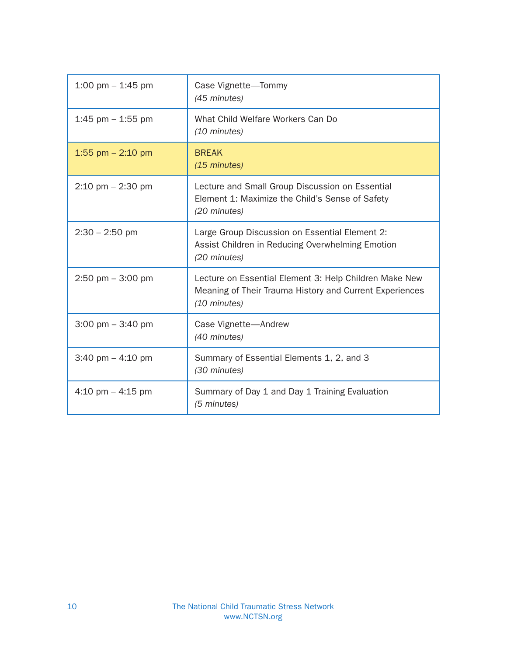| 1:00 pm $-$ 1:45 pm                 | Case Vignette-Tommy<br>(45 minutes)                                                                                               |
|-------------------------------------|-----------------------------------------------------------------------------------------------------------------------------------|
| 1:45 pm $-$ 1:55 pm                 | What Child Welfare Workers Can Do<br>(10 minutes)                                                                                 |
| 1:55 pm $-$ 2:10 pm                 | <b>BREAK</b><br>(15 minutes)                                                                                                      |
| $2:10 \text{ pm} - 2:30 \text{ pm}$ | Lecture and Small Group Discussion on Essential<br>Element 1: Maximize the Child's Sense of Safety<br>(20 minutes)                |
| $2:30 - 2:50$ pm                    | Large Group Discussion on Essential Element 2:<br>Assist Children in Reducing Overwhelming Emotion<br>(20 minutes)                |
| $2:50$ pm $-3:00$ pm                | Lecture on Essential Element 3: Help Children Make New<br>Meaning of Their Trauma History and Current Experiences<br>(10 minutes) |
| $3:00 \text{ pm} - 3:40 \text{ pm}$ | Case Vignette-Andrew<br>(40 minutes)                                                                                              |
| 3:40 pm $-$ 4:10 pm                 | Summary of Essential Elements 1, 2, and 3<br>(30 minutes)                                                                         |
| 4:10 pm $-$ 4:15 pm                 | Summary of Day 1 and Day 1 Training Evaluation<br>(5 minutes)                                                                     |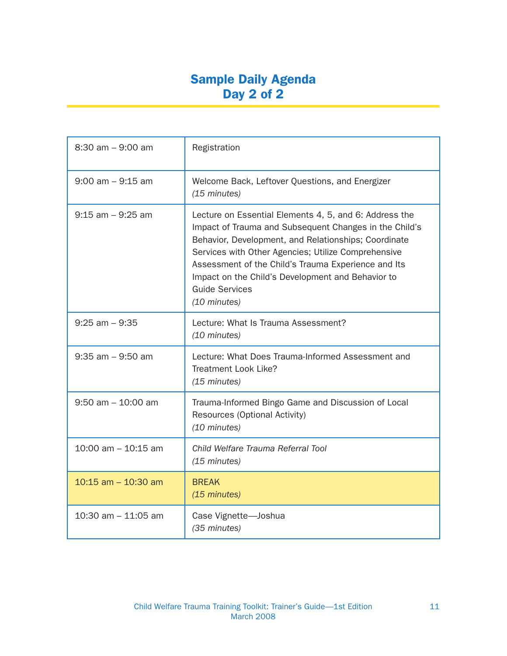## Sample Daily Agenda Day 2 of 2

| $8:30$ am $-9:00$ am    | Registration                                                                                                                                                                                                                                                                                                                                                                         |
|-------------------------|--------------------------------------------------------------------------------------------------------------------------------------------------------------------------------------------------------------------------------------------------------------------------------------------------------------------------------------------------------------------------------------|
| $9:00$ am $-9:15$ am    | Welcome Back, Leftover Questions, and Energizer<br>(15 minutes)                                                                                                                                                                                                                                                                                                                      |
| $9:15$ am $-9:25$ am    | Lecture on Essential Elements 4, 5, and 6: Address the<br>Impact of Trauma and Subsequent Changes in the Child's<br>Behavior, Development, and Relationships; Coordinate<br>Services with Other Agencies; Utilize Comprehensive<br>Assessment of the Child's Trauma Experience and Its<br>Impact on the Child's Development and Behavior to<br><b>Guide Services</b><br>(10 minutes) |
| $9:25$ am $-9:35$       | Lecture: What Is Trauma Assessment?<br>(10 minutes)                                                                                                                                                                                                                                                                                                                                  |
| $9:35$ am $-9:50$ am    | Lecture: What Does Trauma-Informed Assessment and<br>Treatment Look Like?<br>(15 minutes)                                                                                                                                                                                                                                                                                            |
| $9:50$ am $-10:00$ am   | Trauma-Informed Bingo Game and Discussion of Local<br>Resources (Optional Activity)<br>(10 minutes)                                                                                                                                                                                                                                                                                  |
| $10:00$ am $- 10:15$ am | Child Welfare Trauma Referral Tool<br>(15 minutes)                                                                                                                                                                                                                                                                                                                                   |
| $10:15$ am $- 10:30$ am | <b>BREAK</b><br>(15 minutes)                                                                                                                                                                                                                                                                                                                                                         |
| 10:30 am $-$ 11:05 am   | Case Vignette-Joshua<br>(35 minutes)                                                                                                                                                                                                                                                                                                                                                 |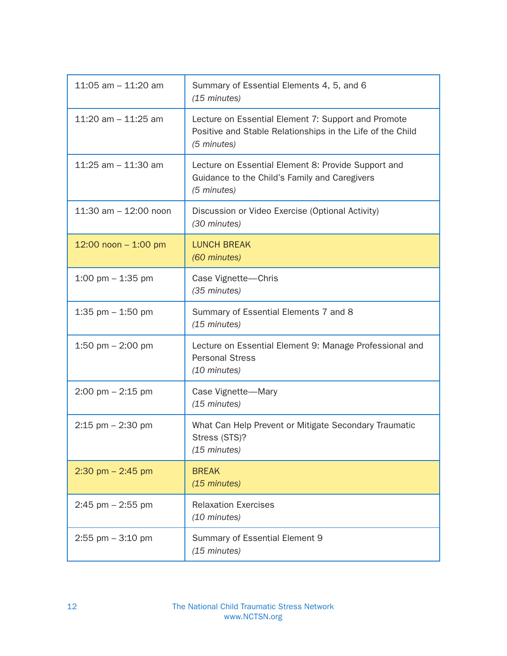| 11:05 am $-$ 11:20 am               | Summary of Essential Elements 4, 5, and 6<br>(15 minutes)                                                                        |  |
|-------------------------------------|----------------------------------------------------------------------------------------------------------------------------------|--|
| 11:20 am $-$ 11:25 am               | Lecture on Essential Element 7: Support and Promote<br>Positive and Stable Relationships in the Life of the Child<br>(5 minutes) |  |
| 11:25 am $-$ 11:30 am               | Lecture on Essential Element 8: Provide Support and<br>Guidance to the Child's Family and Caregivers<br>(5 minutes)              |  |
| $11:30$ am $-12:00$ noon            | Discussion or Video Exercise (Optional Activity)<br>(30 minutes)                                                                 |  |
| 12:00 noon $-$ 1:00 pm              | <b>LUNCH BREAK</b><br>(60 minutes)                                                                                               |  |
| 1:00 pm $-$ 1:35 pm                 | Case Vignette-Chris<br>(35 minutes)                                                                                              |  |
| 1:35 pm $-$ 1:50 pm                 | Summary of Essential Elements 7 and 8<br>(15 minutes)                                                                            |  |
| 1:50 pm $-$ 2:00 pm                 | Lecture on Essential Element 9: Manage Professional and<br><b>Personal Stress</b><br>(10 minutes)                                |  |
| $2:00 \text{ pm} - 2:15 \text{ pm}$ | Case Vignette-Mary<br>(15 minutes)                                                                                               |  |
| $2:15$ pm $-2:30$ pm                | What Can Help Prevent or Mitigate Secondary Traumatic<br>Stress (STS)?<br>(15 minutes)                                           |  |
| $2:30$ pm $- 2:45$ pm               | <b>BREAK</b><br>(15 minutes)                                                                                                     |  |
| $2:45$ pm $- 2:55$ pm               | <b>Relaxation Exercises</b><br>(10 minutes)                                                                                      |  |
| $2:55$ pm $-3:10$ pm                | Summary of Essential Element 9<br>(15 minutes)                                                                                   |  |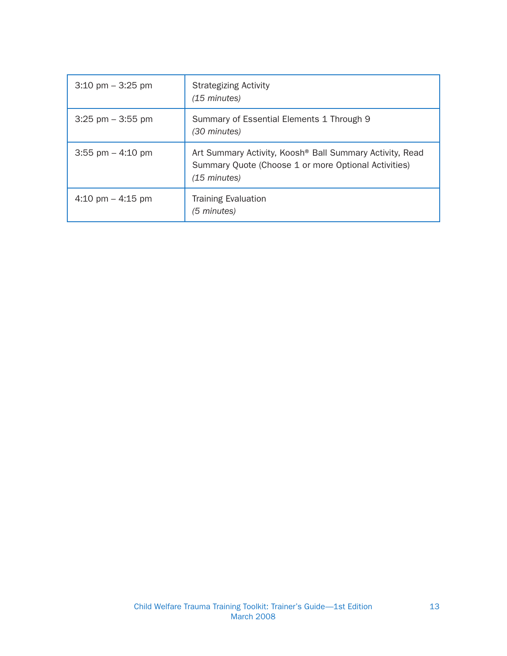| $3:10 \text{ pm} - 3:25 \text{ pm}$ | <b>Strategizing Activity</b><br>(15 minutes)                                                                                                   |
|-------------------------------------|------------------------------------------------------------------------------------------------------------------------------------------------|
| $3:25$ pm $-3:55$ pm                | Summary of Essential Elements 1 Through 9<br>(30 minutes)                                                                                      |
| $3:55$ pm $-4:10$ pm                | Art Summary Activity, Koosh <sup>®</sup> Ball Summary Activity, Read<br>Summary Quote (Choose 1 or more Optional Activities)<br>$(15$ minutes) |
| $4:10 \text{ pm} - 4:15 \text{ pm}$ | <b>Training Evaluation</b><br>(5 minutes)                                                                                                      |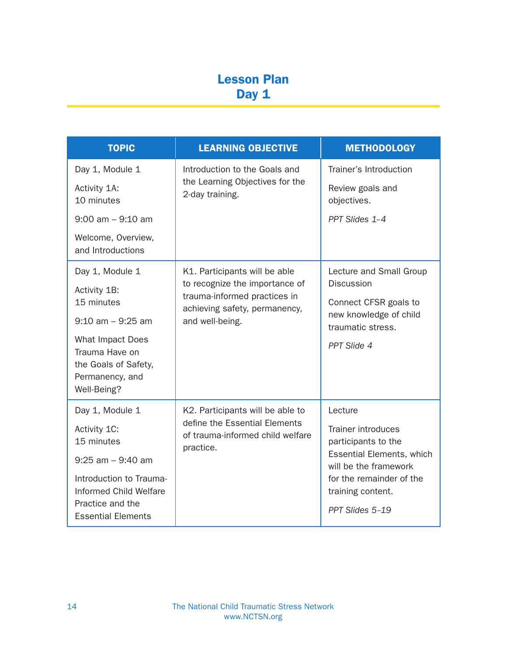## Lesson Plan Day 1

| <b>TOPIC</b>                               | <b>LEARNING OBJECTIVE</b>                                                                                          | <b>METHODOLOGY</b>                                 |
|--------------------------------------------|--------------------------------------------------------------------------------------------------------------------|----------------------------------------------------|
| Day 1, Module 1                            | Introduction to the Goals and<br>the Learning Objectives for the<br>2-day training.                                | Trainer's Introduction                             |
| Activity 1A:<br>10 minutes                 |                                                                                                                    |                                                    |
| $9:00$ am $-9:10$ am                       |                                                                                                                    | PPT Slides 1-4                                     |
| Welcome, Overview,<br>and Introductions    |                                                                                                                    |                                                    |
| Day 1, Module 1                            | K1. Participants will be able                                                                                      | Lecture and Small Group                            |
| Activity 1B:                               | to recognize the importance of<br>trauma-informed practices in<br>achieving safety, permanency,<br>and well-being. | <b>Discussion</b>                                  |
| 15 minutes                                 |                                                                                                                    | Connect CFSR goals to<br>new knowledge of child    |
| $9:10$ am $-9:25$ am                       |                                                                                                                    | traumatic stress.                                  |
| What Impact Does<br>Trauma Have on         |                                                                                                                    | PPT Slide 4                                        |
| the Goals of Safety,                       |                                                                                                                    |                                                    |
| Permanency, and<br>Well-Being?             |                                                                                                                    |                                                    |
|                                            |                                                                                                                    |                                                    |
| Day 1, Module 1                            | K2. Participants will be able to<br>define the Essential Elements                                                  | Lecture                                            |
| Activity 1C:<br>15 minutes                 | of trauma-informed child welfare<br>practice.                                                                      | Trainer introduces<br>participants to the          |
| $9:25$ am $-9:40$ am                       |                                                                                                                    | Essential Elements, which<br>will be the framework |
| Introduction to Trauma-                    |                                                                                                                    | for the remainder of the                           |
| Informed Child Welfare<br>Practice and the |                                                                                                                    | training content.                                  |
| <b>Essential Elements</b>                  |                                                                                                                    | PPT Slides 5-19                                    |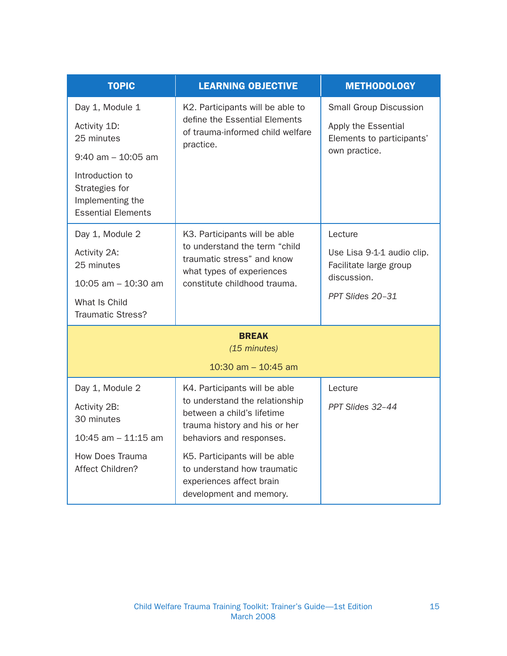| <b>TOPIC</b>                                                                                                                                                 | <b>LEARNING OBJECTIVE</b>                                                                                                                                                                                                                                                         | <b>METHODOLOGY</b>                                                                                 |
|--------------------------------------------------------------------------------------------------------------------------------------------------------------|-----------------------------------------------------------------------------------------------------------------------------------------------------------------------------------------------------------------------------------------------------------------------------------|----------------------------------------------------------------------------------------------------|
| Day 1, Module 1<br>Activity 1D:<br>25 minutes<br>$9:40$ am $-10:05$ am<br>Introduction to<br>Strategies for<br>Implementing the<br><b>Essential Elements</b> | K2. Participants will be able to<br>define the Essential Elements<br>of trauma-informed child welfare<br>practice.                                                                                                                                                                | <b>Small Group Discussion</b><br>Apply the Essential<br>Elements to participants'<br>own practice. |
| Day 1, Module 2<br>Activity 2A:<br>25 minutes<br>$10:05$ am $-10:30$ am<br>What Is Child<br><b>Traumatic Stress?</b>                                         | K3. Participants will be able<br>to understand the term "child<br>traumatic stress" and know<br>what types of experiences<br>constitute childhood trauma.                                                                                                                         | Lecture<br>Use Lisa 9-1-1 audio clip.<br>Facilitate large group<br>discussion.<br>PPT Slides 20-31 |
| <b>BREAK</b><br>(15 minutes)                                                                                                                                 |                                                                                                                                                                                                                                                                                   |                                                                                                    |
|                                                                                                                                                              | 10:30 am $-$ 10:45 am                                                                                                                                                                                                                                                             |                                                                                                    |
| Day 1, Module 2<br>Activity 2B:<br>30 minutes<br>$10:45$ am $-11:15$ am<br><b>How Does Trauma</b><br>Affect Children?                                        | K4. Participants will be able<br>to understand the relationship<br>between a child's lifetime<br>trauma history and his or her<br>behaviors and responses.<br>K5. Participants will be able<br>to understand how traumatic<br>experiences affect brain<br>development and memory. | Lecture<br>PPT Slides 32-44                                                                        |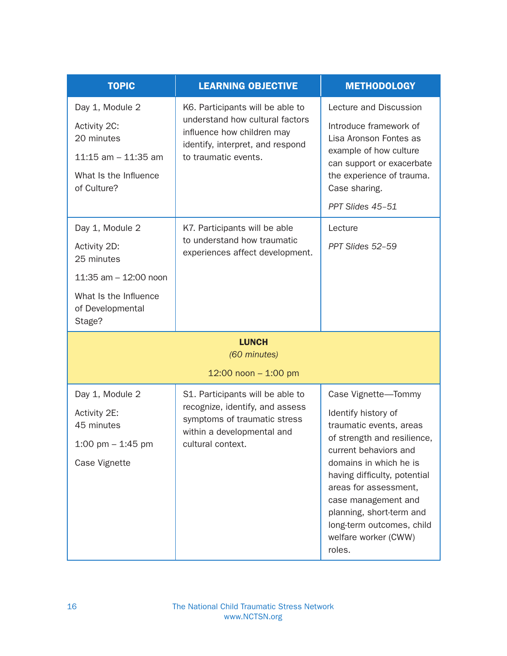| <b>TOPIC</b>                                        | <b>LEARNING OBJECTIVE</b>                                                                                                             | <b>METHODOLOGY</b>                                                                                                                                                                                |
|-----------------------------------------------------|---------------------------------------------------------------------------------------------------------------------------------------|---------------------------------------------------------------------------------------------------------------------------------------------------------------------------------------------------|
| Day 1, Module 2                                     | K6. Participants will be able to<br>understand how cultural factors<br>influence how children may<br>identify, interpret, and respond | Lecture and Discussion                                                                                                                                                                            |
| Activity 2C:<br>20 minutes                          |                                                                                                                                       | Introduce framework of<br>Lisa Aronson Fontes as                                                                                                                                                  |
| $11:15$ am $-11:35$ am                              | to traumatic events.                                                                                                                  | example of how culture<br>can support or exacerbate                                                                                                                                               |
| What Is the Influence<br>of Culture?                |                                                                                                                                       | the experience of trauma.<br>Case sharing.                                                                                                                                                        |
|                                                     |                                                                                                                                       | PPT Slides 45-51                                                                                                                                                                                  |
| Day 1, Module 2                                     | K7. Participants will be able                                                                                                         | Lecture                                                                                                                                                                                           |
| Activity 2D:<br>25 minutes                          | to understand how traumatic<br>experiences affect development.                                                                        | PPT Slides 52-59                                                                                                                                                                                  |
| 11:35 $am - 12:00$ noon                             |                                                                                                                                       |                                                                                                                                                                                                   |
| What Is the Influence<br>of Developmental<br>Stage? |                                                                                                                                       |                                                                                                                                                                                                   |
|                                                     | <b>LUNCH</b>                                                                                                                          |                                                                                                                                                                                                   |
|                                                     | (60 minutes)                                                                                                                          |                                                                                                                                                                                                   |
|                                                     | 12:00 noon - 1:00 pm                                                                                                                  |                                                                                                                                                                                                   |
| Day 1, Module 2                                     | S1. Participants will be able to                                                                                                      | Case Vignette-Tommy                                                                                                                                                                               |
| Activity 2E:<br>45 minutes                          | recognize, identify, and assess<br>symptoms of traumatic stress<br>within a developmental and<br>cultural context.                    | Identify history of<br>traumatic events, areas                                                                                                                                                    |
| 1:00 pm $-$ 1:45 pm                                 |                                                                                                                                       | of strength and resilience,<br>current behaviors and                                                                                                                                              |
| Case Vignette                                       |                                                                                                                                       | domains in which he is<br>having difficulty, potential<br>areas for assessment,<br>case management and<br>planning, short-term and<br>long-term outcomes, child<br>welfare worker (CWW)<br>roles. |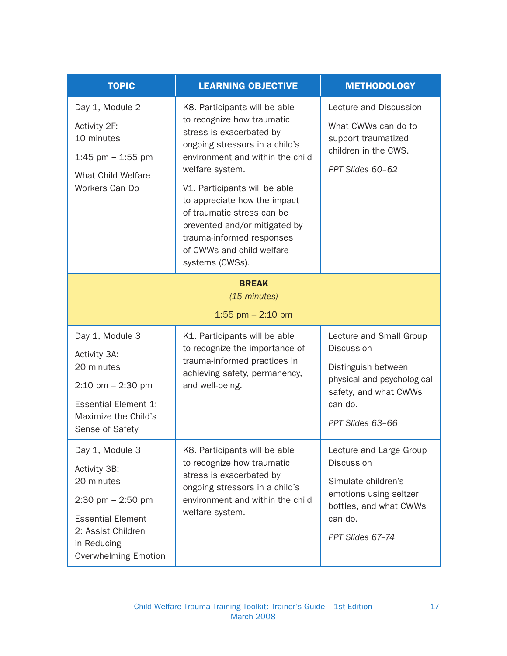| <b>TOPIC</b>                                                                                                                                                         | <b>LEARNING OBJECTIVE</b>                                                                                                                                                                                                                                                                                                                                                                     | <b>METHODOLOGY</b>                                                                                                                                        |
|----------------------------------------------------------------------------------------------------------------------------------------------------------------------|-----------------------------------------------------------------------------------------------------------------------------------------------------------------------------------------------------------------------------------------------------------------------------------------------------------------------------------------------------------------------------------------------|-----------------------------------------------------------------------------------------------------------------------------------------------------------|
| Day 1, Module 2<br>Activity 2F:<br>10 minutes<br>1:45 pm $-$ 1:55 pm<br><b>What Child Welfare</b><br>Workers Can Do                                                  | K8. Participants will be able<br>to recognize how traumatic<br>stress is exacerbated by<br>ongoing stressors in a child's<br>environment and within the child<br>welfare system.<br>V1. Participants will be able<br>to appreciate how the impact<br>of traumatic stress can be<br>prevented and/or mitigated by<br>trauma-informed responses<br>of CWWs and child welfare<br>systems (CWSs). | Lecture and Discussion<br>What CWWs can do to<br>support traumatized<br>children in the CWS.<br>PPT Slides 60-62                                          |
| <b>BREAK</b><br>(15 minutes)<br>1:55 pm $- 2:10$ pm                                                                                                                  |                                                                                                                                                                                                                                                                                                                                                                                               |                                                                                                                                                           |
| Day 1, Module 3<br>Activity 3A:<br>20 minutes<br>$2:10 \text{ pm} - 2:30 \text{ pm}$<br><b>Essential Element 1:</b><br>Maximize the Child's<br>Sense of Safety       | K1. Participants will be able<br>to recognize the importance of<br>trauma-informed practices in<br>achieving safety, permanency,<br>and well-being.                                                                                                                                                                                                                                           | Lecture and Small Group<br><b>Discussion</b><br>Distinguish between<br>physical and psychological<br>safety, and what CWWs<br>can do.<br>PPT Slides 63-66 |
| Day 1, Module 3<br>Activity 3B:<br>20 minutes<br>2:30 pm $-$ 2:50 pm<br><b>Essential Element</b><br>2: Assist Children<br>in Reducing<br><b>Overwhelming Emotion</b> | K8. Participants will be able<br>to recognize how traumatic<br>stress is exacerbated by<br>ongoing stressors in a child's<br>environment and within the child<br>welfare system.                                                                                                                                                                                                              | Lecture and Large Group<br>Discussion<br>Simulate children's<br>emotions using seltzer<br>bottles, and what CWWs<br>can do.<br>PPT Slides 67-74           |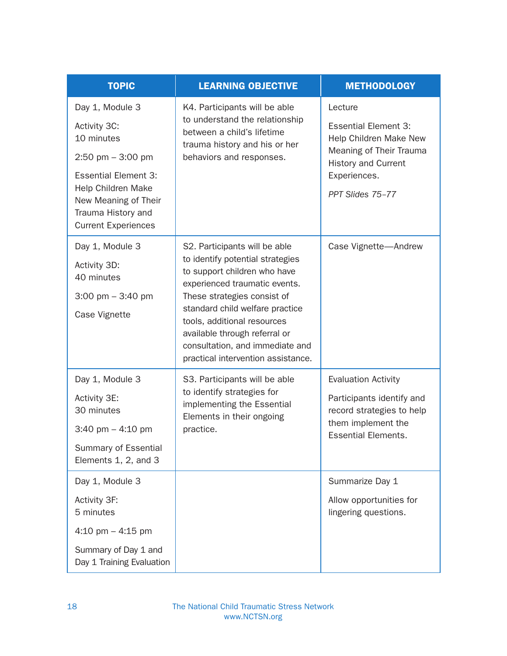| <b>TOPIC</b>                                                                                                                                                                                                  | <b>LEARNING OBJECTIVE</b>                                                                                                                                                                                                                                                                                                                     | <b>METHODOLOGY</b>                                                                                                                                            |
|---------------------------------------------------------------------------------------------------------------------------------------------------------------------------------------------------------------|-----------------------------------------------------------------------------------------------------------------------------------------------------------------------------------------------------------------------------------------------------------------------------------------------------------------------------------------------|---------------------------------------------------------------------------------------------------------------------------------------------------------------|
| Day 1, Module 3<br>Activity 3C:<br>10 minutes<br>$2:50$ pm $-3:00$ pm<br><b>Essential Element 3:</b><br><b>Help Children Make</b><br>New Meaning of Their<br>Trauma History and<br><b>Current Experiences</b> | K4. Participants will be able<br>to understand the relationship<br>between a child's lifetime<br>trauma history and his or her<br>behaviors and responses.                                                                                                                                                                                    | Lecture<br><b>Essential Element 3:</b><br>Help Children Make New<br>Meaning of Their Trauma<br><b>History and Current</b><br>Experiences.<br>PPT Slides 75-77 |
| Day 1, Module 3<br>Activity 3D:<br>40 minutes<br>$3:00 \text{ pm} - 3:40 \text{ pm}$<br>Case Vignette                                                                                                         | S2. Participants will be able<br>to identify potential strategies<br>to support children who have<br>experienced traumatic events.<br>These strategies consist of<br>standard child welfare practice<br>tools, additional resources<br>available through referral or<br>consultation, and immediate and<br>practical intervention assistance. | Case Vignette-Andrew                                                                                                                                          |
| Day 1, Module 3<br>Activity 3E:<br>30 minutes<br>3:40 pm $-$ 4:10 pm<br>Summary of Essential<br>Elements 1, 2, and 3                                                                                          | S3. Participants will be able<br>to identify strategies for<br>implementing the Essential<br>Elements in their ongoing<br>practice.                                                                                                                                                                                                           | <b>Evaluation Activity</b><br>Participants identify and<br>record strategies to help<br>them implement the<br><b>Essential Elements.</b>                      |
| Day 1, Module 3<br>Activity 3F:<br>5 minutes<br>4:10 pm $-$ 4:15 pm<br>Summary of Day 1 and<br>Day 1 Training Evaluation                                                                                      |                                                                                                                                                                                                                                                                                                                                               | Summarize Day 1<br>Allow opportunities for<br>lingering questions.                                                                                            |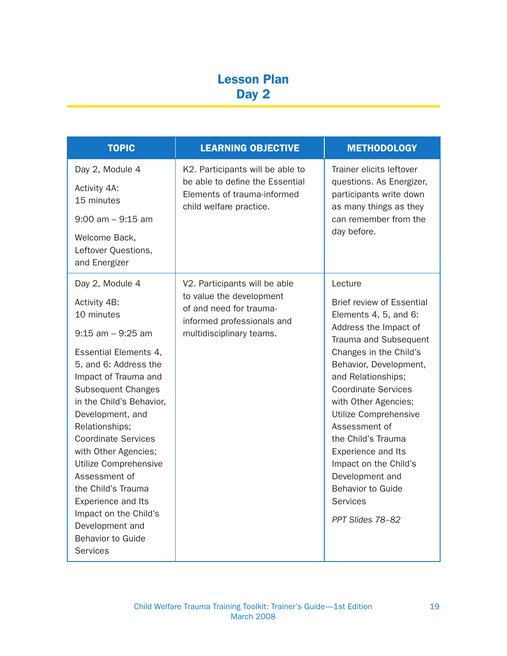## Lesson Plan Day 2

| <b>TOPIC</b>                                                                                                                                                                                                                                                                                                                                                         | <b>LEARNING OBJECTIVE</b>                                                                                                     | <b>METHODOLOGY</b>                                                                                                                                                                                                                                                                                                                |
|----------------------------------------------------------------------------------------------------------------------------------------------------------------------------------------------------------------------------------------------------------------------------------------------------------------------------------------------------------------------|-------------------------------------------------------------------------------------------------------------------------------|-----------------------------------------------------------------------------------------------------------------------------------------------------------------------------------------------------------------------------------------------------------------------------------------------------------------------------------|
| Day 2, Module 4<br>Activity 4A:<br>15 minutes<br>$9:00$ am $-9:15$ am<br>Welcome Back,<br>Leftover Questions,<br>and Energizer                                                                                                                                                                                                                                       | K2. Participants will be able to<br>be able to define the Essential<br>Elements of trauma-informed<br>child welfare practice. | Trainer elicits leftover<br>questions. As Energizer,<br>participants write down<br>as many things as they<br>can remember from the<br>day before.                                                                                                                                                                                 |
| Day 2, Module 4                                                                                                                                                                                                                                                                                                                                                      | V2. Participants will be able<br>to value the development                                                                     | Lecture                                                                                                                                                                                                                                                                                                                           |
| Activity 4B:<br>10 minutes                                                                                                                                                                                                                                                                                                                                           | of and need for trauma-<br>informed professionals and                                                                         | <b>Brief review of Essential</b><br>Elements 4, 5, and 6:                                                                                                                                                                                                                                                                         |
| $9:15$ am $-9:25$ am                                                                                                                                                                                                                                                                                                                                                 | multidisciplinary teams.                                                                                                      | Address the Impact of<br>Trauma and Subsequent                                                                                                                                                                                                                                                                                    |
| Essential Elements 4,<br>5, and 6: Address the<br>Impact of Trauma and<br><b>Subsequent Changes</b><br>in the Child's Behavior,<br>Development, and<br>Relationships;<br><b>Coordinate Services</b><br>with Other Agencies;<br>Utilize Comprehensive<br>Assessment of<br>the Child's Trauma<br><b>Experience and Its</b><br>Impact on the Child's<br>Development and |                                                                                                                               | Changes in the Child's<br>Behavior, Development,<br>and Relationships;<br><b>Coordinate Services</b><br>with Other Agencies;<br>Utilize Comprehensive<br>Assessment of<br>the Child's Trauma<br><b>Experience and Its</b><br>Impact on the Child's<br>Development and<br><b>Behavior to Guide</b><br>Services<br>PPT Slides 78-82 |
| <b>Behavior to Guide</b><br><b>Services</b>                                                                                                                                                                                                                                                                                                                          |                                                                                                                               |                                                                                                                                                                                                                                                                                                                                   |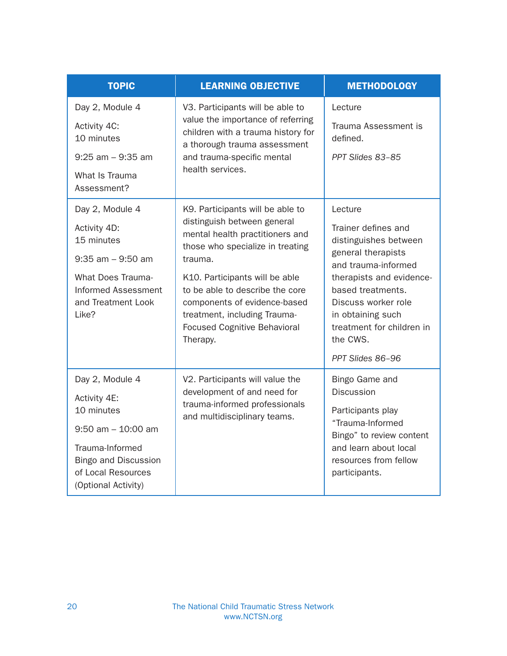| <b>TOPIC</b>                                                             | <b>LEARNING OBJECTIVE</b>                                                                                                                                                                     | <b>METHODOLOGY</b>                                         |
|--------------------------------------------------------------------------|-----------------------------------------------------------------------------------------------------------------------------------------------------------------------------------------------|------------------------------------------------------------|
| Day 2, Module 4                                                          | V3. Participants will be able to<br>value the importance of referring<br>children with a trauma history for<br>a thorough trauma assessment<br>and trauma-specific mental<br>health services. | Lecture                                                    |
| Activity 4C:<br>10 minutes                                               |                                                                                                                                                                                               | Trauma Assessment is<br>defined.                           |
| $9:25$ am $-9:35$ am                                                     |                                                                                                                                                                                               | PPT Slides 83-85                                           |
| What Is Trauma<br>Assessment?                                            |                                                                                                                                                                                               |                                                            |
| Day 2, Module 4                                                          | K9. Participants will be able to                                                                                                                                                              | Lecture                                                    |
| Activity 4D:<br>15 minutes                                               | distinguish between general<br>mental health practitioners and<br>those who specialize in treating<br>trauma.                                                                                 | Trainer defines and<br>distinguishes between               |
| $9:35$ am $-9:50$ am                                                     |                                                                                                                                                                                               | general therapists<br>and trauma-informed                  |
| <b>What Does Trauma-</b><br><b>Informed Assessment</b>                   | K10. Participants will be able<br>to be able to describe the core                                                                                                                             | therapists and evidence-<br>based treatments.              |
| and Treatment Look                                                       | components of evidence-based                                                                                                                                                                  | Discuss worker role                                        |
| Like?                                                                    | treatment, including Trauma-<br><b>Focused Cognitive Behavioral</b><br>Therapy.                                                                                                               | in obtaining such<br>treatment for children in<br>the CWS. |
|                                                                          |                                                                                                                                                                                               | PPT Slides 86-96                                           |
| Day 2, Module 4                                                          | V2. Participants will value the                                                                                                                                                               | Bingo Game and                                             |
| Activity 4E:<br>10 minutes                                               | development of and need for<br>trauma-informed professionals<br>and multidisciplinary teams.                                                                                                  | <b>Discussion</b><br>Participants play                     |
| $9:50$ am $-10:00$ am                                                    |                                                                                                                                                                                               | "Trauma-Informed                                           |
| Trauma-Informed                                                          |                                                                                                                                                                                               | Bingo" to review content<br>and learn about local          |
| <b>Bingo and Discussion</b><br>of Local Resources<br>(Optional Activity) |                                                                                                                                                                                               | resources from fellow<br>participants.                     |
|                                                                          |                                                                                                                                                                                               |                                                            |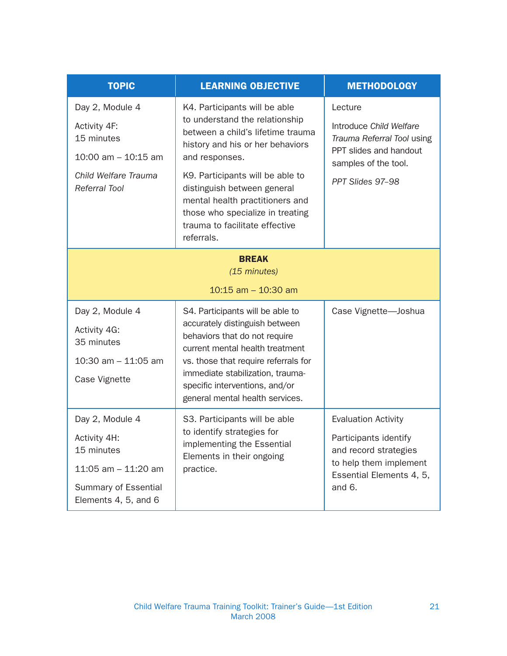| <b>TOPIC</b>                                                                                                                  | <b>LEARNING OBJECTIVE</b>                                                                                                                                                                                                                                                                                                                            | <b>METHODOLOGY</b>                                                                                                                           |
|-------------------------------------------------------------------------------------------------------------------------------|------------------------------------------------------------------------------------------------------------------------------------------------------------------------------------------------------------------------------------------------------------------------------------------------------------------------------------------------------|----------------------------------------------------------------------------------------------------------------------------------------------|
| Day 2, Module 4<br>Activity 4F:<br>15 minutes<br>10:00 am $-$ 10:15 am<br>Child Welfare Trauma<br><b>Referral Tool</b>        | K4. Participants will be able<br>to understand the relationship<br>between a child's lifetime trauma<br>history and his or her behaviors<br>and responses.<br>K9. Participants will be able to<br>distinguish between general<br>mental health practitioners and<br>those who specialize in treating<br>trauma to facilitate effective<br>referrals. | Lecture<br>Introduce Child Welfare<br>Trauma Referral Tool using<br>PPT slides and handout<br>samples of the tool.<br>PPT Slides 97-98       |
| <b>BREAK</b><br>(15 minutes)<br>10:15 am $-$ 10:30 am                                                                         |                                                                                                                                                                                                                                                                                                                                                      |                                                                                                                                              |
| Day 2, Module 4<br>Activity 4G:<br>35 minutes<br>10:30 am $-$ 11:05 am<br>Case Vignette                                       | S4. Participants will be able to<br>accurately distinguish between<br>behaviors that do not require<br>current mental health treatment<br>vs. those that require referrals for<br>immediate stabilization, trauma-<br>specific interventions, and/or<br>general mental health services.                                                              | Case Vignette-Joshua                                                                                                                         |
| Day 2, Module 4<br>Activity 4H:<br>15 minutes<br>11:05 am $-$ 11:20 am<br><b>Summary of Essential</b><br>Elements 4, 5, and 6 | S3. Participants will be able<br>to identify strategies for<br>implementing the Essential<br>Elements in their ongoing<br>practice.                                                                                                                                                                                                                  | <b>Evaluation Activity</b><br>Participants identify<br>and record strategies<br>to help them implement<br>Essential Elements 4, 5,<br>and 6. |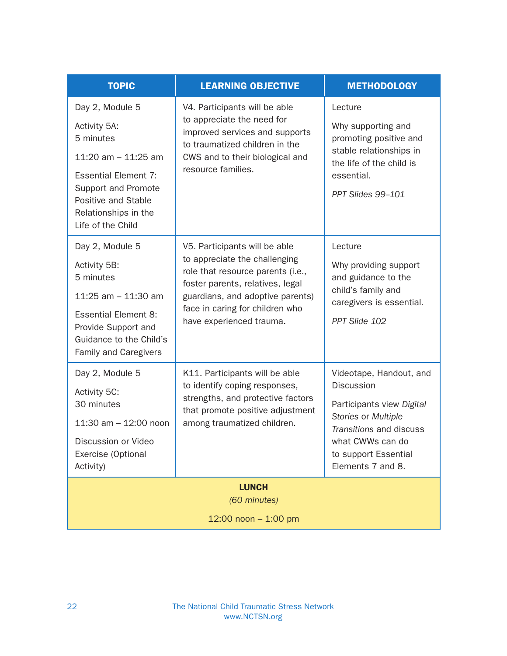| <b>TOPIC</b>                                                                                                                                                                                    | <b>LEARNING OBJECTIVE</b>                                                                                                                                                                                                                  | <b>METHODOLOGY</b>                                                                                                                                                                           |
|-------------------------------------------------------------------------------------------------------------------------------------------------------------------------------------------------|--------------------------------------------------------------------------------------------------------------------------------------------------------------------------------------------------------------------------------------------|----------------------------------------------------------------------------------------------------------------------------------------------------------------------------------------------|
| Day 2, Module 5<br>Activity 5A:<br>5 minutes<br>11:20 am $-$ 11:25 am<br><b>Essential Element 7:</b><br>Support and Promote<br>Positive and Stable<br>Relationships in the<br>Life of the Child | V4. Participants will be able<br>to appreciate the need for<br>improved services and supports<br>to traumatized children in the<br>CWS and to their biological and<br>resource families.                                                   | Lecture<br>Why supporting and<br>promoting positive and<br>stable relationships in<br>the life of the child is<br>essential.<br>PPT Slides 99-101                                            |
| Day 2, Module 5<br>Activity 5B:<br>5 minutes<br>11:25 am $-$ 11:30 am<br><b>Essential Element 8:</b><br>Provide Support and<br>Guidance to the Child's<br>Family and Caregivers                 | V5. Participants will be able<br>to appreciate the challenging<br>role that resource parents (i.e.,<br>foster parents, relatives, legal<br>guardians, and adoptive parents)<br>face in caring for children who<br>have experienced trauma. | Lecture<br>Why providing support<br>and guidance to the<br>child's family and<br>caregivers is essential.<br>PPT Slide 102                                                                   |
| Day 2, Module 5<br>Activity 5C:<br>30 minutes<br>11:30 am $-$ 12:00 noon<br>Discussion or Video<br>Exercise (Optional<br>Activity)                                                              | K11. Participants will be able<br>to identify coping responses,<br>strengths, and protective factors<br>that promote positive adjustment<br>among traumatized children.                                                                    | Videotape, Handout, and<br><b>Discussion</b><br>Participants view Digital<br>Stories or Multiple<br>Transitions and discuss<br>what CWWs can do<br>to support Essential<br>Elements 7 and 8. |
| <b>LUNCH</b><br>(60 minutes)<br>12:00 noon $- 1:00$ pm                                                                                                                                          |                                                                                                                                                                                                                                            |                                                                                                                                                                                              |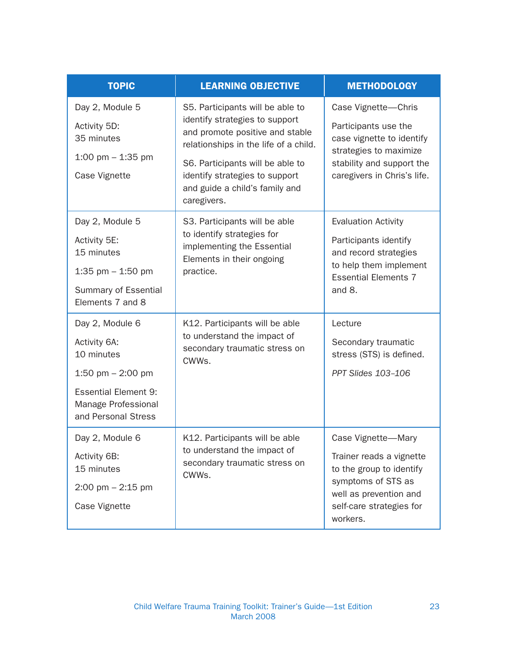| <b>TOPIC</b>                                                                                                                                      | <b>LEARNING OBJECTIVE</b>                                                                                                                                                                                                                                             | <b>METHODOLOGY</b>                                                                                                                                                 |
|---------------------------------------------------------------------------------------------------------------------------------------------------|-----------------------------------------------------------------------------------------------------------------------------------------------------------------------------------------------------------------------------------------------------------------------|--------------------------------------------------------------------------------------------------------------------------------------------------------------------|
| Day 2, Module 5<br>Activity 5D:<br>35 minutes<br>1:00 pm $-$ 1:35 pm<br>Case Vignette                                                             | S5. Participants will be able to<br>identify strategies to support<br>and promote positive and stable<br>relationships in the life of a child.<br>S6. Participants will be able to<br>identify strategies to support<br>and guide a child's family and<br>caregivers. | Case Vignette-Chris<br>Participants use the<br>case vignette to identify<br>strategies to maximize<br>stability and support the<br>caregivers in Chris's life.     |
| Day 2, Module 5<br>Activity 5E:<br>15 minutes<br>1:35 pm $-$ 1:50 pm<br>Summary of Essential<br>Elements 7 and 8                                  | S3. Participants will be able<br>to identify strategies for<br>implementing the Essential<br>Elements in their ongoing<br>practice.                                                                                                                                   | <b>Evaluation Activity</b><br>Participants identify<br>and record strategies<br>to help them implement<br><b>Essential Elements 7</b><br>and 8.                    |
| Day 2, Module 6<br>Activity 6A:<br>10 minutes<br>1:50 pm $-$ 2:00 pm<br><b>Essential Element 9:</b><br>Manage Professional<br>and Personal Stress | K12. Participants will be able<br>to understand the impact of<br>secondary traumatic stress on<br>CWWs.                                                                                                                                                               | Lecture<br>Secondary traumatic<br>stress (STS) is defined.<br>PPT Slides 103-106                                                                                   |
| Day 2, Module 6<br>Activity 6B:<br>15 minutes<br>$2:00 \text{ pm} - 2:15 \text{ pm}$<br>Case Vignette                                             | K12. Participants will be able<br>to understand the impact of<br>secondary traumatic stress on<br>CWWs.                                                                                                                                                               | Case Vignette-Mary<br>Trainer reads a vignette<br>to the group to identify<br>symptoms of STS as<br>well as prevention and<br>self-care strategies for<br>workers. |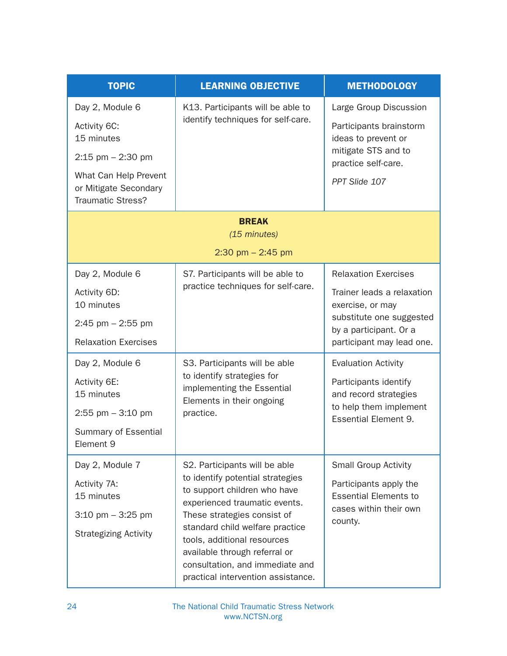| <b>TOPIC</b>                                                                                                                                        | <b>LEARNING OBJECTIVE</b>                                                                                                                                                                                                                                                                                                                     | <b>METHODOLOGY</b>                                                                                                                                                                             |
|-----------------------------------------------------------------------------------------------------------------------------------------------------|-----------------------------------------------------------------------------------------------------------------------------------------------------------------------------------------------------------------------------------------------------------------------------------------------------------------------------------------------|------------------------------------------------------------------------------------------------------------------------------------------------------------------------------------------------|
| Day 2, Module 6<br>Activity 6C:<br>15 minutes<br>$2:15$ pm $-2:30$ pm<br>What Can Help Prevent<br>or Mitigate Secondary<br><b>Traumatic Stress?</b> | K13. Participants will be able to<br>identify techniques for self-care.                                                                                                                                                                                                                                                                       | Large Group Discussion<br>Participants brainstorm<br>ideas to prevent or<br>mitigate STS and to<br>practice self-care.<br>PPT Slide 107                                                        |
|                                                                                                                                                     | <b>BREAK</b><br>(15 minutes)                                                                                                                                                                                                                                                                                                                  |                                                                                                                                                                                                |
|                                                                                                                                                     | $2:30$ pm $- 2:45$ pm                                                                                                                                                                                                                                                                                                                         |                                                                                                                                                                                                |
| Day 2, Module 6<br>Activity 6D:<br>10 minutes<br>$2:45$ pm $- 2:55$ pm<br><b>Relaxation Exercises</b><br>Day 2, Module 6                            | S7. Participants will be able to<br>practice techniques for self-care.<br>S3. Participants will be able                                                                                                                                                                                                                                       | <b>Relaxation Exercises</b><br>Trainer leads a relaxation<br>exercise, or may<br>substitute one suggested<br>by a participant. Or a<br>participant may lead one.<br><b>Evaluation Activity</b> |
| Activity 6E:<br>15 minutes<br>$2:55$ pm $-3:10$ pm<br><b>Summary of Essential</b><br>Element 9                                                      | to identify strategies for<br>implementing the Essential<br>Elements in their ongoing<br>practice.                                                                                                                                                                                                                                            | Participants identify<br>and record strategies<br>to help them implement<br><b>Essential Element 9.</b>                                                                                        |
| Day 2, Module 7<br>Activity 7A:<br>15 minutes<br>$3:10 \text{ pm} - 3:25 \text{ pm}$<br><b>Strategizing Activity</b>                                | S2. Participants will be able<br>to identify potential strategies<br>to support children who have<br>experienced traumatic events.<br>These strategies consist of<br>standard child welfare practice<br>tools, additional resources<br>available through referral or<br>consultation, and immediate and<br>practical intervention assistance. | <b>Small Group Activity</b><br>Participants apply the<br><b>Essential Elements to</b><br>cases within their own<br>county.                                                                     |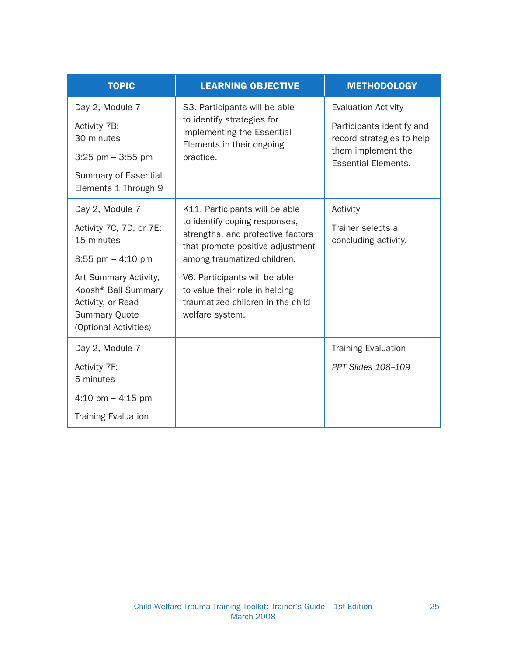| <b>TOPIC</b>                                                                                                                                                                                                      | <b>LEARNING OBJECTIVE</b>                                                                                                                                                                                                                                                                          | <b>METHODOLOGY</b>                                                                                                                       |
|-------------------------------------------------------------------------------------------------------------------------------------------------------------------------------------------------------------------|----------------------------------------------------------------------------------------------------------------------------------------------------------------------------------------------------------------------------------------------------------------------------------------------------|------------------------------------------------------------------------------------------------------------------------------------------|
| Day 2, Module 7<br>Activity 7B:<br>30 minutes<br>$3:25$ pm $-3:55$ pm<br>Summary of Essential<br>Elements 1 Through 9                                                                                             | S3. Participants will be able<br>to identify strategies for<br>implementing the Essential<br>Elements in their ongoing<br>practice.                                                                                                                                                                | <b>Evaluation Activity</b><br>Participants identify and<br>record strategies to help<br>them implement the<br><b>Essential Elements.</b> |
| Day 2, Module 7<br>Activity 7C, 7D, or 7E:<br>15 minutes<br>3:55 pm $-$ 4:10 pm<br>Art Summary Activity,<br>Koosh <sup>®</sup> Ball Summary<br>Activity, or Read<br><b>Summary Quote</b><br>(Optional Activities) | K11. Participants will be able<br>to identify coping responses,<br>strengths, and protective factors<br>that promote positive adjustment<br>among traumatized children.<br>V6. Participants will be able<br>to value their role in helping<br>traumatized children in the child<br>welfare system. | Activity<br>Trainer selects a<br>concluding activity.                                                                                    |
| Day 2, Module 7<br>Activity 7F:<br>5 minutes<br>4:10 pm $-$ 4:15 pm<br><b>Training Evaluation</b>                                                                                                                 |                                                                                                                                                                                                                                                                                                    | <b>Training Evaluation</b><br><b>PPT Slides 108-109</b>                                                                                  |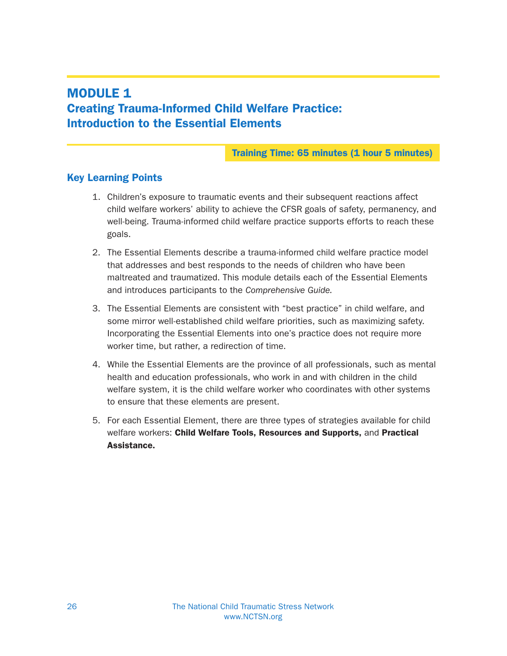## MODULE 1 Creating Trauma-Informed Child Welfare Practice: Introduction to the Essential Elements

#### Training Time: 65 minutes (1 hour 5 minutes)

## Key Learning Points

- 1. Children's exposure to traumatic events and their subsequent reactions affect child welfare workers' ability to achieve the CFSR goals of safety, permanency, and well-being. Trauma-informed child welfare practice supports efforts to reach these goals.
- 2. The Essential Elements describe a trauma-informed child welfare practice model that addresses and best responds to the needs of children who have been maltreated and traumatized. This module details each of the Essential Elements and introduces participants to the Comprehensive Guide.
- 3. The Essential Elements are consistent with "best practice" in child welfare, and some mirror well-established child welfare priorities, such as maximizing safety. Incorporating the Essential Elements into one's practice does not require more worker time, but rather, a redirection of time.
- 4. While the Essential Elements are the province of all professionals, such as mental health and education professionals, who work in and with children in the child welfare system, it is the child welfare worker who coordinates with other systems to ensure that these elements are present.
- 5. For each Essential Element, there are three types of strategies available for child welfare workers: Child Welfare Tools, Resources and Supports, and Practical Assistance.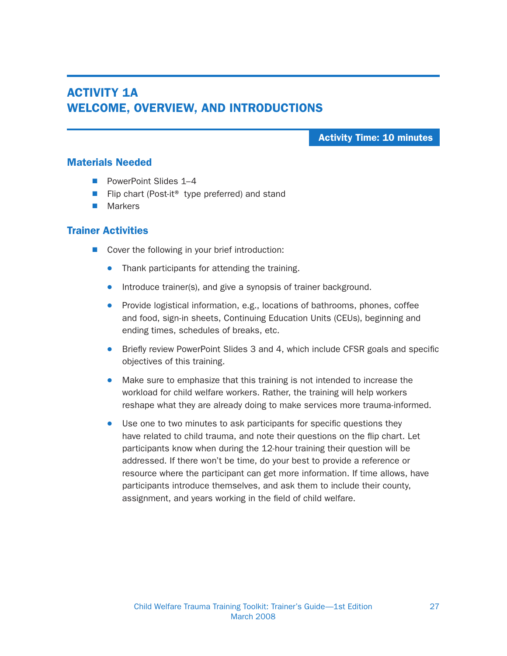## ACTIVITY 1A WELCOME, OVERVIEW, AND INTRODUCTIONS

Activity Time: 10 minutes

#### Materials Needed

- PowerPoint Slides 1–4
- Flip chart (Post-it<sup>®</sup> type preferred) and stand
- $M$ arkers

#### Trainer Activities

- $\blacksquare$  Cover the following in your brief introduction:
	- Thank participants for attending the training.
	- Introduce trainer(s), and give a synopsis of trainer background.
	- Provide logistical information, e.g., locations of bathrooms, phones, coffee and food, sign-in sheets, Continuing Education Units (CEUs), beginning and ending times, schedules of breaks, etc.
	- Briefly review PowerPoint Slides 3 and 4, which include CFSR goals and specific objectives of this training.
	- Make sure to emphasize that this training is not intended to increase the workload for child welfare workers. Rather, the training will help workers reshape what they are already doing to make services more trauma-informed.
	- Use one to two minutes to ask participants for specific questions they have related to child trauma, and note their questions on the flip chart. Let participants know when during the 12-hour training their question will be addressed. If there won't be time, do your best to provide a reference or resource where the participant can get more information. If time allows, have participants introduce themselves, and ask them to include their county, assignment, and years working in the field of child welfare.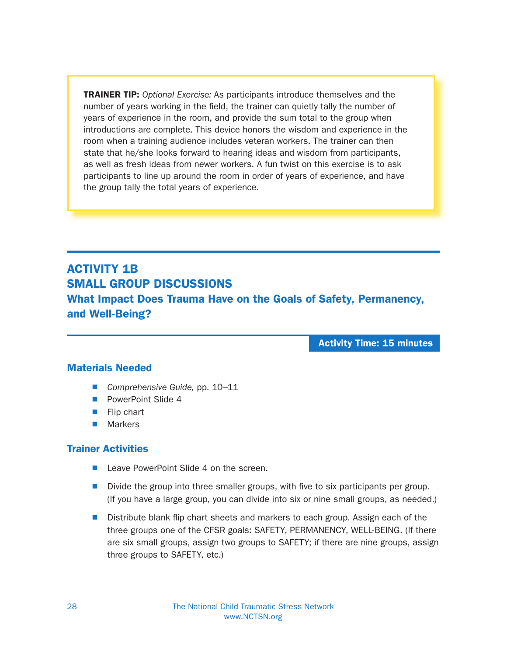TRAINER TIP: Optional Exercise: As participants introduce themselves and the number of years working in the field, the trainer can quietly tally the number of years of experience in the room, and provide the sum total to the group when introductions are complete. This device honors the wisdom and experience in the room when a training audience includes veteran workers. The trainer can then state that he/she looks forward to hearing ideas and wisdom from participants, as well as fresh ideas from newer workers. A fun twist on this exercise is to ask participants to line up around the room in order of years of experience, and have the group tally the total years of experience.

## ACTIVITY 1B SMALL GROUP DISCUSSIONS

What Impact Does Trauma Have on the Goals of Safety, Permanency, and Well-Being?

Activity Time: 15 minutes

#### Materials Needed

- Comprehensive Guide, pp. 10–11
- **N** PowerPoint Slide 4
- $\blacksquare$  Flip chart
- $\blacksquare$  Markers

#### Trainer Activities

- Leave PowerPoint Slide 4 on the screen.
- $\blacksquare$  Divide the group into three smaller groups, with five to six participants per group. (If you have a large group, you can divide into six or nine small groups, as needed.)
- $\blacksquare$  Distribute blank flip chart sheets and markers to each group. Assign each of the three groups one of the CFSR goals: SAFETY, PERMANENCY, WELL-BEING. (If there are six small groups, assign two groups to SAFETY; if there are nine groups, assign three groups to SAFETY, etc.)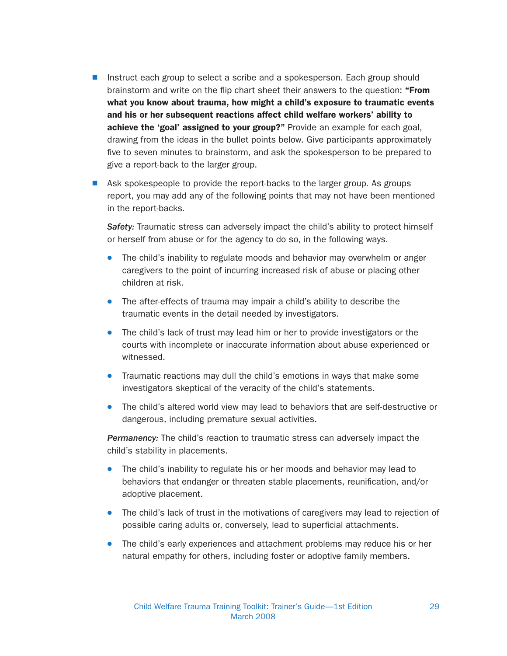- **N** Instruct each group to select a scribe and a spokesperson. Each group should brainstorm and write on the flip chart sheet their answers to the question: "From what you know about trauma, how might a child's exposure to traumatic events and his or her subsequent reactions affect child welfare workers' ability to achieve the 'goal' assigned to your group?" Provide an example for each goal, drawing from the ideas in the bullet points below. Give participants approximately five to seven minutes to brainstorm, and ask the spokesperson to be prepared to give a report-back to the larger group.
- **N** Ask spokespeople to provide the report-backs to the larger group. As groups report, you may add any of the following points that may not have been mentioned in the report-backs.

Safety: Traumatic stress can adversely impact the child's ability to protect himself or herself from abuse or for the agency to do so, in the following ways.

- The child's inability to regulate moods and behavior may overwhelm or anger caregivers to the point of incurring increased risk of abuse or placing other children at risk.
- The after-effects of trauma may impair a child's ability to describe the traumatic events in the detail needed by investigators.
- The child's lack of trust may lead him or her to provide investigators or the courts with incomplete or inaccurate information about abuse experienced or witnessed.
- Traumatic reactions may dull the child's emotions in ways that make some investigators skeptical of the veracity of the child's statements.
- The child's altered world view may lead to behaviors that are self-destructive or dangerous, including premature sexual activities.

**Permanency:** The child's reaction to traumatic stress can adversely impact the child's stability in placements.

- The child's inability to regulate his or her moods and behavior may lead to behaviors that endanger or threaten stable placements, reunification, and/or adoptive placement.
- The child's lack of trust in the motivations of caregivers may lead to rejection of possible caring adults or, conversely, lead to superficial attachments.
- The child's early experiences and attachment problems may reduce his or her natural empathy for others, including foster or adoptive family members.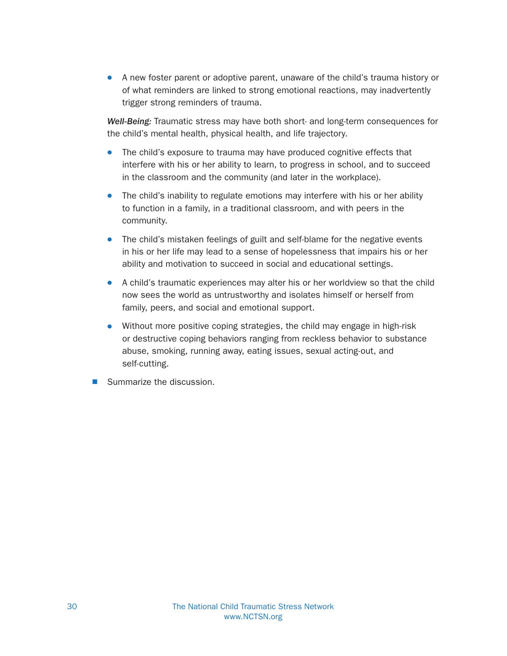**A** new foster parent or adoptive parent, unaware of the child's trauma history or of what reminders are linked to strong emotional reactions, may inadvertently trigger strong reminders of trauma.

Well-Being: Traumatic stress may have both short- and long-term consequences for the child's mental health, physical health, and life trajectory.

- The child's exposure to trauma may have produced cognitive effects that interfere with his or her ability to learn, to progress in school, and to succeed in the classroom and the community (and later in the workplace).
- The child's inability to regulate emotions may interfere with his or her ability to function in a family, in a traditional classroom, and with peers in the community.
- The child's mistaken feelings of guilt and self-blame for the negative events in his or her life may lead to a sense of hopelessness that impairs his or her ability and motivation to succeed in social and educational settings.
- A child's traumatic experiences may alter his or her worldview so that the child now sees the world as untrustworthy and isolates himself or herself from family, peers, and social and emotional support.
- Without more positive coping strategies, the child may engage in high-risk or destructive coping behaviors ranging from reckless behavior to substance abuse, smoking, running away, eating issues, sexual acting-out, and self-cutting.
- Summarize the discussion.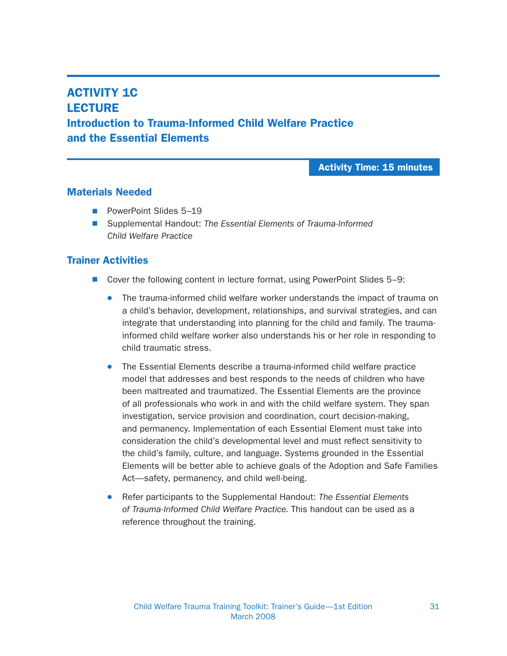## **ACTIVITY 1C LECTURE** Introduction to Trauma-Informed Child Welfare Practice and the Essential Elements

#### Activity Time: 15 minutes

#### Materials Needed

- PowerPoint Slides 5–19
- Supplemental Handout: The Essential Elements of Trauma-Informed Child Welfare Practice

#### Trainer Activities

- Cover the following content in lecture format, using PowerPoint Slides 5–9:
	- The trauma-informed child welfare worker understands the impact of trauma on a child's behavior, development, relationships, and survival strategies, and can integrate that understanding into planning for the child and family. The traumainformed child welfare worker also understands his or her role in responding to child traumatic stress.
	- The Essential Elements describe a trauma-informed child welfare practice model that addresses and best responds to the needs of children who have been maltreated and traumatized. The Essential Elements are the province of all professionals who work in and with the child welfare system. They span investigation, service provision and coordination, court decision-making, and permanency. Implementation of each Essential Element must take into consideration the child's developmental level and must reflect sensitivity to the child's family, culture, and language. Systems grounded in the Essential Elements will be better able to achieve goals of the Adoption and Safe Families Act—safety, permanency, and child well-being.
	- Refer participants to the Supplemental Handout: The Essential Elements of Trauma-Informed Child Welfare Practice. This handout can be used as a reference throughout the training.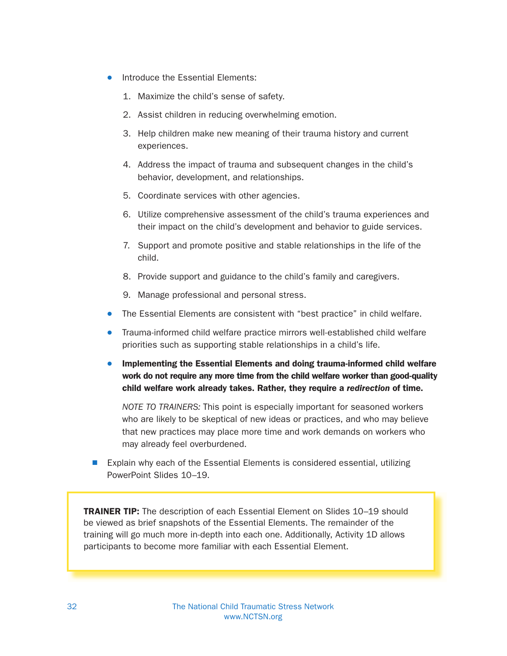- Introduce the Essential Elements:
	- 1. Maximize the child's sense of safety.
	- 2. Assist children in reducing overwhelming emotion.
	- 3. Help children make new meaning of their trauma history and current experiences.
	- 4. Address the impact of trauma and subsequent changes in the child's behavior, development, and relationships.
	- 5. Coordinate services with other agencies.
	- 6. Utilize comprehensive assessment of the child's trauma experiences and their impact on the child's development and behavior to guide services.
	- 7. Support and promote positive and stable relationships in the life of the child.
	- 8. Provide support and guidance to the child's family and caregivers.
	- 9. Manage professional and personal stress.
- The Essential Elements are consistent with "best practice" in child welfare.
- Trauma-informed child welfare practice mirrors well-established child welfare priorities such as supporting stable relationships in a child's life.
- Implementing the Essential Elements and doing trauma-informed child welfare work do not require any more time from the child welfare worker than good-quality child welfare work already takes. Rather, they require a redirection of time.

NOTE TO TRAINERS: This point is especially important for seasoned workers who are likely to be skeptical of new ideas or practices, and who may believe that new practices may place more time and work demands on workers who may already feel overburdened.

Explain why each of the Essential Elements is considered essential, utilizing PowerPoint Slides 10–19.

TRAINER TIP: The description of each Essential Element on Slides 10–19 should be viewed as brief snapshots of the Essential Elements. The remainder of the training will go much more in-depth into each one. Additionally, Activity 1D allows participants to become more familiar with each Essential Element.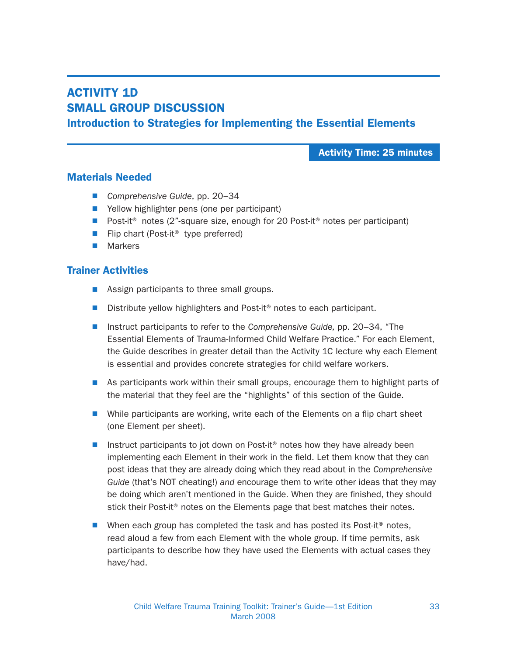## ACTIVITY 1D SMALL GROUP DISCUSSION Introduction to Strategies for Implementing the Essential Elements

Activity Time: 25 minutes

#### Materials Needed

- Comprehensive Guide, pp. 20–34
- $\blacksquare$  Yellow highlighter pens (one per participant)
- Post-it<sup>®</sup> notes (2"-square size, enough for 20 Post-it<sup>®</sup> notes per participant)
- Flip chart (Post-it<sup>®</sup> type preferred)
- $\blacksquare$  Markers

#### Trainer Activities

- $\blacksquare$  Assign participants to three small groups.
- Distribute yellow highlighters and Post-it<sup>®</sup> notes to each participant.
- Instruct participants to refer to the Comprehensive Guide, pp. 20–34, "The Essential Elements of Trauma-Informed Child Welfare Practice." For each Element, the Guide describes in greater detail than the Activity 1C lecture why each Element is essential and provides concrete strategies for child welfare workers.
- As participants work within their small groups, encourage them to highlight parts of the material that they feel are the "highlights" of this section of the Guide.
- $\blacksquare$  While participants are working, write each of the Elements on a flip chart sheet (one Element per sheet).
- Instruct participants to jot down on Post-it<sup>®</sup> notes how they have already been implementing each Element in their work in the field. Let them know that they can post ideas that they are already doing which they read about in the Comprehensive Guide (that's NOT cheating!) and encourage them to write other ideas that they may be doing which aren't mentioned in the Guide. When they are finished, they should stick their Post-it<sup>®</sup> notes on the Elements page that best matches their notes.
- Nhen each group has completed the task and has posted its Post-it<sup>®</sup> notes, read aloud a few from each Element with the whole group. If time permits, ask participants to describe how they have used the Elements with actual cases they have/had.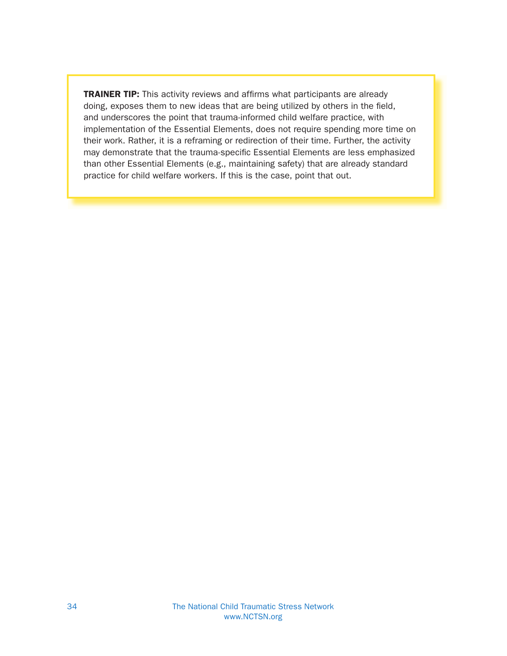TRAINER TIP: This activity reviews and affirms what participants are already doing, exposes them to new ideas that are being utilized by others in the field, and underscores the point that trauma-informed child welfare practice, with implementation of the Essential Elements, does not require spending more time on their work. Rather, it is a reframing or redirection of their time. Further, the activity may demonstrate that the trauma-specific Essential Elements are less emphasized than other Essential Elements (e.g., maintaining safety) that are already standard practice for child welfare workers. If this is the case, point that out.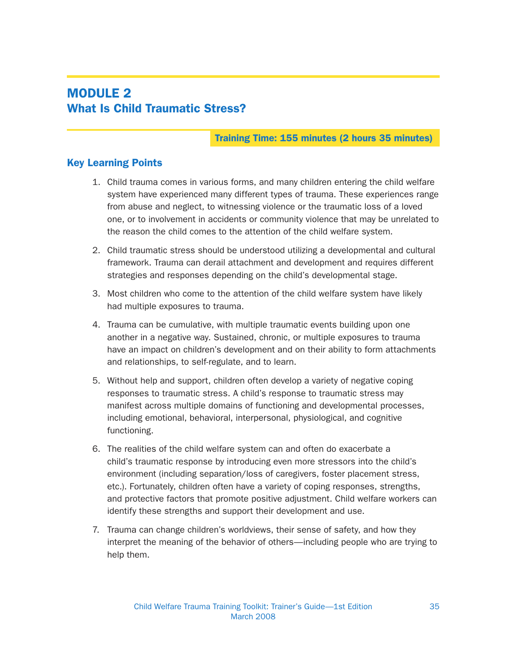## MODULE 2 What Is Child Traumatic Stress?

#### Training Time: 155 minutes (2 hours 35 minutes)

#### Key Learning Points

- 1. Child trauma comes in various forms, and many children entering the child welfare system have experienced many different types of trauma. These experiences range from abuse and neglect, to witnessing violence or the traumatic loss of a loved one, or to involvement in accidents or community violence that may be unrelated to the reason the child comes to the attention of the child welfare system.
- 2. Child traumatic stress should be understood utilizing a developmental and cultural framework. Trauma can derail attachment and development and requires different strategies and responses depending on the child's developmental stage.
- 3. Most children who come to the attention of the child welfare system have likely had multiple exposures to trauma.
- 4. Trauma can be cumulative, with multiple traumatic events building upon one another in a negative way. Sustained, chronic, or multiple exposures to trauma have an impact on children's development and on their ability to form attachments and relationships, to self-regulate, and to learn.
- 5. Without help and support, children often develop a variety of negative coping responses to traumatic stress. A child's response to traumatic stress may manifest across multiple domains of functioning and developmental processes, including emotional, behavioral, interpersonal, physiological, and cognitive functioning.
- 6. The realities of the child welfare system can and often do exacerbate a child's traumatic response by introducing even more stressors into the child's environment (including separation/loss of caregivers, foster placement stress, etc.). Fortunately, children often have a variety of coping responses, strengths, and protective factors that promote positive adjustment. Child welfare workers can identify these strengths and support their development and use.
- 7. Trauma can change children's worldviews, their sense of safety, and how they interpret the meaning of the behavior of others—including people who are trying to help them.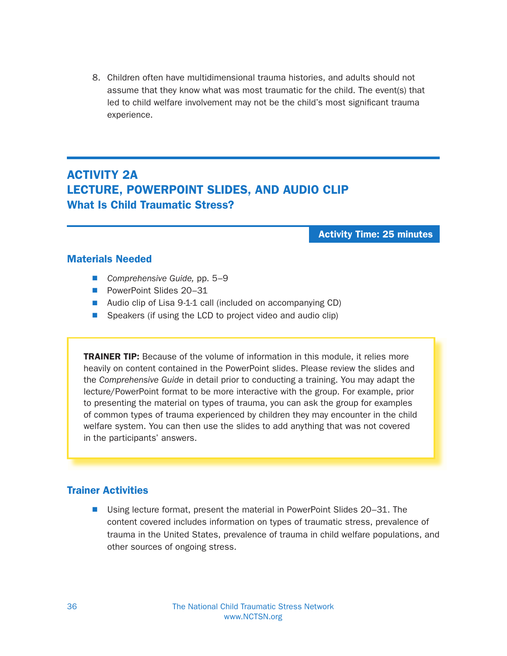8. Children often have multidimensional trauma histories, and adults should not assume that they know what was most traumatic for the child. The event(s) that led to child welfare involvement may not be the child's most significant trauma experience.

## ACTIVITY 2A LECTURE, POWERPOINT SLIDES, AND AUDIO CLIP What Is Child Traumatic Stress?

Activity Time: 25 minutes

#### Materials Needed

- Comprehensive Guide, pp.  $5-9$
- PowerPoint Slides 20–31
- Audio clip of Lisa 9-1-1 call (included on accompanying CD)
- $\blacksquare$  Speakers (if using the LCD to project video and audio clip)

**TRAINER TIP:** Because of the volume of information in this module, it relies more heavily on content contained in the PowerPoint slides. Please review the slides and the Comprehensive Guide in detail prior to conducting a training. You may adapt the lecture/PowerPoint format to be more interactive with the group. For example, prior to presenting the material on types of trauma, you can ask the group for examples of common types of trauma experienced by children they may encounter in the child welfare system. You can then use the slides to add anything that was not covered in the participants' answers.

#### Trainer Activities

■ Using lecture format, present the material in PowerPoint Slides 20–31. The content covered includes information on types of traumatic stress, prevalence of trauma in the United States, prevalence of trauma in child welfare populations, and other sources of ongoing stress.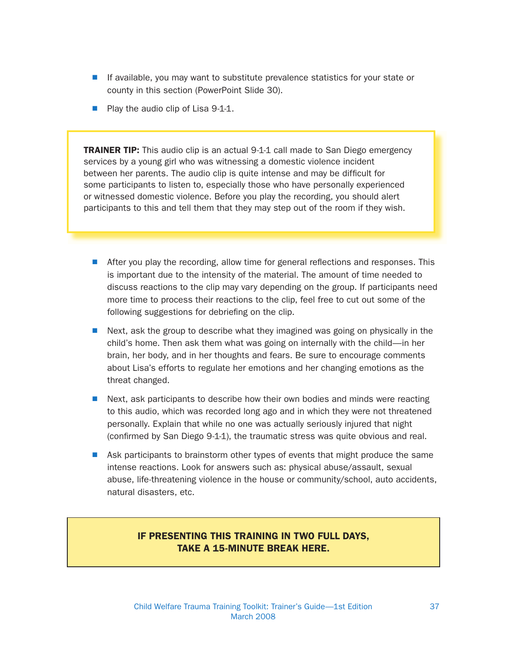- If available, you may want to substitute prevalence statistics for your state or county in this section (PowerPoint Slide 30).
- Play the audio clip of Lisa 9-1-1.

**TRAINER TIP:** This audio clip is an actual 9-1-1 call made to San Diego emergency services by a young girl who was witnessing a domestic violence incident between her parents. The audio clip is quite intense and may be difficult for some participants to listen to, especially those who have personally experienced or witnessed domestic violence. Before you play the recording, you should alert participants to this and tell them that they may step out of the room if they wish.

- $\blacksquare$  After you play the recording, allow time for general reflections and responses. This is important due to the intensity of the material. The amount of time needed to discuss reactions to the clip may vary depending on the group. If participants need more time to process their reactions to the clip, feel free to cut out some of the following suggestions for debriefing on the clip.
- $\blacksquare$  Next, ask the group to describe what they imagined was going on physically in the child's home. Then ask them what was going on internally with the child—in her brain, her body, and in her thoughts and fears. Be sure to encourage comments about Lisa's efforts to regulate her emotions and her changing emotions as the threat changed.
- $\blacksquare$  Next, ask participants to describe how their own bodies and minds were reacting to this audio, which was recorded long ago and in which they were not threatened personally. Explain that while no one was actually seriously injured that night (confirmed by San Diego 9-1-1), the traumatic stress was quite obvious and real.
- Ask participants to brainstorm other types of events that might produce the same intense reactions. Look for answers such as: physical abuse/assault, sexual abuse, life-threatening violence in the house or community/school, auto accidents, natural disasters, etc.

### IF PRESENTING THIS TRAINING IN TWO FULL DAYS, TAKE A 15-MINUTE BREAK HERE.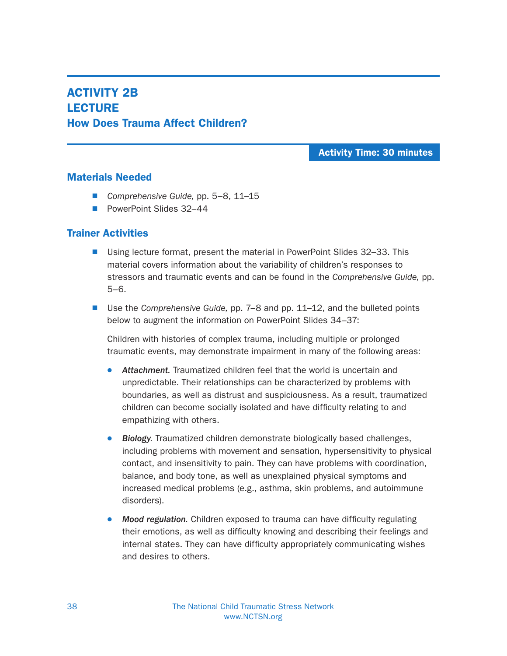## ACTIVITY 2B **LECTURE** How Does Trauma Affect Children?

Activity Time: 30 minutes

#### Materials Needed

- Comprehensive Guide, pp. 5–8, 11–15
- PowerPoint Slides 32–44

## Trainer Activities

- Using lecture format, present the material in PowerPoint Slides 32–33. This material covers information about the variability of children's responses to stressors and traumatic events and can be found in the Comprehensive Guide, pp. 5–6.
- Use the Comprehensive Guide, pp. 7–8 and pp. 11–12, and the bulleted points below to augment the information on PowerPoint Slides 34–37:

Children with histories of complex trauma, including multiple or prolonged traumatic events, may demonstrate impairment in many of the following areas:

- Attachment. Traumatized children feel that the world is uncertain and unpredictable. Their relationships can be characterized by problems with boundaries, as well as distrust and suspiciousness. As a result, traumatized children can become socially isolated and have difficulty relating to and empathizing with others.
- Biology. Traumatized children demonstrate biologically based challenges, including problems with movement and sensation, hypersensitivity to physical contact, and insensitivity to pain. They can have problems with coordination, balance, and body tone, as well as unexplained physical symptoms and increased medical problems (e.g., asthma, skin problems, and autoimmune disorders).
- Mood regulation. Children exposed to trauma can have difficulty regulating their emotions, as well as difficulty knowing and describing their feelings and internal states. They can have difficulty appropriately communicating wishes and desires to others.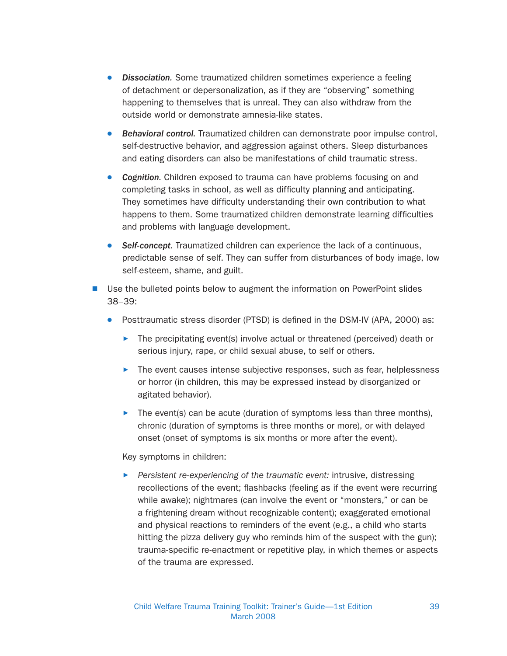- Dissociation. Some traumatized children sometimes experience a feeling of detachment or depersonalization, as if they are "observing" something happening to themselves that is unreal. They can also withdraw from the outside world or demonstrate amnesia-like states.
- Behavioral control. Traumatized children can demonstrate poor impulse control, self-destructive behavior, and aggression against others. Sleep disturbances and eating disorders can also be manifestations of child traumatic stress.
- Cognition. Children exposed to trauma can have problems focusing on and completing tasks in school, as well as difficulty planning and anticipating. They sometimes have difficulty understanding their own contribution to what happens to them. Some traumatized children demonstrate learning difficulties and problems with language development.
- Self-concept. Traumatized children can experience the lack of a continuous, predictable sense of self. They can suffer from disturbances of body image, low self-esteem, shame, and guilt.
- Use the bulleted points below to augment the information on PowerPoint slides 38–39:
	- Posttraumatic stress disorder (PTSD) is defined in the DSM-IV (APA, 2000) as:
		- $\blacktriangleright$  The precipitating event(s) involve actual or threatened (perceived) death or serious injury, rape, or child sexual abuse, to self or others.
		- $\blacktriangleright$  The event causes intense subjective responses, such as fear, helplessness or horror (in children, this may be expressed instead by disorganized or agitated behavior).
		- $\blacktriangleright$  The event(s) can be acute (duration of symptoms less than three months), chronic (duration of symptoms is three months or more), or with delayed onset (onset of symptoms is six months or more after the event).

#### Key symptoms in children:

 $\blacktriangleright$  Persistent re-experiencing of the traumatic event: intrusive, distressing recollections of the event; flashbacks (feeling as if the event were recurring while awake); nightmares (can involve the event or "monsters," or can be a frightening dream without recognizable content); exaggerated emotional and physical reactions to reminders of the event (e.g., a child who starts hitting the pizza delivery guy who reminds him of the suspect with the gun); trauma-specific re-enactment or repetitive play, in which themes or aspects of the trauma are expressed.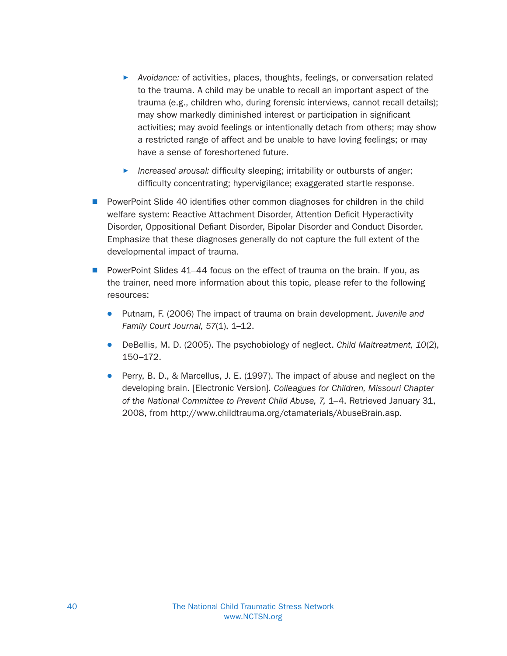- **•** Avoidance: of activities, places, thoughts, feelings, or conversation related to the trauma. A child may be unable to recall an important aspect of the trauma (e.g., children who, during forensic interviews, cannot recall details); may show markedly diminished interest or participation in significant activities; may avoid feelings or intentionally detach from others; may show a restricted range of affect and be unable to have loving feelings; or may have a sense of foreshortened future.
- Increased arousal: difficulty sleeping; irritability or outbursts of anger; difficulty concentrating; hypervigilance; exaggerated startle response.
- PowerPoint Slide 40 identifies other common diagnoses for children in the child welfare system: Reactive Attachment Disorder, Attention Deficit Hyperactivity Disorder, Oppositional Defiant Disorder, Bipolar Disorder and Conduct Disorder. Emphasize that these diagnoses generally do not capture the full extent of the developmental impact of trauma.
- **PowerPoint Slides 41–44 focus on the effect of trauma on the brain. If you, as** the trainer, need more information about this topic, please refer to the following resources:
	- Putnam, F. (2006) The impact of trauma on brain development. Juvenile and Family Court Journal, 57(1), 1–12.
	- $\bullet$  DeBellis, M. D. (2005). The psychobiology of neglect. Child Maltreatment, 10(2), 150–172.
	- **•** Perry, B. D., & Marcellus, J. E. (1997). The impact of abuse and neglect on the developing brain. [Electronic Version]. Colleagues for Children, Missouri Chapter of the National Committee to Prevent Child Abuse, 7, 1–4. Retrieved January 31, 2008, from http://www.childtrauma.org/ctamaterials/AbuseBrain.asp.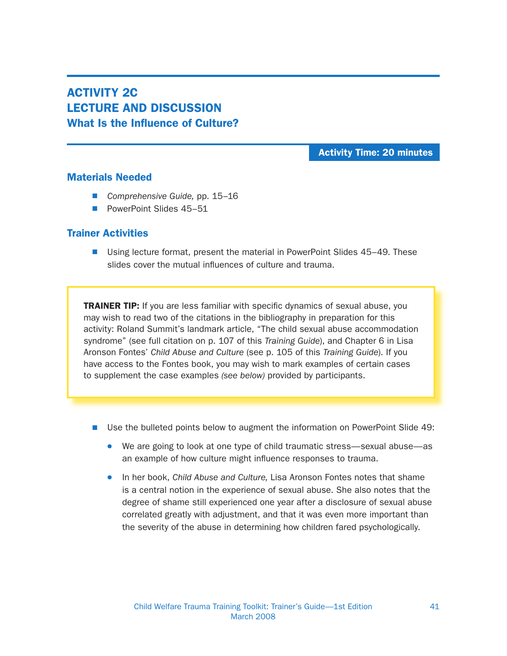# ACTIVITY 2C LECTURE AND DISCUSSION What Is the Influence of Culture?

Activity Time: 20 minutes

#### Materials Needed

- Comprehensive Guide, pp. 15–16
- PowerPoint Slides 45–51

### Trainer Activities

■ Using lecture format, present the material in PowerPoint Slides 45–49. These slides cover the mutual influences of culture and trauma.

**TRAINER TIP:** If you are less familiar with specific dynamics of sexual abuse, you may wish to read two of the citations in the bibliography in preparation for this activity: Roland Summit's landmark article, "The child sexual abuse accommodation syndrome" (see full citation on p. 107 of this Training Guide), and Chapter 6 in Lisa Aronson Fontes' Child Abuse and Culture (see p. 105 of this Training Guide). If you have access to the Fontes book, you may wish to mark examples of certain cases to supplement the case examples (see below) provided by participants.

- Use the bulleted points below to augment the information on PowerPoint Slide 49:
	- We are going to look at one type of child traumatic stress—sexual abuse—as an example of how culture might influence responses to trauma.
	- In her book, Child Abuse and Culture, Lisa Aronson Fontes notes that shame is a central notion in the experience of sexual abuse. She also notes that the degree of shame still experienced one year after a disclosure of sexual abuse correlated greatly with adjustment, and that it was even more important than the severity of the abuse in determining how children fared psychologically.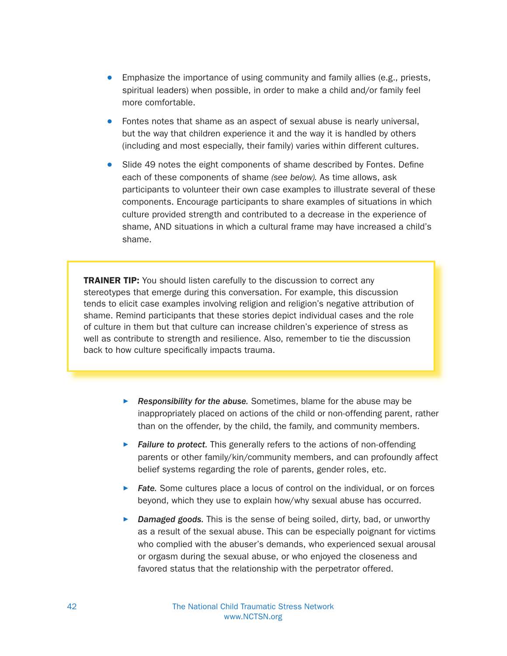- Emphasize the importance of using community and family allies (e.g., priests, spiritual leaders) when possible, in order to make a child and/or family feel more comfortable.
- Fontes notes that shame as an aspect of sexual abuse is nearly universal, but the way that children experience it and the way it is handled by others (including and most especially, their family) varies within different cultures.
- Slide 49 notes the eight components of shame described by Fontes. Define each of these components of shame (see below). As time allows, ask participants to volunteer their own case examples to illustrate several of these components. Encourage participants to share examples of situations in which culture provided strength and contributed to a decrease in the experience of shame, AND situations in which a cultural frame may have increased a child's shame.

**TRAINER TIP:** You should listen carefully to the discussion to correct any stereotypes that emerge during this conversation. For example, this discussion tends to elicit case examples involving religion and religion's negative attribution of shame. Remind participants that these stories depict individual cases and the role of culture in them but that culture can increase children's experience of stress as well as contribute to strength and resilience. Also, remember to tie the discussion back to how culture specifically impacts trauma.

- Responsibility for the abuse. Sometimes, blame for the abuse may be inappropriately placed on actions of the child or non-offending parent, rather than on the offender, by the child, the family, and community members.
- $\blacktriangleright$  Failure to protect. This generally refers to the actions of non-offending parents or other family/kin/community members, and can profoundly affect belief systems regarding the role of parents, gender roles, etc.
- $\triangleright$  Fate. Some cultures place a locus of control on the individual, or on forces beyond, which they use to explain how/why sexual abuse has occurred.
- **Damaged goods.** This is the sense of being soiled, dirty, bad, or unworthy as a result of the sexual abuse. This can be especially poignant for victims who complied with the abuser's demands, who experienced sexual arousal or orgasm during the sexual abuse, or who enjoyed the closeness and favored status that the relationship with the perpetrator offered.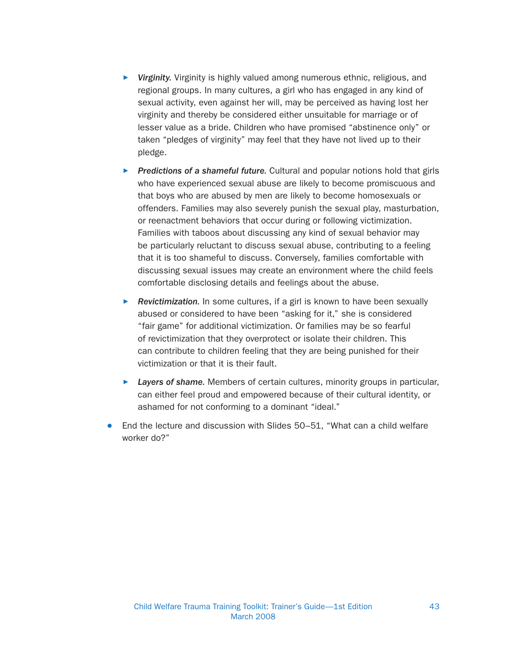- **Virginity.** Virginity is highly valued among numerous ethnic, religious, and regional groups. In many cultures, a girl who has engaged in any kind of sexual activity, even against her will, may be perceived as having lost her virginity and thereby be considered either unsuitable for marriage or of lesser value as a bride. Children who have promised "abstinence only" or taken "pledges of virginity" may feel that they have not lived up to their pledge.
- **Predictions of a shameful future.** Cultural and popular notions hold that girls who have experienced sexual abuse are likely to become promiscuous and that boys who are abused by men are likely to become homosexuals or offenders. Families may also severely punish the sexual play, masturbation, or reenactment behaviors that occur during or following victimization. Families with taboos about discussing any kind of sexual behavior may be particularly reluctant to discuss sexual abuse, contributing to a feeling that it is too shameful to discuss. Conversely, families comfortable with discussing sexual issues may create an environment where the child feels comfortable disclosing details and feelings about the abuse.
- Revictimization. In some cultures, if a girl is known to have been sexually abused or considered to have been "asking for it," she is considered "fair game" for additional victimization. Or families may be so fearful of revictimization that they overprotect or isolate their children. This can contribute to children feeling that they are being punished for their victimization or that it is their fault.
- $\blacktriangleright$  Layers of shame. Members of certain cultures, minority groups in particular, can either feel proud and empowered because of their cultural identity, or ashamed for not conforming to a dominant "ideal."
- End the lecture and discussion with Slides 50–51, "What can a child welfare worker do?"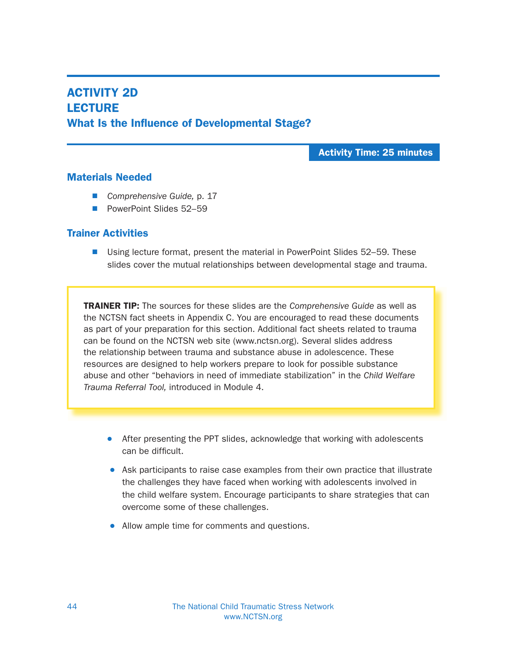## ACTIVITY 2D **LECTURE** What Is the Influence of Developmental Stage?

Activity Time: 25 minutes

### Materials Needed

- Comprehensive Guide, p. 17
- PowerPoint Slides 52–59

### Trainer Activities

■ Using lecture format, present the material in PowerPoint Slides 52–59. These slides cover the mutual relationships between developmental stage and trauma.

**TRAINER TIP:** The sources for these slides are the *Comprehensive Guide* as well as the NCTSN fact sheets in Appendix C. You are encouraged to read these documents as part of your preparation for this section. Additional fact sheets related to trauma can be found on the NCTSN web site (www.nctsn.org). Several slides address the relationship between trauma and substance abuse in adolescence. These resources are designed to help workers prepare to look for possible substance abuse and other "behaviors in need of immediate stabilization" in the Child Welfare Trauma Referral Tool, introduced in Module 4.

- After presenting the PPT slides, acknowledge that working with adolescents can be difficult.
- Ask participants to raise case examples from their own practice that illustrate the challenges they have faced when working with adolescents involved in the child welfare system. Encourage participants to share strategies that can overcome some of these challenges.
- Allow ample time for comments and questions.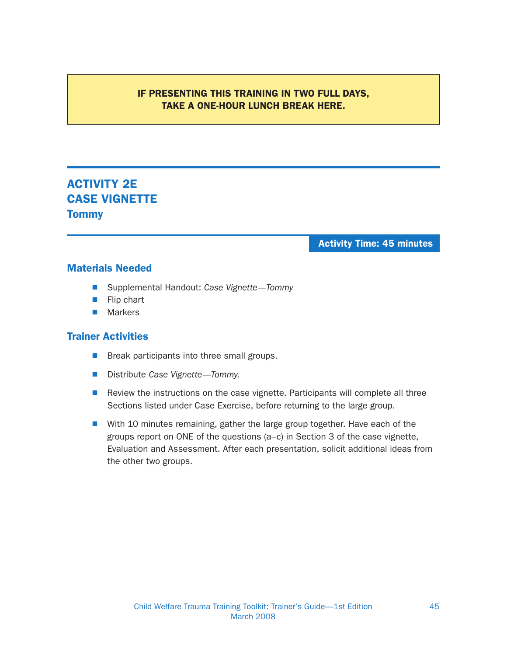### IF PRESENTING THIS TRAINING IN TWO FULL DAYS, TAKE A ONE-HOUR LUNCH BREAK HERE.

# ACTIVITY 2E CASE VIGNETTE **Tommy**

#### Activity Time: 45 minutes

#### Materials Needed

- Supplemental Handout: Case Vignette-Tommy
- **N** Flip chart
- $\blacksquare$  Markers

- $\blacksquare$  Break participants into three small groups.
- Distribute Case Vignette—Tommy.
- Review the instructions on the case vignette. Participants will complete all three Sections listed under Case Exercise, before returning to the large group.
- With 10 minutes remaining, gather the large group together. Have each of the groups report on ONE of the questions (a–c) in Section 3 of the case vignette, Evaluation and Assessment. After each presentation, solicit additional ideas from the other two groups.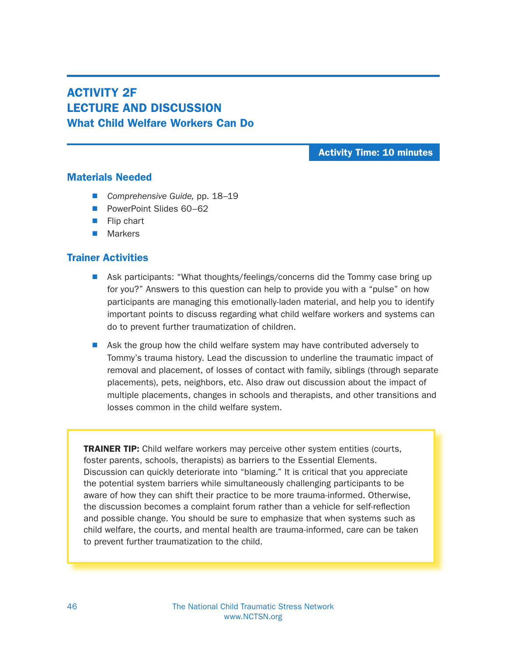# ACTIVITY 2F LECTURE AND DISCUSSION What Child Welfare Workers Can Do

Activity Time: 10 minutes

### Materials Needed

- Comprehensive Guide, pp. 18–19
- PowerPoint Slides 60–62
- $\blacksquare$  Flip chart
- $\blacksquare$  Markers

## Trainer Activities

- **N** Ask participants: "What thoughts/feelings/concerns did the Tommy case bring up for you?" Answers to this question can help to provide you with a "pulse" on how participants are managing this emotionally-laden material, and help you to identify important points to discuss regarding what child welfare workers and systems can do to prevent further traumatization of children.
- Ask the group how the child welfare system may have contributed adversely to Tommy's trauma history. Lead the discussion to underline the traumatic impact of removal and placement, of losses of contact with family, siblings (through separate placements), pets, neighbors, etc. Also draw out discussion about the impact of multiple placements, changes in schools and therapists, and other transitions and losses common in the child welfare system.

**TRAINER TIP:** Child welfare workers may perceive other system entities (courts, foster parents, schools, therapists) as barriers to the Essential Elements. Discussion can quickly deteriorate into "blaming." It is critical that you appreciate the potential system barriers while simultaneously challenging participants to be aware of how they can shift their practice to be more trauma-informed. Otherwise, the discussion becomes a complaint forum rather than a vehicle for self-reflection and possible change. You should be sure to emphasize that when systems such as child welfare, the courts, and mental health are trauma-informed, care can be taken to prevent further traumatization to the child.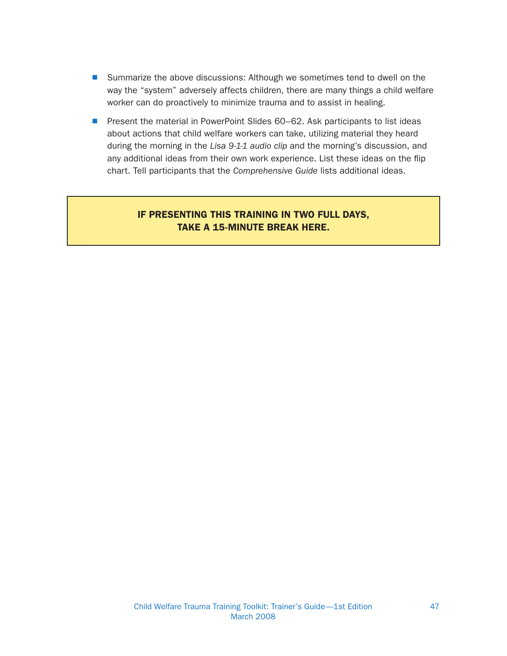- Summarize the above discussions: Although we sometimes tend to dwell on the way the "system" adversely affects children, there are many things a child welfare worker can do proactively to minimize trauma and to assist in healing.
- Present the material in PowerPoint Slides 60–62. Ask participants to list ideas about actions that child welfare workers can take, utilizing material they heard during the morning in the Lisa 9-1-1 audio clip and the morning's discussion, and any additional ideas from their own work experience. List these ideas on the flip chart. Tell participants that the Comprehensive Guide lists additional ideas.

## IF PRESENTING THIS TRAINING IN TWO FULL DAYS, TAKE A 15-MINUTE BREAK HERE.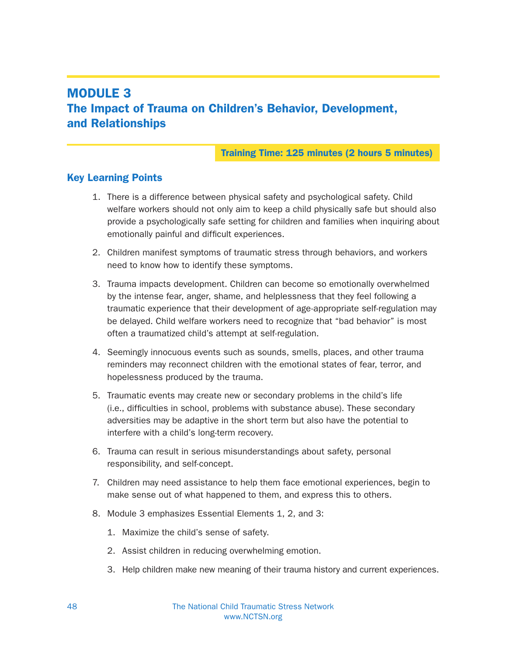# MODULE 3 The Impact of Trauma on Children's Behavior, Development, and Relationships

### Training Time: 125 minutes (2 hours 5 minutes)

## Key Learning Points

- 1. There is a difference between physical safety and psychological safety. Child welfare workers should not only aim to keep a child physically safe but should also provide a psychologically safe setting for children and families when inquiring about emotionally painful and difficult experiences.
- 2. Children manifest symptoms of traumatic stress through behaviors, and workers need to know how to identify these symptoms.
- 3. Trauma impacts development. Children can become so emotionally overwhelmed by the intense fear, anger, shame, and helplessness that they feel following a traumatic experience that their development of age-appropriate self-regulation may be delayed. Child welfare workers need to recognize that "bad behavior" is most often a traumatized child's attempt at self-regulation.
- 4. Seemingly innocuous events such as sounds, smells, places, and other trauma reminders may reconnect children with the emotional states of fear, terror, and hopelessness produced by the trauma.
- 5. Traumatic events may create new or secondary problems in the child's life (i.e., difficulties in school, problems with substance abuse). These secondary adversities may be adaptive in the short term but also have the potential to interfere with a child's long-term recovery.
- 6. Trauma can result in serious misunderstandings about safety, personal responsibility, and self-concept.
- 7. Children may need assistance to help them face emotional experiences, begin to make sense out of what happened to them, and express this to others.
- 8. Module 3 emphasizes Essential Elements 1, 2, and 3:
	- 1. Maximize the child's sense of safety.
	- 2. Assist children in reducing overwhelming emotion.
	- 3. Help children make new meaning of their trauma history and current experiences.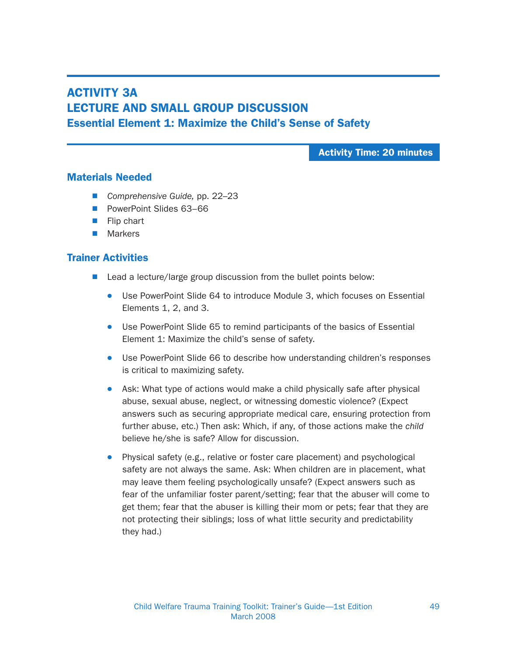## ACTIVITY 3A LECTURE AND SMALL GROUP DISCUSSION Essential Element 1: Maximize the Child's Sense of Safety

Activity Time: 20 minutes

### Materials Needed

- Comprehensive Guide, pp. 22–23
- PowerPoint Slides 63–66
- $\blacksquare$  Flip chart
- $\blacksquare$  Markers

- $\blacksquare$  Lead a lecture/large group discussion from the bullet points below:
	- Use PowerPoint Slide 64 to introduce Module 3, which focuses on Essential Elements 1, 2, and 3.
	- Use PowerPoint Slide 65 to remind participants of the basics of Essential Element 1: Maximize the child's sense of safety.
	- Use PowerPoint Slide 66 to describe how understanding children's responses is critical to maximizing safety.
	- Ask: What type of actions would make a child physically safe after physical abuse, sexual abuse, neglect, or witnessing domestic violence? (Expect answers such as securing appropriate medical care, ensuring protection from further abuse, etc.) Then ask: Which, if any, of those actions make the child believe he/she is safe? Allow for discussion.
	- Physical safety (e.g., relative or foster care placement) and psychological safety are not always the same. Ask: When children are in placement, what may leave them feeling psychologically unsafe? (Expect answers such as fear of the unfamiliar foster parent/setting; fear that the abuser will come to get them; fear that the abuser is killing their mom or pets; fear that they are not protecting their siblings; loss of what little security and predictability they had.)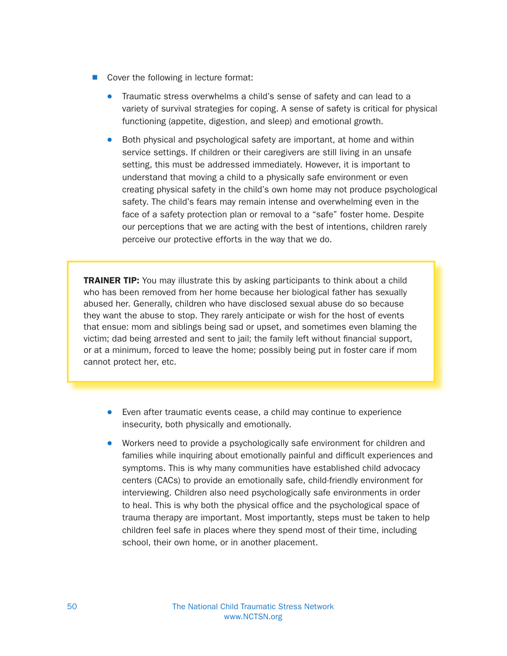- $\blacksquare$  Cover the following in lecture format:
	- Traumatic stress overwhelms a child's sense of safety and can lead to a variety of survival strategies for coping. A sense of safety is critical for physical functioning (appetite, digestion, and sleep) and emotional growth.
	- Both physical and psychological safety are important, at home and within service settings. If children or their caregivers are still living in an unsafe setting, this must be addressed immediately. However, it is important to understand that moving a child to a physically safe environment or even creating physical safety in the child's own home may not produce psychological safety. The child's fears may remain intense and overwhelming even in the face of a safety protection plan or removal to a "safe" foster home. Despite our perceptions that we are acting with the best of intentions, children rarely perceive our protective efforts in the way that we do.

**TRAINER TIP:** You may illustrate this by asking participants to think about a child who has been removed from her home because her biological father has sexually abused her. Generally, children who have disclosed sexual abuse do so because they want the abuse to stop. They rarely anticipate or wish for the host of events that ensue: mom and siblings being sad or upset, and sometimes even blaming the victim; dad being arrested and sent to jail; the family left without financial support, or at a minimum, forced to leave the home; possibly being put in foster care if mom cannot protect her, etc.

- Even after traumatic events cease, a child may continue to experience insecurity, both physically and emotionally.
- Workers need to provide a psychologically safe environment for children and families while inquiring about emotionally painful and difficult experiences and symptoms. This is why many communities have established child advocacy centers (CACs) to provide an emotionally safe, child-friendly environment for interviewing. Children also need psychologically safe environments in order to heal. This is why both the physical office and the psychological space of trauma therapy are important. Most importantly, steps must be taken to help children feel safe in places where they spend most of their time, including school, their own home, or in another placement.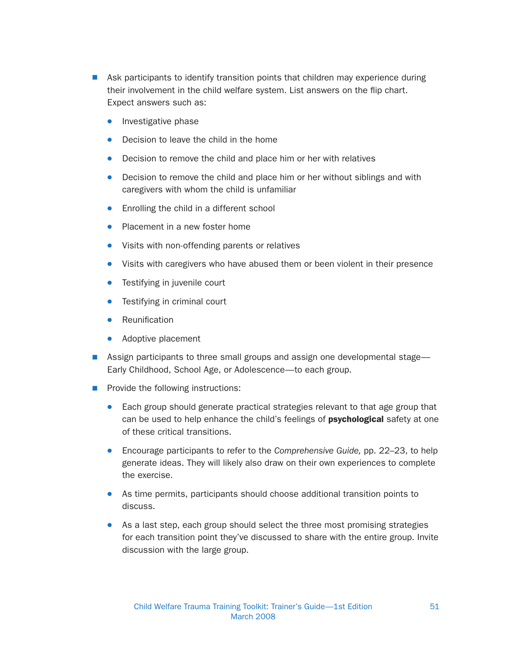- **Now Ask participants to identify transition points that children may experience during** their involvement in the child welfare system. List answers on the flip chart. Expect answers such as:
	- $\bullet$  Investigative phase
	- $\bullet$  Decision to leave the child in the home
	- Decision to remove the child and place him or her with relatives
	- Decision to remove the child and place him or her without siblings and with caregivers with whom the child is unfamiliar
	- Enrolling the child in a different school
	- Placement in a new foster home
	- Visits with non-offending parents or relatives
	- Visits with caregivers who have abused them or been violent in their presence
	- Testifying in juvenile court
	- $\bullet$  Testifying in criminal court
	- $\bullet$  Reunification
	- $\bullet$  Adoptive placement
- Assign participants to three small groups and assign one developmental stage— Early Childhood, School Age, or Adolescence—to each group.
- $\blacksquare$  Provide the following instructions:
	- Each group should generate practical strategies relevant to that age group that can be used to help enhance the child's feelings of **psychological** safety at one of these critical transitions.
	- Encourage participants to refer to the Comprehensive Guide, pp. 22–23, to help generate ideas. They will likely also draw on their own experiences to complete the exercise.
	- As time permits, participants should choose additional transition points to discuss.
	- As a last step, each group should select the three most promising strategies for each transition point they've discussed to share with the entire group. Invite discussion with the large group.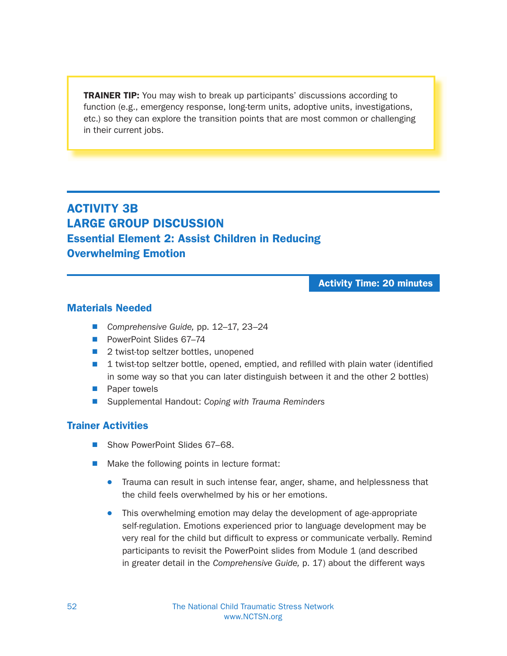**TRAINER TIP:** You may wish to break up participants' discussions according to function (e.g., emergency response, long-term units, adoptive units, investigations, etc.) so they can explore the transition points that are most common or challenging in their current jobs.

ACTIVITY 3B LARGE GROUP DISCUSSION Essential Element 2: Assist Children in Reducing Overwhelming Emotion

Activity Time: 20 minutes

### Materials Needed

- Comprehensive Guide, pp. 12–17, 23–24
- PowerPoint Slides 67–74
- 2 twist-top seltzer bottles, unopened
- $\blacksquare$  1 twist-top seltzer bottle, opened, emptied, and refilled with plain water (identified in some way so that you can later distinguish between it and the other 2 bottles)
- **N** Paper towels
- Supplemental Handout: Coping with Trauma Reminders

- Show PowerPoint Slides 67–68.
- $\blacksquare$  Make the following points in lecture format:
	- Trauma can result in such intense fear, anger, shame, and helplessness that the child feels overwhelmed by his or her emotions.
	- This overwhelming emotion may delay the development of age-appropriate self-regulation. Emotions experienced prior to language development may be very real for the child but difficult to express or communicate verbally. Remind participants to revisit the PowerPoint slides from Module 1 (and described in greater detail in the Comprehensive Guide, p. 17) about the different ways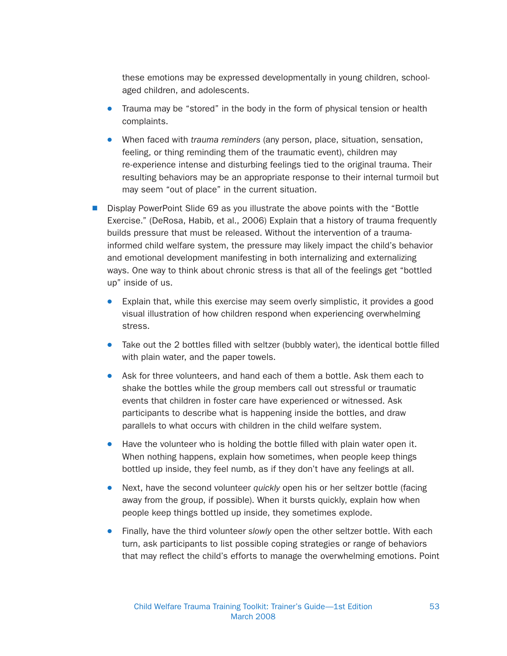these emotions may be expressed developmentally in young children, schoolaged children, and adolescents.

- Trauma may be "stored" in the body in the form of physical tension or health complaints.
- When faced with *trauma reminders* (any person, place, situation, sensation, feeling, or thing reminding them of the traumatic event), children may re-experience intense and disturbing feelings tied to the original trauma. Their resulting behaviors may be an appropriate response to their internal turmoil but may seem "out of place" in the current situation.
- Display PowerPoint Slide 69 as you illustrate the above points with the "Bottle" Exercise." (DeRosa, Habib, et al., 2006) Explain that a history of trauma frequently builds pressure that must be released. Without the intervention of a traumainformed child welfare system, the pressure may likely impact the child's behavior and emotional development manifesting in both internalizing and externalizing ways. One way to think about chronic stress is that all of the feelings get "bottled up" inside of us.
	- $\bullet$  Explain that, while this exercise may seem overly simplistic, it provides a good visual illustration of how children respond when experiencing overwhelming stress.
	- $\bullet$  Take out the 2 bottles filled with seltzer (bubbly water), the identical bottle filled with plain water, and the paper towels.
	- Ask for three volunteers, and hand each of them a bottle. Ask them each to shake the bottles while the group members call out stressful or traumatic events that children in foster care have experienced or witnessed. Ask participants to describe what is happening inside the bottles, and draw parallels to what occurs with children in the child welfare system.
	- Have the volunteer who is holding the bottle filled with plain water open it. When nothing happens, explain how sometimes, when people keep things bottled up inside, they feel numb, as if they don't have any feelings at all.
	- Next, have the second volunteer quickly open his or her seltzer bottle (facing away from the group, if possible). When it bursts quickly, explain how when people keep things bottled up inside, they sometimes explode.
	- Finally, have the third volunteer slowly open the other seltzer bottle. With each turn, ask participants to list possible coping strategies or range of behaviors that may reflect the child's efforts to manage the overwhelming emotions. Point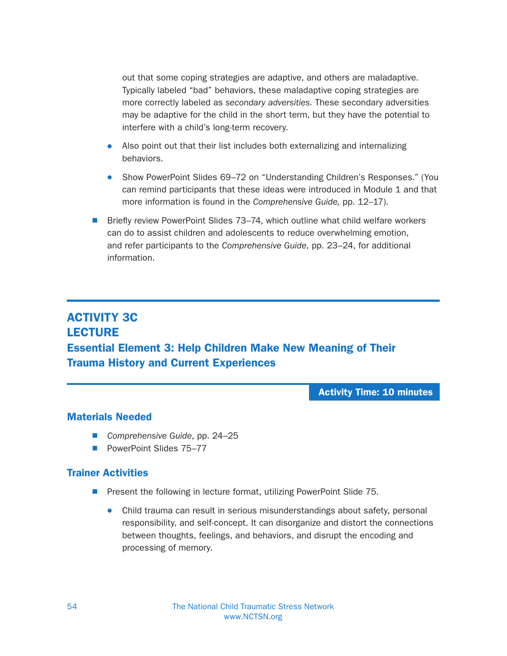out that some coping strategies are adaptive, and others are maladaptive. Typically labeled "bad" behaviors, these maladaptive coping strategies are more correctly labeled as secondary adversities. These secondary adversities may be adaptive for the child in the short term, but they have the potential to interfere with a child's long-term recovery.

- Also point out that their list includes both externalizing and internalizing behaviors.
- Show PowerPoint Slides 69–72 on "Understanding Children's Responses." (You can remind participants that these ideas were introduced in Module 1 and that more information is found in the Comprehensive Guide, pp. 12–17).
- Briefly review PowerPoint Slides 73–74, which outline what child welfare workers can do to assist children and adolescents to reduce overwhelming emotion, and refer participants to the Comprehensive Guide, pp. 23–24, for additional information.

# ACTIVITY 3C **LECTURE** Essential Element 3: Help Children Make New Meaning of Their Trauma History and Current Experiences

Activity Time: 10 minutes

## Materials Needed

- Comprehensive Guide, pp. 24–25
- PowerPoint Slides 75–77

- **Present the following in lecture format, utilizing PowerPoint Slide 75.** 
	- Child trauma can result in serious misunderstandings about safety, personal responsibility, and self-concept. It can disorganize and distort the connections between thoughts, feelings, and behaviors, and disrupt the encoding and processing of memory.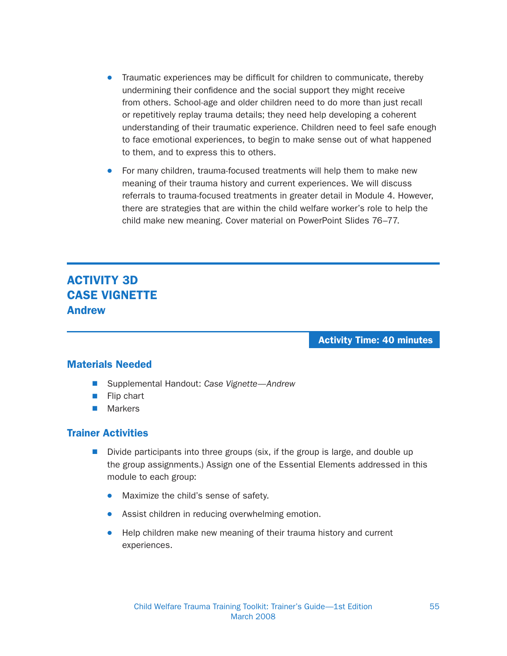- Traumatic experiences may be difficult for children to communicate, thereby undermining their confidence and the social support they might receive from others. School-age and older children need to do more than just recall or repetitively replay trauma details; they need help developing a coherent understanding of their traumatic experience. Children need to feel safe enough to face emotional experiences, to begin to make sense out of what happened to them, and to express this to others.
- For many children, trauma-focused treatments will help them to make new meaning of their trauma history and current experiences. We will discuss referrals to trauma-focused treatments in greater detail in Module 4. However, there are strategies that are within the child welfare worker's role to help the child make new meaning. Cover material on PowerPoint Slides 76–77.

# ACTIVITY 3D CASE VIGNETTE Andrew

Activity Time: 40 minutes

## Materials Needed

- Supplemental Handout: Case Vignette—Andrew
- $\blacksquare$  Flip chart
- $\blacksquare$  Markers

- $\blacksquare$  Divide participants into three groups (six, if the group is large, and double up the group assignments.) Assign one of the Essential Elements addressed in this module to each group:
	- Maximize the child's sense of safety.
	- Assist children in reducing overwhelming emotion.
	- Help children make new meaning of their trauma history and current experiences.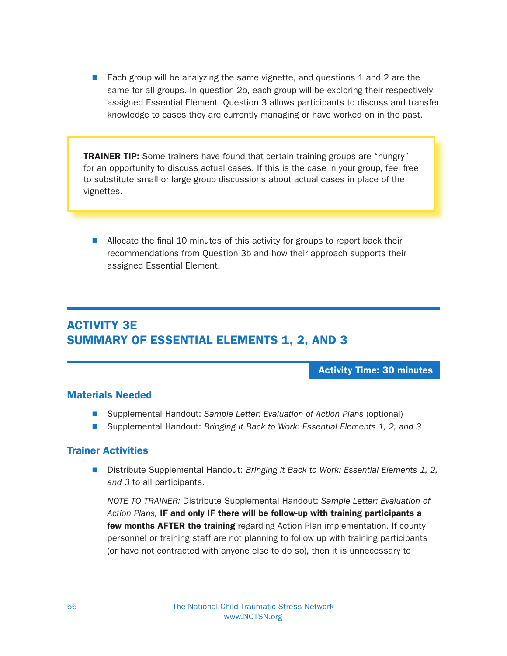■ Each group will be analyzing the same vignette, and questions 1 and 2 are the same for all groups. In question 2b, each group will be exploring their respectively assigned Essential Element. Question 3 allows participants to discuss and transfer knowledge to cases they are currently managing or have worked on in the past.

**TRAINER TIP:** Some trainers have found that certain training groups are "hungry" for an opportunity to discuss actual cases. If this is the case in your group, feel free to substitute small or large group discussions about actual cases in place of the vignettes.

■ Allocate the final 10 minutes of this activity for groups to report back their recommendations from Question 3b and how their approach supports their assigned Essential Element.

# ACTIVITY 3E SUMMARY OF ESSENTIAL ELEMENTS 1, 2, AND 3

Activity Time: 30 minutes

### Materials Needed

- Supplemental Handout: Sample Letter: Evaluation of Action Plans (optional)
- Supplemental Handout: Bringing It Back to Work: Essential Elements 1, 2, and 3

## Trainer Activities

■ Distribute Supplemental Handout: Bringing It Back to Work: Essential Elements 1, 2, and 3 to all participants.

NOTE TO TRAINER: Distribute Supplemental Handout: Sample Letter: Evaluation of Action Plans, IF and only IF there will be follow-up with training participants a few months AFTER the training regarding Action Plan implementation. If county personnel or training staff are not planning to follow up with training participants (or have not contracted with anyone else to do so), then it is unnecessary to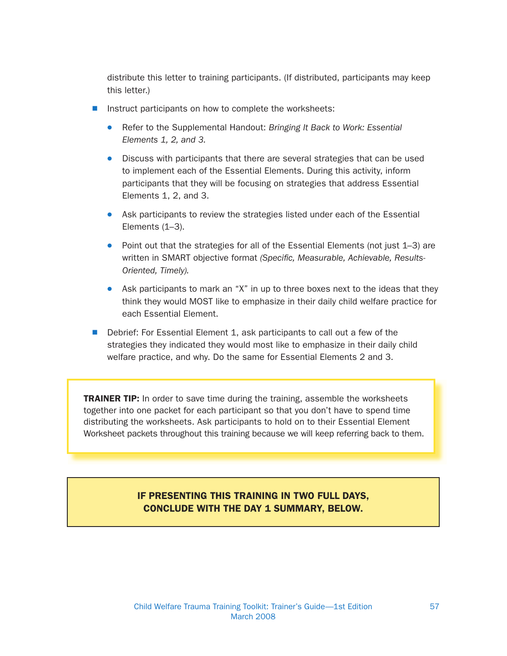distribute this letter to training participants. (If distributed, participants may keep this letter.)

- Instruct participants on how to complete the worksheets:
	- Refer to the Supplemental Handout: Bringing It Back to Work: Essential Elements 1, 2, and 3.
	- Discuss with participants that there are several strategies that can be used to implement each of the Essential Elements. During this activity, inform participants that they will be focusing on strategies that address Essential Elements 1, 2, and 3.
	- Ask participants to review the strategies listed under each of the Essential Elements (1–3).
	- Point out that the strategies for all of the Essential Elements (not just 1-3) are written in SMART objective format (Specific, Measurable, Achievable, Results-Oriented, Timely).
	- Ask participants to mark an "X" in up to three boxes next to the ideas that they think they would MOST like to emphasize in their daily child welfare practice for each Essential Element.
- $\blacksquare$  Debrief: For Essential Element 1, ask participants to call out a few of the strategies they indicated they would most like to emphasize in their daily child welfare practice, and why. Do the same for Essential Elements 2 and 3.

**TRAINER TIP:** In order to save time during the training, assemble the worksheets together into one packet for each participant so that you don't have to spend time distributing the worksheets. Ask participants to hold on to their Essential Element Worksheet packets throughout this training because we will keep referring back to them.

## IF PRESENTING THIS TRAINING IN TWO FULL DAYS, CONCLUDE WITH THE DAY 1 SUMMARY, BELOW.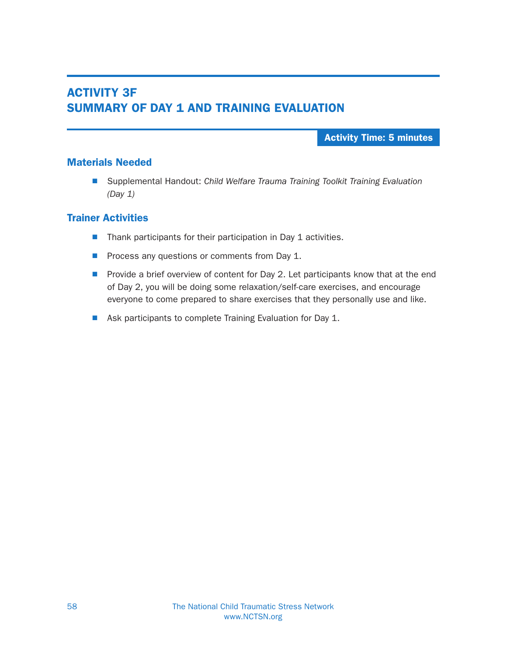# ACTIVITY 3F SUMMARY OF DAY 1 AND TRAINING EVALUATION

### Activity Time: 5 minutes

### Materials Needed

■ Supplemental Handout: Child Welfare Trauma Training Toolkit Training Evaluation (Day 1)

- $\blacksquare$  Thank participants for their participation in Day 1 activities.
- Process any questions or comments from Day 1.
- $\blacksquare$  Provide a brief overview of content for Day 2. Let participants know that at the end of Day 2, you will be doing some relaxation/self-care exercises, and encourage everyone to come prepared to share exercises that they personally use and like.
- Ask participants to complete Training Evaluation for Day 1.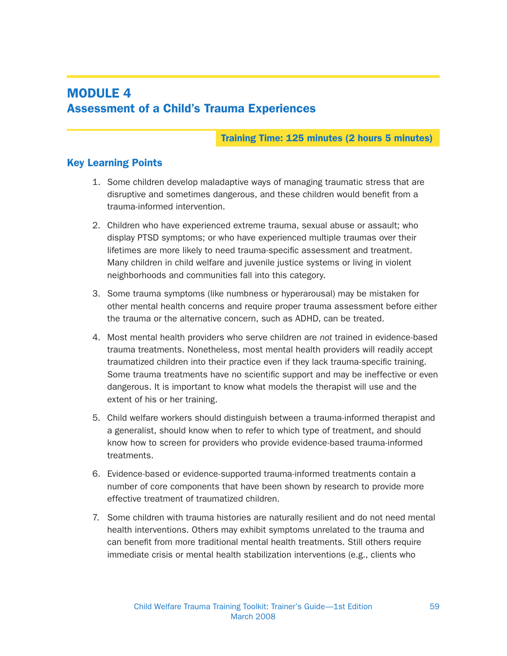# MODULE 4 Assessment of a Child's Trauma Experiences

Training Time: 125 minutes (2 hours 5 minutes)

## Key Learning Points

- 1. Some children develop maladaptive ways of managing traumatic stress that are disruptive and sometimes dangerous, and these children would benefit from a trauma-informed intervention.
- 2. Children who have experienced extreme trauma, sexual abuse or assault; who display PTSD symptoms; or who have experienced multiple traumas over their lifetimes are more likely to need trauma-specific assessment and treatment. Many children in child welfare and juvenile justice systems or living in violent neighborhoods and communities fall into this category.
- 3. Some trauma symptoms (like numbness or hyperarousal) may be mistaken for other mental health concerns and require proper trauma assessment before either the trauma or the alternative concern, such as ADHD, can be treated.
- 4. Most mental health providers who serve children are not trained in evidence-based trauma treatments. Nonetheless, most mental health providers will readily accept traumatized children into their practice even if they lack trauma-specific training. Some trauma treatments have no scientific support and may be ineffective or even dangerous. It is important to know what models the therapist will use and the extent of his or her training.
- 5. Child welfare workers should distinguish between a trauma-informed therapist and a generalist, should know when to refer to which type of treatment, and should know how to screen for providers who provide evidence-based trauma-informed treatments.
- 6. Evidence-based or evidence-supported trauma-informed treatments contain a number of core components that have been shown by research to provide more effective treatment of traumatized children.
- 7. Some children with trauma histories are naturally resilient and do not need mental health interventions. Others may exhibit symptoms unrelated to the trauma and can benefit from more traditional mental health treatments. Still others require immediate crisis or mental health stabilization interventions (e.g., clients who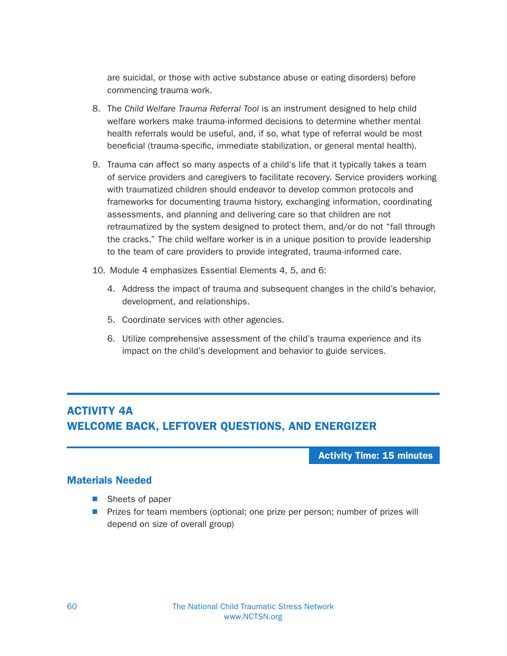are suicidal, or those with active substance abuse or eating disorders) before commencing trauma work.

- 8. The Child Welfare Trauma Referral Tool is an instrument designed to help child welfare workers make trauma-informed decisions to determine whether mental health referrals would be useful, and, if so, what type of referral would be most beneficial (trauma-specific, immediate stabilization, or general mental health).
- 9. Trauma can affect so many aspects of a child's life that it typically takes a team of service providers and caregivers to facilitate recovery. Service providers working with traumatized children should endeavor to develop common protocols and frameworks for documenting trauma history, exchanging information, coordinating assessments, and planning and delivering care so that children are not retraumatized by the system designed to protect them, and/or do not "fall through the cracks." The child welfare worker is in a unique position to provide leadership to the team of care providers to provide integrated, trauma-informed care.
- 10. Module 4 emphasizes Essential Elements 4, 5, and 6:
	- 4. Address the impact of trauma and subsequent changes in the child's behavior, development, and relationships.
	- 5. Coordinate services with other agencies.
	- 6. Utilize comprehensive assessment of the child's trauma experience and its impact on the child's development and behavior to guide services.

## ACTIVITY 4A WELCOME BACK, LEFTOVER QUESTIONS, AND ENERGIZER

Activity Time: 15 minutes

### Materials Needed

- $\blacksquare$  Sheets of paper
- **N** Prizes for team members (optional; one prize per person; number of prizes will depend on size of overall group)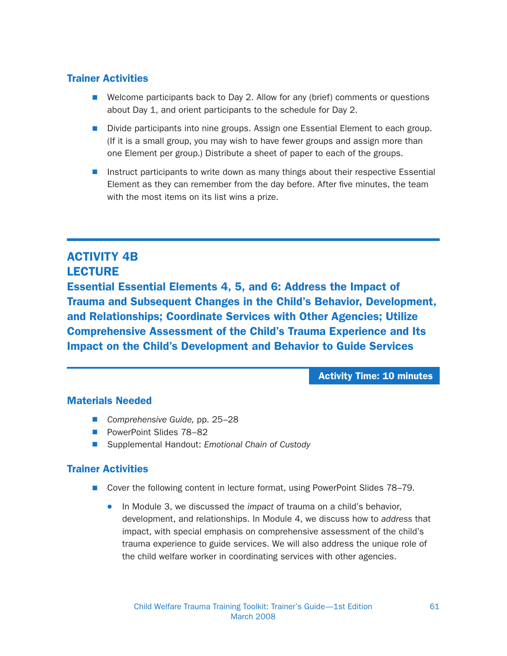## Trainer Activities

- $\blacksquare$  Welcome participants back to Day 2. Allow for any (brief) comments or questions about Day 1, and orient participants to the schedule for Day 2.
- Divide participants into nine groups. Assign one Essential Element to each group. (If it is a small group, you may wish to have fewer groups and assign more than one Element per group.) Distribute a sheet of paper to each of the groups.
- **N** Instruct participants to write down as many things about their respective Essential Element as they can remember from the day before. After five minutes, the team with the most items on its list wins a prize.

## ACTIVITY 4B **LECTURE**

Essential Essential Elements 4, 5, and 6: Address the Impact of Trauma and Subsequent Changes in the Child's Behavior, Development, and Relationships; Coordinate Services with Other Agencies; Utilize Comprehensive Assessment of the Child's Trauma Experience and Its Impact on the Child's Development and Behavior to Guide Services

Activity Time: 10 minutes

## Materials Needed

- Comprehensive Guide, pp. 25–28
- PowerPoint Slides 78-82
- Supplemental Handout: Emotional Chain of Custody

- Cover the following content in lecture format, using PowerPoint Slides 78–79.
	- In Module 3, we discussed the *impact* of trauma on a child's behavior, development, and relationships. In Module 4, we discuss how to address that impact, with special emphasis on comprehensive assessment of the child's trauma experience to guide services. We will also address the unique role of the child welfare worker in coordinating services with other agencies.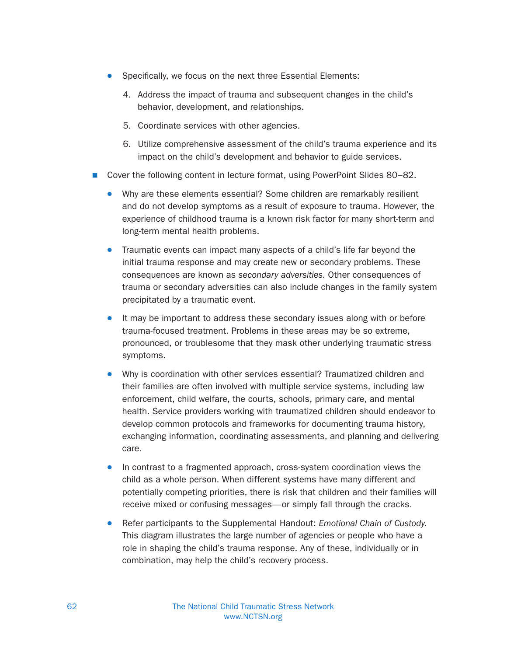- $\bullet$  Specifically, we focus on the next three Essential Elements:
	- 4. Address the impact of trauma and subsequent changes in the child's behavior, development, and relationships.
	- 5. Coordinate services with other agencies.
	- 6. Utilize comprehensive assessment of the child's trauma experience and its impact on the child's development and behavior to guide services.
- Cover the following content in lecture format, using PowerPoint Slides 80–82.
	- Why are these elements essential? Some children are remarkably resilient and do not develop symptoms as a result of exposure to trauma. However, the experience of childhood trauma is a known risk factor for many short-term and long-term mental health problems.
	- Traumatic events can impact many aspects of a child's life far beyond the initial trauma response and may create new or secondary problems. These consequences are known as secondary adversities. Other consequences of trauma or secondary adversities can also include changes in the family system precipitated by a traumatic event.
	- $\bullet$  It may be important to address these secondary issues along with or before trauma-focused treatment. Problems in these areas may be so extreme, pronounced, or troublesome that they mask other underlying traumatic stress symptoms.
	- Why is coordination with other services essential? Traumatized children and their families are often involved with multiple service systems, including law enforcement, child welfare, the courts, schools, primary care, and mental health. Service providers working with traumatized children should endeavor to develop common protocols and frameworks for documenting trauma history, exchanging information, coordinating assessments, and planning and delivering care.
	- In contrast to a fragmented approach, cross-system coordination views the child as a whole person. When different systems have many different and potentially competing priorities, there is risk that children and their families will receive mixed or confusing messages—or simply fall through the cracks.
	- Refer participants to the Supplemental Handout: Emotional Chain of Custody. This diagram illustrates the large number of agencies or people who have a role in shaping the child's trauma response. Any of these, individually or in combination, may help the child's recovery process.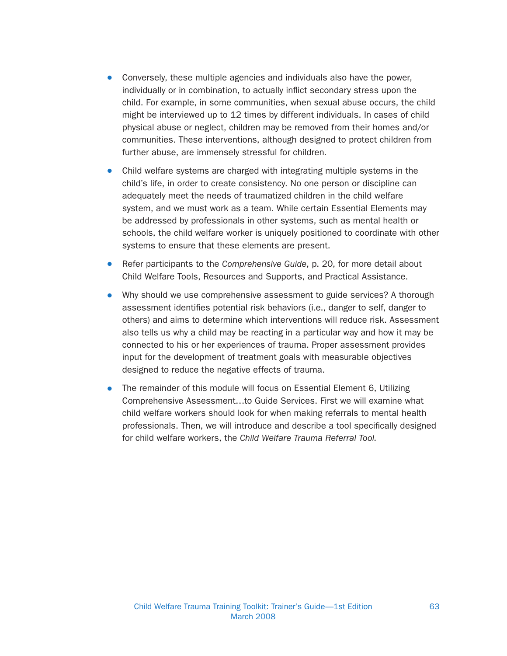- Conversely, these multiple agencies and individuals also have the power, individually or in combination, to actually inflict secondary stress upon the child. For example, in some communities, when sexual abuse occurs, the child might be interviewed up to 12 times by different individuals. In cases of child physical abuse or neglect, children may be removed from their homes and/or communities. These interventions, although designed to protect children from further abuse, are immensely stressful for children.
- Child welfare systems are charged with integrating multiple systems in the child's life, in order to create consistency. No one person or discipline can adequately meet the needs of traumatized children in the child welfare system, and we must work as a team. While certain Essential Elements may be addressed by professionals in other systems, such as mental health or schools, the child welfare worker is uniquely positioned to coordinate with other systems to ensure that these elements are present.
- Refer participants to the Comprehensive Guide, p. 20, for more detail about Child Welfare Tools, Resources and Supports, and Practical Assistance.
- Why should we use comprehensive assessment to guide services? A thorough assessment identifies potential risk behaviors (i.e., danger to self, danger to others) and aims to determine which interventions will reduce risk. Assessment also tells us why a child may be reacting in a particular way and how it may be connected to his or her experiences of trauma. Proper assessment provides input for the development of treatment goals with measurable objectives designed to reduce the negative effects of trauma.
- The remainder of this module will focus on Essential Element 6, Utilizing Comprehensive Assessment…to Guide Services. First we will examine what child welfare workers should look for when making referrals to mental health professionals. Then, we will introduce and describe a tool specifically designed for child welfare workers, the Child Welfare Trauma Referral Tool.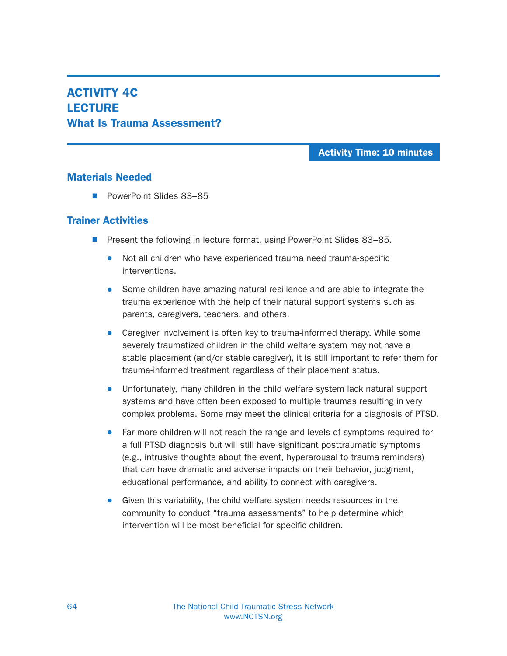## ACTIVITY 4C **LECTURE** What Is Trauma Assessment?

Activity Time: 10 minutes

### Materials Needed

■ PowerPoint Slides 83-85

- Present the following in lecture format, using PowerPoint Slides 83–85.
	- Not all children who have experienced trauma need trauma-specific interventions.
	- Some children have amazing natural resilience and are able to integrate the trauma experience with the help of their natural support systems such as parents, caregivers, teachers, and others.
	- Caregiver involvement is often key to trauma-informed therapy. While some severely traumatized children in the child welfare system may not have a stable placement (and/or stable caregiver), it is still important to refer them for trauma-informed treatment regardless of their placement status.
	- Unfortunately, many children in the child welfare system lack natural support systems and have often been exposed to multiple traumas resulting in very complex problems. Some may meet the clinical criteria for a diagnosis of PTSD.
	- Far more children will not reach the range and levels of symptoms required for a full PTSD diagnosis but will still have significant posttraumatic symptoms (e.g., intrusive thoughts about the event, hyperarousal to trauma reminders) that can have dramatic and adverse impacts on their behavior, judgment, educational performance, and ability to connect with caregivers.
	- Given this variability, the child welfare system needs resources in the community to conduct "trauma assessments" to help determine which intervention will be most beneficial for specific children.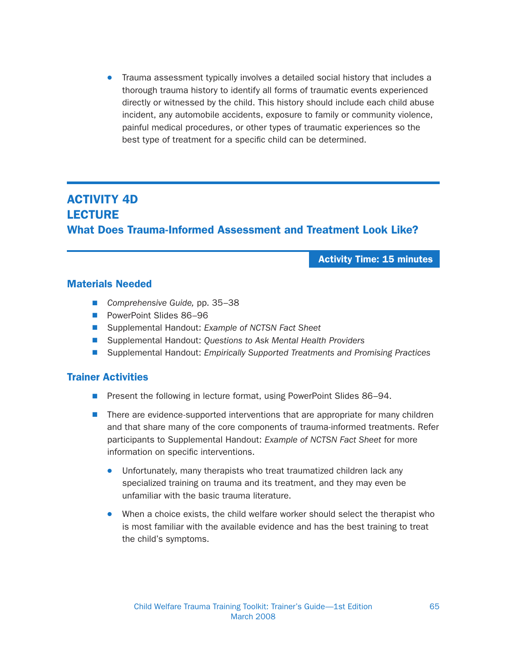• Trauma assessment typically involves a detailed social history that includes a thorough trauma history to identify all forms of traumatic events experienced directly or witnessed by the child. This history should include each child abuse incident, any automobile accidents, exposure to family or community violence, painful medical procedures, or other types of traumatic experiences so the best type of treatment for a specific child can be determined.

# ACTIVITY 4D **LECTURE** What Does Trauma-Informed Assessment and Treatment Look Like?

Activity Time: 15 minutes

### Materials Needed

- Comprehensive Guide, pp. 35–38
- PowerPoint Slides 86–96
- Supplemental Handout: Example of NCTSN Fact Sheet
- Supplemental Handout: Questions to Ask Mental Health Providers
- **N** Supplemental Handout: Empirically Supported Treatments and Promising Practices

- Present the following in lecture format, using PowerPoint Slides 86-94.
- **n** There are evidence-supported interventions that are appropriate for many children and that share many of the core components of trauma-informed treatments. Refer participants to Supplemental Handout: Example of NCTSN Fact Sheet for more information on specific interventions.
	- Unfortunately, many therapists who treat traumatized children lack any specialized training on trauma and its treatment, and they may even be unfamiliar with the basic trauma literature.
	- When a choice exists, the child welfare worker should select the therapist who is most familiar with the available evidence and has the best training to treat the child's symptoms.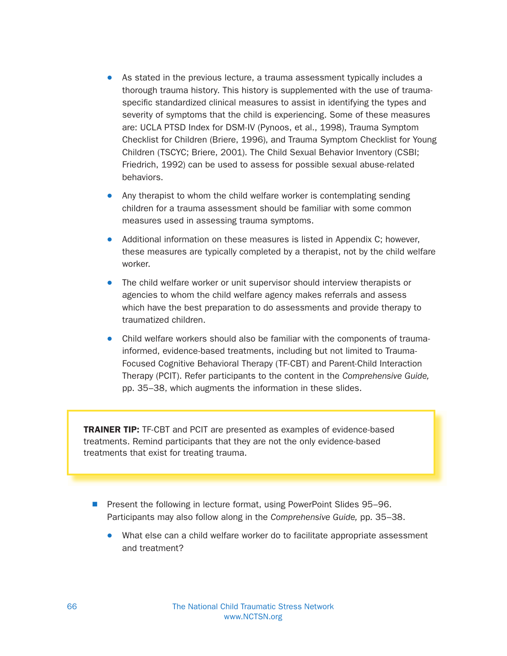- As stated in the previous lecture, a trauma assessment typically includes a thorough trauma history. This history is supplemented with the use of traumaspecific standardized clinical measures to assist in identifying the types and severity of symptoms that the child is experiencing. Some of these measures are: UCLA PTSD Index for DSM-IV (Pynoos, et al., 1998), Trauma Symptom Checklist for Children (Briere, 1996), and Trauma Symptom Checklist for Young Children (TSCYC; Briere, 2001). The Child Sexual Behavior Inventory (CSBI; Friedrich, 1992) can be used to assess for possible sexual abuse-related behaviors.
- Any therapist to whom the child welfare worker is contemplating sending children for a trauma assessment should be familiar with some common measures used in assessing trauma symptoms.
- Additional information on these measures is listed in Appendix C; however, these measures are typically completed by a therapist, not by the child welfare worker.
- The child welfare worker or unit supervisor should interview therapists or agencies to whom the child welfare agency makes referrals and assess which have the best preparation to do assessments and provide therapy to traumatized children.
- Child welfare workers should also be familiar with the components of traumainformed, evidence-based treatments, including but not limited to Trauma-Focused Cognitive Behavioral Therapy (TF-CBT) and Parent-Child Interaction Therapy (PCIT). Refer participants to the content in the Comprehensive Guide, pp. 35–38, which augments the information in these slides.

TRAINER TIP: TF-CBT and PCIT are presented as examples of evidence-based treatments. Remind participants that they are not the only evidence-based treatments that exist for treating trauma.

- Present the following in lecture format, using PowerPoint Slides 95–96. Participants may also follow along in the Comprehensive Guide, pp. 35–38.
	- What else can a child welfare worker do to facilitate appropriate assessment and treatment?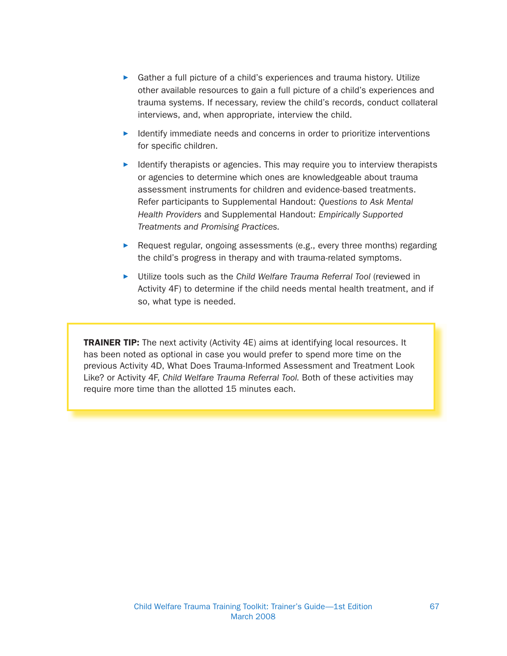- Gather a full picture of a child's experiences and trauma history. Utilize other available resources to gain a full picture of a child's experiences and trauma systems. If necessary, review the child's records, conduct collateral interviews, and, when appropriate, interview the child.
- Identify immediate needs and concerns in order to prioritize interventions for specific children.
- Identify therapists or agencies. This may require you to interview therapists or agencies to determine which ones are knowledgeable about trauma assessment instruments for children and evidence-based treatments. Refer participants to Supplemental Handout: Questions to Ask Mental Health Providers and Supplemental Handout: Empirically Supported Treatments and Promising Practices.
- Request regular, ongoing assessments (e.g., every three months) regarding the child's progress in therapy and with trauma-related symptoms.
- ▶ Utilize tools such as the Child Welfare Trauma Referral Tool (reviewed in Activity 4F) to determine if the child needs mental health treatment, and if so, what type is needed.

**TRAINER TIP:** The next activity (Activity 4E) aims at identifying local resources. It has been noted as optional in case you would prefer to spend more time on the previous Activity 4D, What Does Trauma-Informed Assessment and Treatment Look Like? or Activity 4F, Child Welfare Trauma Referral Tool. Both of these activities may require more time than the allotted 15 minutes each.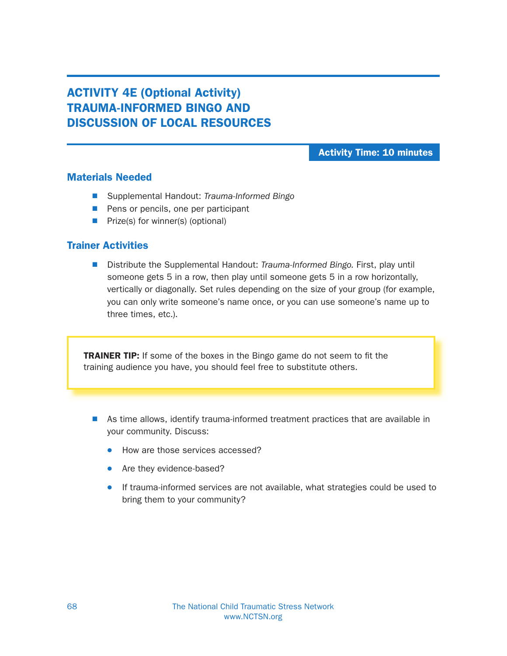# ACTIVITY 4E (Optional Activity) TRAUMA-INFORMED BINGO AND DISCUSSION OF LOCAL RESOURCES

### Activity Time: 10 minutes

### Materials Needed

- Supplemental Handout: Trauma-Informed Bingo
- **Pens or pencils, one per participant**
- $\blacksquare$  Prize(s) for winner(s) (optional)

### Trainer Activities

Distribute the Supplemental Handout: Trauma-Informed Bingo. First, play until someone gets 5 in a row, then play until someone gets 5 in a row horizontally, vertically or diagonally. Set rules depending on the size of your group (for example, you can only write someone's name once, or you can use someone's name up to three times, etc.).

TRAINER TIP: If some of the boxes in the Bingo game do not seem to fit the training audience you have, you should feel free to substitute others.

- As time allows, identify trauma-informed treatment practices that are available in your community. Discuss:
	- How are those services accessed?
	- Are they evidence-based?
	- **•** If trauma-informed services are not available, what strategies could be used to bring them to your community?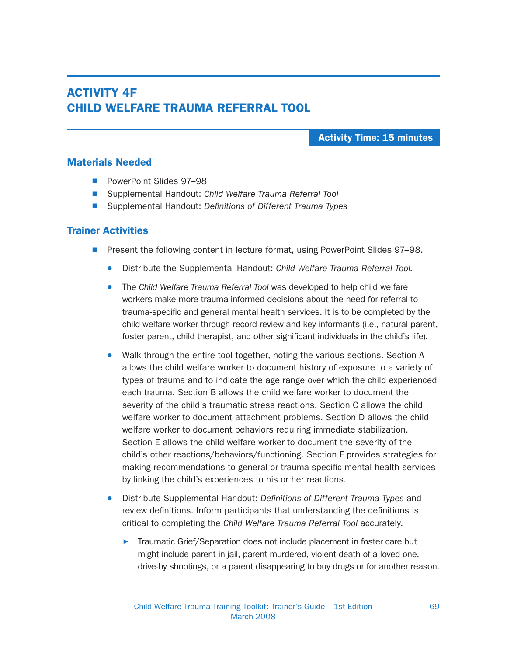## ACTIVITY 4F CHILD WELFARE TRAUMA REFERRAL TOOL

Activity Time: 15 minutes

#### Materials Needed

- PowerPoint Slides 97–98
- Supplemental Handout: Child Welfare Trauma Referral Tool
- Supplemental Handout: Definitions of Different Trauma Types

- Present the following content in lecture format, using PowerPoint Slides 97–98.
	- Distribute the Supplemental Handout: Child Welfare Trauma Referral Tool.
	- The Child Welfare Trauma Referral Tool was developed to help child welfare workers make more trauma-informed decisions about the need for referral to trauma-specific and general mental health services. It is to be completed by the child welfare worker through record review and key informants (i.e., natural parent, foster parent, child therapist, and other significant individuals in the child's life).
	- Walk through the entire tool together, noting the various sections. Section A allows the child welfare worker to document history of exposure to a variety of types of trauma and to indicate the age range over which the child experienced each trauma. Section B allows the child welfare worker to document the severity of the child's traumatic stress reactions. Section C allows the child welfare worker to document attachment problems. Section D allows the child welfare worker to document behaviors requiring immediate stabilization. Section E allows the child welfare worker to document the severity of the child's other reactions/behaviors/functioning. Section F provides strategies for making recommendations to general or trauma-specific mental health services by linking the child's experiences to his or her reactions.
	- Distribute Supplemental Handout: Definitions of Different Trauma Types and review definitions. Inform participants that understanding the definitions is critical to completing the Child Welfare Trauma Referral Tool accurately.
		- **Traumatic Grief/Separation does not include placement in foster care but** might include parent in jail, parent murdered, violent death of a loved one, drive-by shootings, or a parent disappearing to buy drugs or for another reason.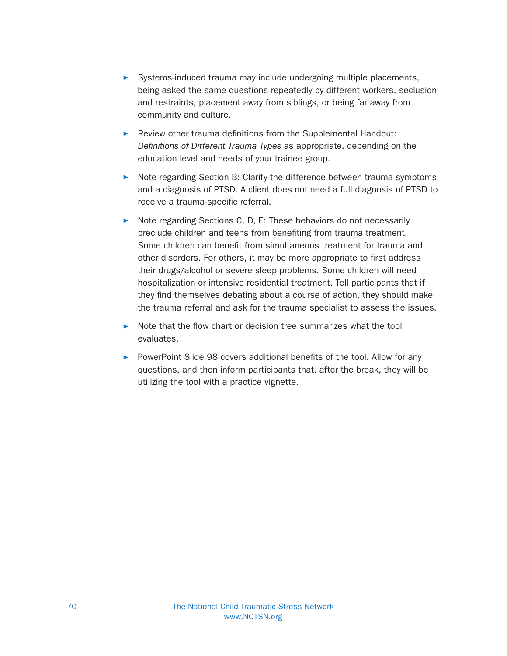- Systems-induced trauma may include undergoing multiple placements, being asked the same questions repeatedly by different workers, seclusion and restraints, placement away from siblings, or being far away from community and culture.
- $\blacktriangleright$  Review other trauma definitions from the Supplemental Handout: Definitions of Different Trauma Types as appropriate, depending on the education level and needs of your trainee group.
- ▶ Note regarding Section B: Clarify the difference between trauma symptoms and a diagnosis of PTSD. A client does not need a full diagnosis of PTSD to receive a trauma-specific referral.
- $\triangleright$  Note regarding Sections C, D, E: These behaviors do not necessarily preclude children and teens from benefiting from trauma treatment. Some children can benefit from simultaneous treatment for trauma and other disorders. For others, it may be more appropriate to first address their drugs/alcohol or severe sleep problems. Some children will need hospitalization or intensive residential treatment. Tell participants that if they find themselves debating about a course of action, they should make the trauma referral and ask for the trauma specialist to assess the issues.
- $\triangleright$  Note that the flow chart or decision tree summarizes what the tool evaluates.
- PowerPoint Slide 98 covers additional benefits of the tool. Allow for any questions, and then inform participants that, after the break, they will be utilizing the tool with a practice vignette.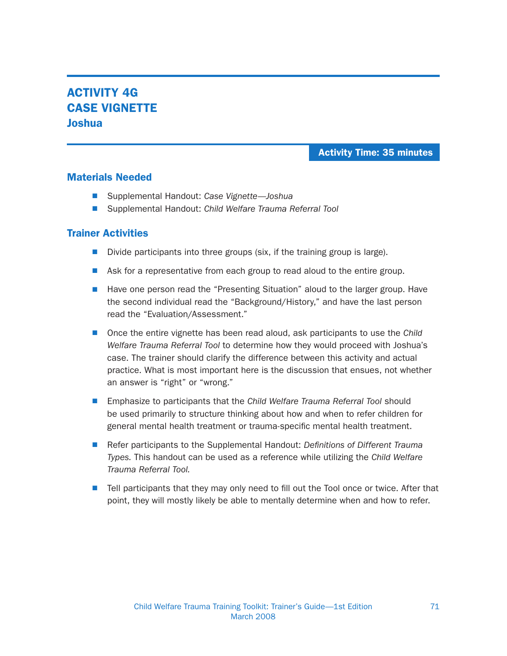# ACTIVITY 4G CASE VIGNETTE Joshua

### Activity Time: 35 minutes

### Materials Needed

- Supplemental Handout: Case Vignette—Joshua
- Supplemental Handout: Child Welfare Trauma Referral Tool

- Divide participants into three groups (six, if the training group is large).
- **N** Ask for a representative from each group to read aloud to the entire group.
- Have one person read the "Presenting Situation" aloud to the larger group. Have the second individual read the "Background/History," and have the last person read the "Evaluation/Assessment."
- Once the entire vignette has been read aloud, ask participants to use the Child Welfare Trauma Referral Tool to determine how they would proceed with Joshua's case. The trainer should clarify the difference between this activity and actual practice. What is most important here is the discussion that ensues, not whether an answer is "right" or "wrong."
- **Emphasize to participants that the Child Welfare Trauma Referral Tool should** be used primarily to structure thinking about how and when to refer children for general mental health treatment or trauma-specific mental health treatment.
- **N** Refer participants to the Supplemental Handout: Definitions of Different Trauma Types. This handout can be used as a reference while utilizing the Child Welfare Trauma Referral Tool.
- $\blacksquare$  Tell participants that they may only need to fill out the Tool once or twice. After that point, they will mostly likely be able to mentally determine when and how to refer.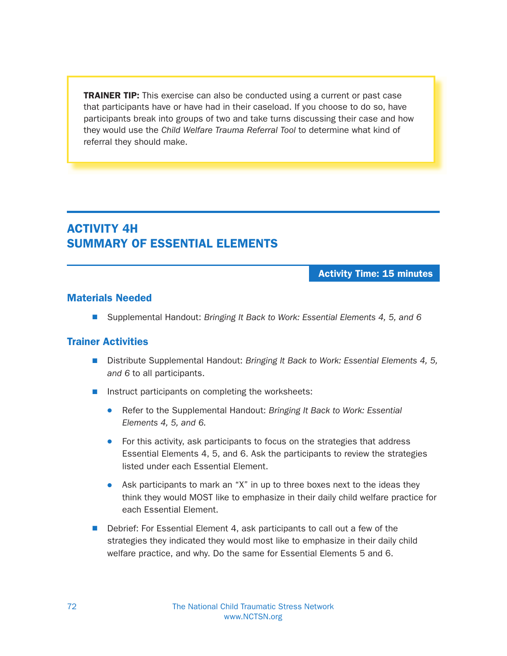**TRAINER TIP:** This exercise can also be conducted using a current or past case that participants have or have had in their caseload. If you choose to do so, have participants break into groups of two and take turns discussing their case and how they would use the Child Welfare Trauma Referral Tool to determine what kind of referral they should make.

## ACTIVITY 4H SUMMARY OF ESSENTIAL ELEMENTS

Activity Time: 15 minutes

#### Materials Needed

■ Supplemental Handout: Bringing It Back to Work: Essential Elements 4, 5, and 6

- Distribute Supplemental Handout: Bringing It Back to Work: Essential Elements 4, 5, and 6 to all participants.
- $\blacksquare$  Instruct participants on completing the worksheets:
	- Refer to the Supplemental Handout: Bringing It Back to Work: Essential Elements 4, 5, and 6.
	- For this activity, ask participants to focus on the strategies that address Essential Elements 4, 5, and 6. Ask the participants to review the strategies listed under each Essential Element.
	- Ask participants to mark an "X" in up to three boxes next to the ideas they think they would MOST like to emphasize in their daily child welfare practice for each Essential Element.
- Debrief: For Essential Element 4, ask participants to call out a few of the strategies they indicated they would most like to emphasize in their daily child welfare practice, and why. Do the same for Essential Elements 5 and 6.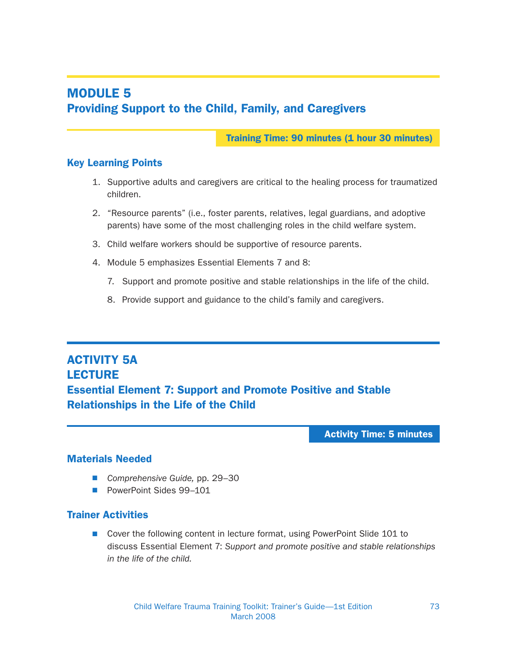# MODULE 5 Providing Support to the Child, Family, and Caregivers

Training Time: 90 minutes (1 hour 30 minutes)

### Key Learning Points

- 1. Supportive adults and caregivers are critical to the healing process for traumatized children.
- 2. "Resource parents" (i.e., foster parents, relatives, legal guardians, and adoptive parents) have some of the most challenging roles in the child welfare system.
- 3. Child welfare workers should be supportive of resource parents.
- 4. Module 5 emphasizes Essential Elements 7 and 8:
	- 7. Support and promote positive and stable relationships in the life of the child.
	- 8. Provide support and guidance to the child's family and caregivers.

## ACTIVITY 5A **LECTURE** Essential Element 7: Support and Promote Positive and Stable Relationships in the Life of the Child

Activity Time: 5 minutes

## Materials Needed

- Comprehensive Guide, pp. 29–30
- **PowerPoint Sides 99–101**

#### Trainer Activities

■ Cover the following content in lecture format, using PowerPoint Slide 101 to discuss Essential Element 7: Support and promote positive and stable relationships in the life of the child.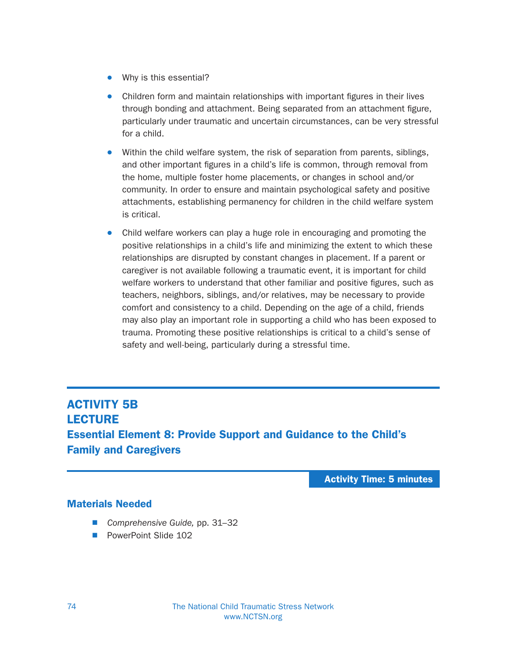- . Why is this essential?
- Children form and maintain relationships with important figures in their lives through bonding and attachment. Being separated from an attachment figure, particularly under traumatic and uncertain circumstances, can be very stressful for a child.
- Within the child welfare system, the risk of separation from parents, siblings, and other important figures in a child's life is common, through removal from the home, multiple foster home placements, or changes in school and/or community. In order to ensure and maintain psychological safety and positive attachments, establishing permanency for children in the child welfare system is critical.
- Child welfare workers can play a huge role in encouraging and promoting the positive relationships in a child's life and minimizing the extent to which these relationships are disrupted by constant changes in placement. If a parent or caregiver is not available following a traumatic event, it is important for child welfare workers to understand that other familiar and positive figures, such as teachers, neighbors, siblings, and/or relatives, may be necessary to provide comfort and consistency to a child. Depending on the age of a child, friends may also play an important role in supporting a child who has been exposed to trauma. Promoting these positive relationships is critical to a child's sense of safety and well-being, particularly during a stressful time.

## ACTIVITY 5B **LECTURE** Essential Element 8: Provide Support and Guidance to the Child's Family and Caregivers

Activity Time: 5 minutes

## Materials Needed

- Comprehensive Guide, pp. 31-32
- **PowerPoint Slide 102**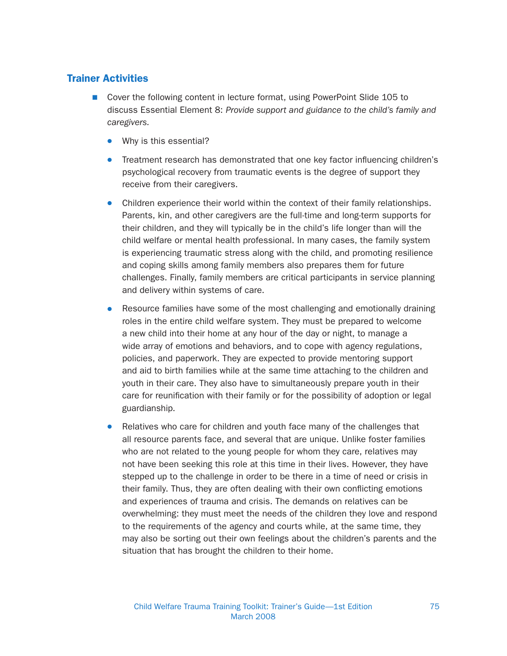### Trainer Activities

- Cover the following content in lecture format, using PowerPoint Slide 105 to discuss Essential Element 8: Provide support and guidance to the child's family and caregivers.
	- $\bullet$  Why is this essential?
	- Treatment research has demonstrated that one key factor influencing children's psychological recovery from traumatic events is the degree of support they receive from their caregivers.
	- Children experience their world within the context of their family relationships. Parents, kin, and other caregivers are the full-time and long-term supports for their children, and they will typically be in the child's life longer than will the child welfare or mental health professional. In many cases, the family system is experiencing traumatic stress along with the child, and promoting resilience and coping skills among family members also prepares them for future challenges. Finally, family members are critical participants in service planning and delivery within systems of care.
	- Resource families have some of the most challenging and emotionally draining roles in the entire child welfare system. They must be prepared to welcome a new child into their home at any hour of the day or night, to manage a wide array of emotions and behaviors, and to cope with agency regulations, policies, and paperwork. They are expected to provide mentoring support and aid to birth families while at the same time attaching to the children and youth in their care. They also have to simultaneously prepare youth in their care for reunification with their family or for the possibility of adoption or legal guardianship.
	- Relatives who care for children and youth face many of the challenges that all resource parents face, and several that are unique. Unlike foster families who are not related to the young people for whom they care, relatives may not have been seeking this role at this time in their lives. However, they have stepped up to the challenge in order to be there in a time of need or crisis in their family. Thus, they are often dealing with their own conflicting emotions and experiences of trauma and crisis. The demands on relatives can be overwhelming: they must meet the needs of the children they love and respond to the requirements of the agency and courts while, at the same time, they may also be sorting out their own feelings about the children's parents and the situation that has brought the children to their home.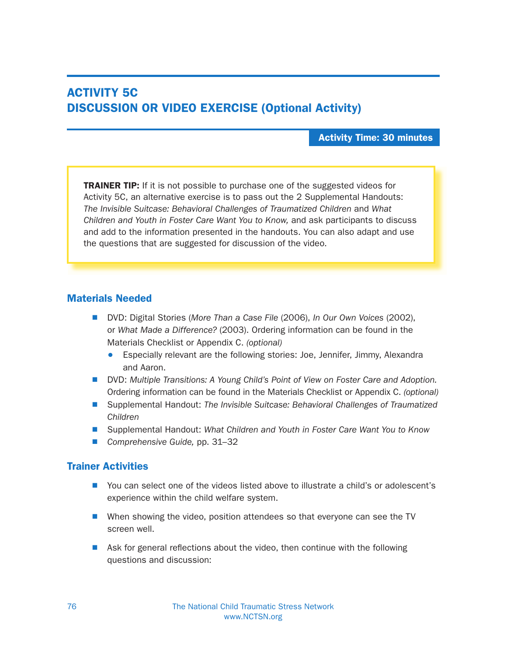# ACTIVITY 5C DISCUSSION OR VIDEO EXERCISE (Optional Activity)

#### Activity Time: 30 minutes

**TRAINER TIP:** If it is not possible to purchase one of the suggested videos for Activity 5C, an alternative exercise is to pass out the 2 Supplemental Handouts: The Invisible Suitcase: Behavioral Challenges of Traumatized Children and What Children and Youth in Foster Care Want You to Know, and ask participants to discuss and add to the information presented in the handouts. You can also adapt and use the questions that are suggested for discussion of the video.

#### Materials Needed

- DVD: Digital Stories (More Than a Case File (2006), In Our Own Voices (2002), or What Made a Difference? (2003). Ordering information can be found in the Materials Checklist or Appendix C. (optional)
	- Especially relevant are the following stories: Joe, Jennifer, Jimmy, Alexandra and Aaron.
- **N DVD:** Multiple Transitions: A Young Child's Point of View on Foster Care and Adoption. Ordering information can be found in the Materials Checklist or Appendix C. (optional)
- Supplemental Handout: The Invisible Suitcase: Behavioral Challenges of Traumatized Children
- Supplemental Handout: What Children and Youth in Foster Care Want You to Know
- Comprehensive Guide, pp. 31–32

## Trainer Activities

- N You can select one of the videos listed above to illustrate a child's or adolescent's experience within the child welfare system.
- When showing the video, position attendees so that everyone can see the TV screen well.
- $\blacksquare$  Ask for general reflections about the video, then continue with the following questions and discussion: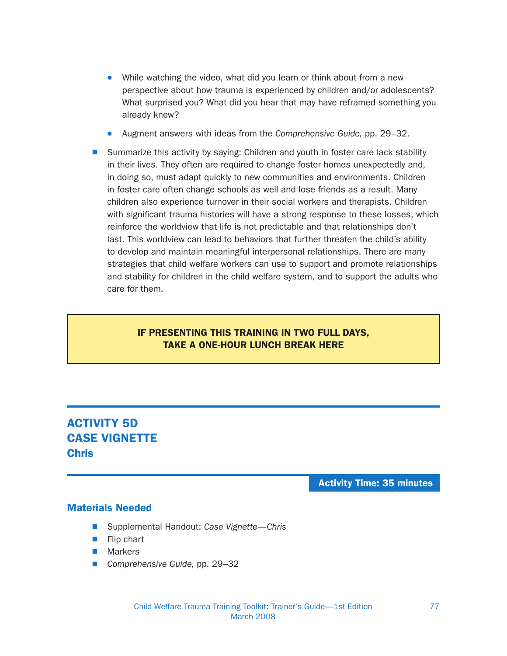- While watching the video, what did you learn or think about from a new perspective about how trauma is experienced by children and/or adolescents? What surprised you? What did you hear that may have reframed something you already knew?
- Augment answers with ideas from the Comprehensive Guide, pp. 29–32.
- Summarize this activity by saying: Children and youth in foster care lack stability in their lives. They often are required to change foster homes unexpectedly and, in doing so, must adapt quickly to new communities and environments. Children in foster care often change schools as well and lose friends as a result. Many children also experience turnover in their social workers and therapists. Children with significant trauma histories will have a strong response to these losses, which reinforce the worldview that life is not predictable and that relationships don't last. This worldview can lead to behaviors that further threaten the child's ability to develop and maintain meaningful interpersonal relationships. There are many strategies that child welfare workers can use to support and promote relationships and stability for children in the child welfare system, and to support the adults who care for them.

## IF PRESENTING THIS TRAINING IN TWO FULL DAYS, TAKE A ONE-HOUR LUNCH BREAK HERE

# ACTIVITY 5D CASE VIGNETTE Chris

Activity Time: 35 minutes

#### Materials Needed

- Supplemental Handout: Case Vignette—Chris
- $\blacksquare$  Flip chart
- **Narkers**
- Comprehensive Guide, pp. 29-32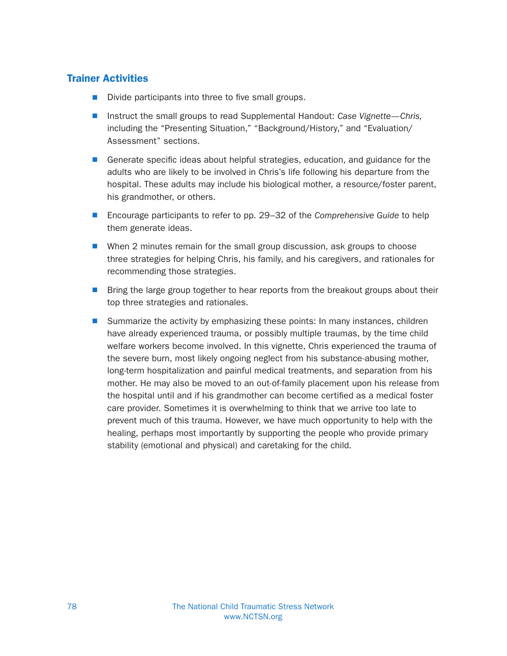## Trainer Activities

- $\blacksquare$  Divide participants into three to five small groups.
- Instruct the small groups to read Supplemental Handout: Case Vignette—Chris, including the "Presenting Situation," "Background/History," and "Evaluation/ Assessment" sections.
- Generate specific ideas about helpful strategies, education, and guidance for the adults who are likely to be involved in Chris's life following his departure from the hospital. These adults may include his biological mother, a resource/foster parent, his grandmother, or others.
- Encourage participants to refer to pp. 29–32 of the Comprehensive Guide to help them generate ideas.
- When 2 minutes remain for the small group discussion, ask groups to choose three strategies for helping Chris, his family, and his caregivers, and rationales for recommending those strategies.
- **Now Bring the large group together to hear reports from the breakout groups about their** top three strategies and rationales.
- Summarize the activity by emphasizing these points: In many instances, children have already experienced trauma, or possibly multiple traumas, by the time child welfare workers become involved. In this vignette, Chris experienced the trauma of the severe burn, most likely ongoing neglect from his substance-abusing mother, long-term hospitalization and painful medical treatments, and separation from his mother. He may also be moved to an out-of-family placement upon his release from the hospital until and if his grandmother can become certified as a medical foster care provider. Sometimes it is overwhelming to think that we arrive too late to prevent much of this trauma. However, we have much opportunity to help with the healing, perhaps most importantly by supporting the people who provide primary stability (emotional and physical) and caretaking for the child.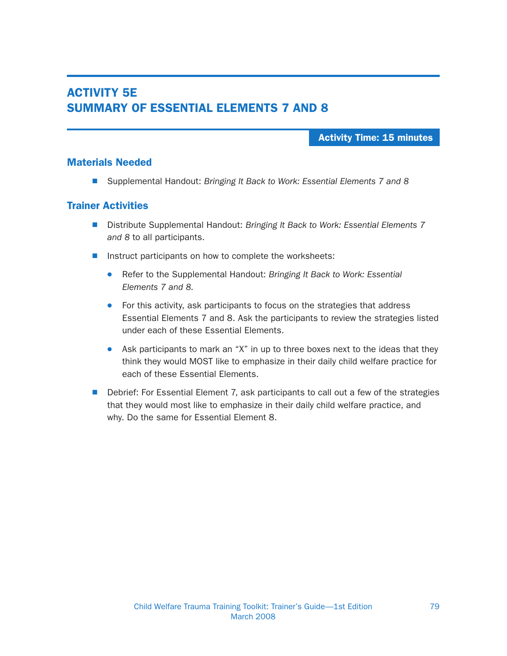## ACTIVITY 5E SUMMARY OF ESSENTIAL ELEMENTS 7 AND 8

#### Activity Time: 15 minutes

#### Materials Needed

■ Supplemental Handout: Bringing It Back to Work: Essential Elements 7 and 8

#### Trainer Activities

- Distribute Supplemental Handout: Bringing It Back to Work: Essential Elements 7 and 8 to all participants.
- $\blacksquare$  Instruct participants on how to complete the worksheets:
	- Refer to the Supplemental Handout: Bringing It Back to Work: Essential Elements 7 and 8.
	- For this activity, ask participants to focus on the strategies that address Essential Elements 7 and 8. Ask the participants to review the strategies listed under each of these Essential Elements.
	- Ask participants to mark an "X" in up to three boxes next to the ideas that they think they would MOST like to emphasize in their daily child welfare practice for each of these Essential Elements.
- Debrief: For Essential Element 7, ask participants to call out a few of the strategies that they would most like to emphasize in their daily child welfare practice, and why. Do the same for Essential Element 8.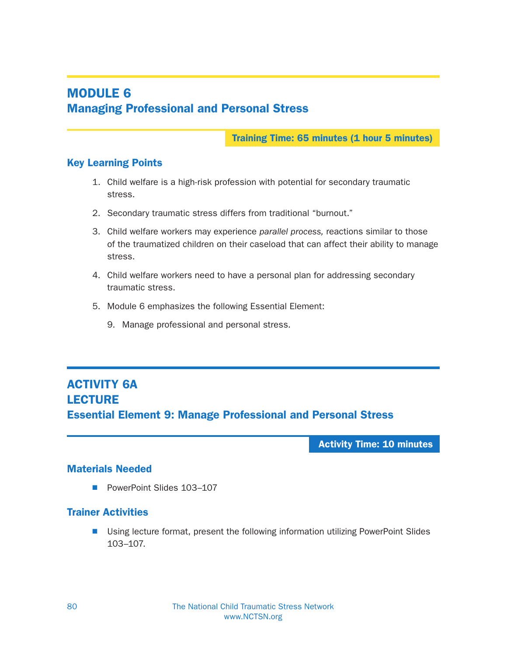# MODULE 6 Managing Professional and Personal Stress

Training Time: 65 minutes (1 hour 5 minutes)

## Key Learning Points

- 1. Child welfare is a high-risk profession with potential for secondary traumatic stress.
- 2. Secondary traumatic stress differs from traditional "burnout."
- 3. Child welfare workers may experience parallel process, reactions similar to those of the traumatized children on their caseload that can affect their ability to manage stress.
- 4. Child welfare workers need to have a personal plan for addressing secondary traumatic stress.
- 5. Module 6 emphasizes the following Essential Element:
	- 9. Manage professional and personal stress.

# ACTIVITY 6A **LECTURE** Essential Element 9: Manage Professional and Personal Stress

Activity Time: 10 minutes

## Materials Needed

■ PowerPoint Slides 103-107

## Trainer Activities

■ Using lecture format, present the following information utilizing PowerPoint Slides 103–107.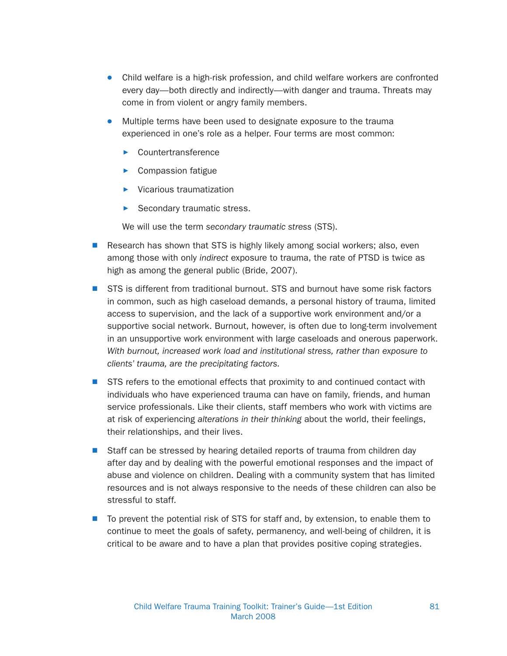- Child welfare is a high-risk profession, and child welfare workers are confronted every day—both directly and indirectly—with danger and trauma. Threats may come in from violent or angry family members.
- Multiple terms have been used to designate exposure to the trauma experienced in one's role as a helper. Four terms are most common:
	- Countertransference
	- Compassion fatigue
	- Vicarious traumatization
	- Secondary traumatic stress.

We will use the term secondary traumatic stress (STS).

- $\blacksquare$  Research has shown that STS is highly likely among social workers; also, even among those with only indirect exposure to trauma, the rate of PTSD is twice as high as among the general public (Bride, 2007).
- STS is different from traditional burnout. STS and burnout have some risk factors in common, such as high caseload demands, a personal history of trauma, limited access to supervision, and the lack of a supportive work environment and/or a supportive social network. Burnout, however, is often due to long-term involvement in an unsupportive work environment with large caseloads and onerous paperwork. With burnout, increased work load and institutional stress, rather than exposure to clients' trauma, are the precipitating factors.
- **No. STS refers to the emotional effects that proximity to and continued contact with** individuals who have experienced trauma can have on family, friends, and human service professionals. Like their clients, staff members who work with victims are at risk of experiencing alterations in their thinking about the world, their feelings, their relationships, and their lives.
- Staff can be stressed by hearing detailed reports of trauma from children day after day and by dealing with the powerful emotional responses and the impact of abuse and violence on children. Dealing with a community system that has limited resources and is not always responsive to the needs of these children can also be stressful to staff.
- $\blacksquare$  To prevent the potential risk of STS for staff and, by extension, to enable them to continue to meet the goals of safety, permanency, and well-being of children, it is critical to be aware and to have a plan that provides positive coping strategies.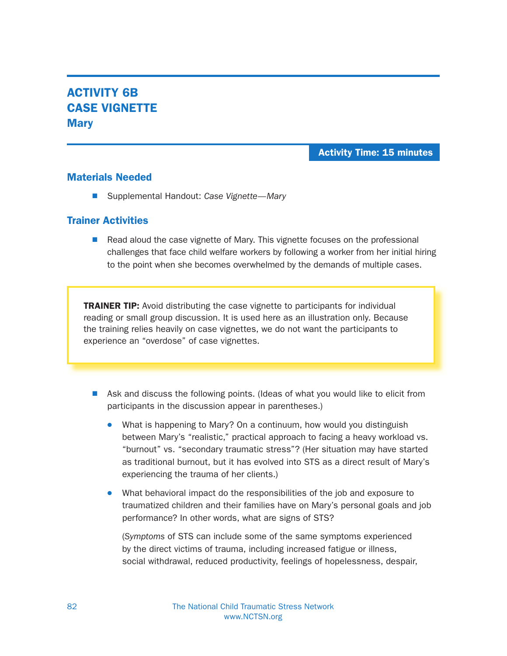## ACTIVITY 6B CASE VIGNETTE **Mary**

### Activity Time: 15 minutes

### Materials Needed

■ Supplemental Handout: Case Vignette—Mary

### Trainer Activities

■ Read aloud the case vignette of Mary. This vignette focuses on the professional challenges that face child welfare workers by following a worker from her initial hiring to the point when she becomes overwhelmed by the demands of multiple cases.

**TRAINER TIP:** Avoid distributing the case vignette to participants for individual reading or small group discussion. It is used here as an illustration only. Because the training relies heavily on case vignettes, we do not want the participants to experience an "overdose" of case vignettes.

- $\blacksquare$  Ask and discuss the following points. (Ideas of what you would like to elicit from participants in the discussion appear in parentheses.)
	- What is happening to Mary? On a continuum, how would you distinguish between Mary's "realistic," practical approach to facing a heavy workload vs. "burnout" vs. "secondary traumatic stress"? (Her situation may have started as traditional burnout, but it has evolved into STS as a direct result of Mary's experiencing the trauma of her clients.)
	- What behavioral impact do the responsibilities of the job and exposure to traumatized children and their families have on Mary's personal goals and job performance? In other words, what are signs of STS?

(Symptoms of STS can include some of the same symptoms experienced by the direct victims of trauma, including increased fatigue or illness, social withdrawal, reduced productivity, feelings of hopelessness, despair,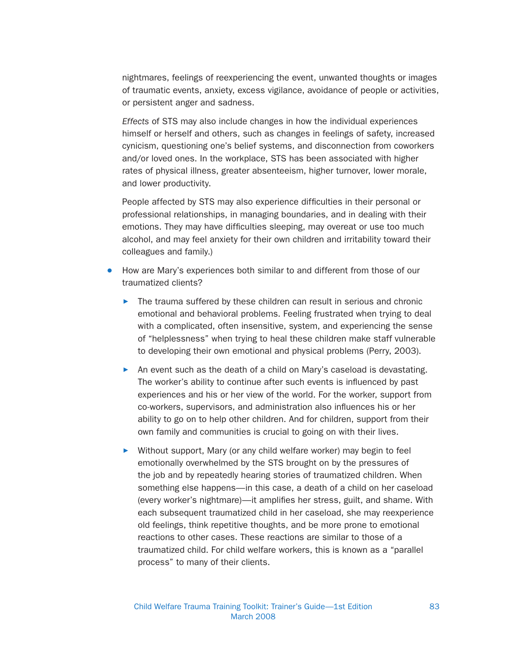nightmares, feelings of reexperiencing the event, unwanted thoughts or images of traumatic events, anxiety, excess vigilance, avoidance of people or activities, or persistent anger and sadness.

Effects of STS may also include changes in how the individual experiences himself or herself and others, such as changes in feelings of safety, increased cynicism, questioning one's belief systems, and disconnection from coworkers and/or loved ones. In the workplace, STS has been associated with higher rates of physical illness, greater absenteeism, higher turnover, lower morale, and lower productivity.

People affected by STS may also experience difficulties in their personal or professional relationships, in managing boundaries, and in dealing with their emotions. They may have difficulties sleeping, may overeat or use too much alcohol, and may feel anxiety for their own children and irritability toward their colleagues and family.)

- How are Mary's experiences both similar to and different from those of our traumatized clients?
	- $\blacktriangleright$  The trauma suffered by these children can result in serious and chronic emotional and behavioral problems. Feeling frustrated when trying to deal with a complicated, often insensitive, system, and experiencing the sense of "helplessness" when trying to heal these children make staff vulnerable to developing their own emotional and physical problems (Perry, 2003).
	- An event such as the death of a child on Mary's caseload is devastating. The worker's ability to continue after such events is influenced by past experiences and his or her view of the world. For the worker, support from co-workers, supervisors, and administration also influences his or her ability to go on to help other children. And for children, support from their own family and communities is crucial to going on with their lives.
	- $\triangleright$  Without support, Mary (or any child welfare worker) may begin to feel emotionally overwhelmed by the STS brought on by the pressures of the job and by repeatedly hearing stories of traumatized children. When something else happens—in this case, a death of a child on her caseload (every worker's nightmare)—it amplifies her stress, guilt, and shame. With each subsequent traumatized child in her caseload, she may reexperience old feelings, think repetitive thoughts, and be more prone to emotional reactions to other cases. These reactions are similar to those of a traumatized child. For child welfare workers, this is known as a "parallel process" to many of their clients.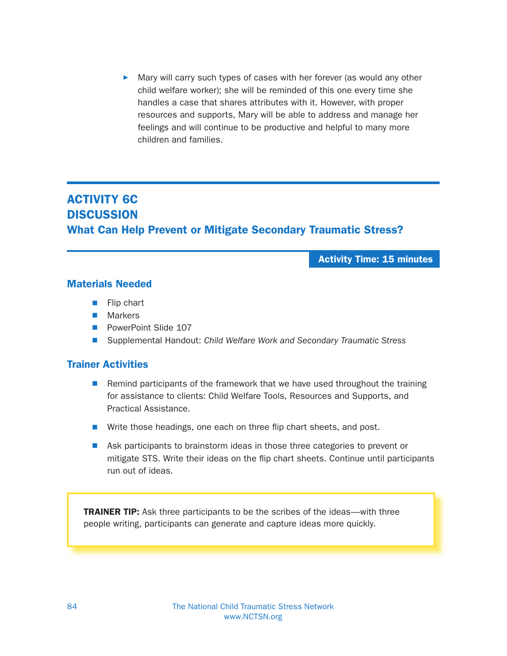Mary will carry such types of cases with her forever (as would any other child welfare worker); she will be reminded of this one every time she handles a case that shares attributes with it. However, with proper resources and supports, Mary will be able to address and manage her feelings and will continue to be productive and helpful to many more children and families.

## ACTIVITY 6C **DISCUSSION** What Can Help Prevent or Mitigate Secondary Traumatic Stress?

Activity Time: 15 minutes

### Materials Needed

- $\blacksquare$  Flip chart
- $\blacksquare$  Markers
- **PowerPoint Slide 107**
- Supplemental Handout: Child Welfare Work and Secondary Traumatic Stress

### Trainer Activities

- $\blacksquare$  Remind participants of the framework that we have used throughout the training for assistance to clients: Child Welfare Tools, Resources and Supports, and Practical Assistance.
- $\blacksquare$  Write those headings, one each on three flip chart sheets, and post.
- **Now Ask participants to brainstorm ideas in those three categories to prevent or** mitigate STS. Write their ideas on the flip chart sheets. Continue until participants run out of ideas.

TRAINER TIP: Ask three participants to be the scribes of the ideas—with three people writing, participants can generate and capture ideas more quickly.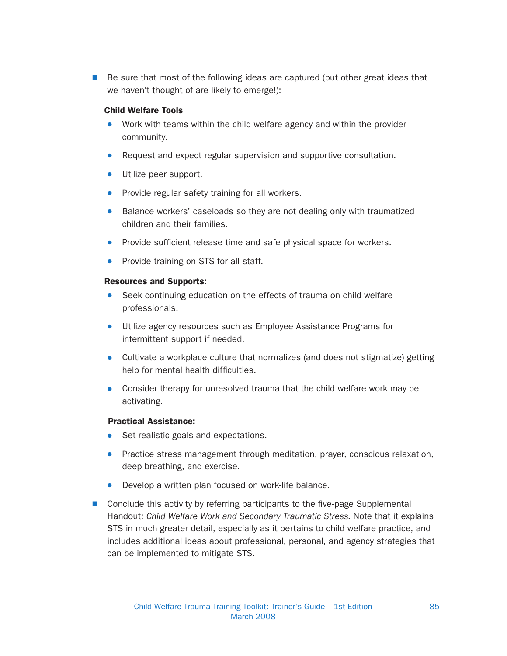$\blacksquare$  Be sure that most of the following ideas are captured (but other great ideas that we haven't thought of are likely to emerge!):

#### Child Welfare Tools

- Work with teams within the child welfare agency and within the provider community.
- Request and expect regular supervision and supportive consultation.
- Utilize peer support.
- Provide regular safety training for all workers.
- Balance workers' caseloads so they are not dealing only with traumatized children and their families.
- Provide sufficient release time and safe physical space for workers.
- Provide training on STS for all staff.

#### Resources and Supports:

- Seek continuing education on the effects of trauma on child welfare professionals.
- $\bullet$  Utilize agency resources such as Employee Assistance Programs for intermittent support if needed.
- Cultivate a workplace culture that normalizes (and does not stigmatize) getting help for mental health difficulties.
- Consider therapy for unresolved trauma that the child welfare work may be activating.

#### Practical Assistance:

- Set realistic goals and expectations.
- Practice stress management through meditation, prayer, conscious relaxation, deep breathing, and exercise.
- $\bullet$  Develop a written plan focused on work-life balance.
- $\blacksquare$  Conclude this activity by referring participants to the five-page Supplemental Handout: Child Welfare Work and Secondary Traumatic Stress. Note that it explains STS in much greater detail, especially as it pertains to child welfare practice, and includes additional ideas about professional, personal, and agency strategies that can be implemented to mitigate STS.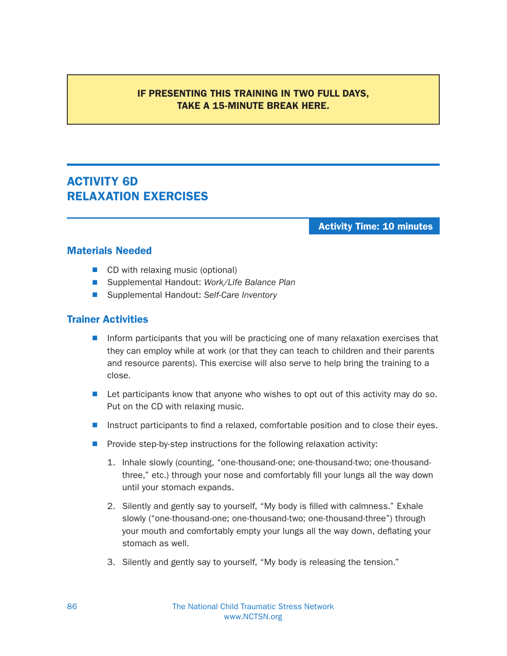## IF PRESENTING THIS TRAINING IN TWO FULL DAYS, TAKE A 15-MINUTE BREAK HERE.

## ACTIVITY 6D RELAXATION EXERCISES

Activity Time: 10 minutes

## Materials Needed

- $\blacksquare$  CD with relaxing music (optional)
- Supplemental Handout: Work/Life Balance Plan
- Supplemental Handout: Self-Care Inventory

### Trainer Activities

- **N** Inform participants that you will be practicing one of many relaxation exercises that they can employ while at work (or that they can teach to children and their parents and resource parents). This exercise will also serve to help bring the training to a close.
- $\blacksquare$  Let participants know that anyone who wishes to opt out of this activity may do so. Put on the CD with relaxing music.
- **N** Instruct participants to find a relaxed, comfortable position and to close their eyes.
- Provide step-by-step instructions for the following relaxation activity:
	- 1. Inhale slowly (counting, "one-thousand-one; one-thousand-two; one-thousandthree," etc.) through your nose and comfortably fill your lungs all the way down until your stomach expands.
	- 2. Silently and gently say to yourself, "My body is filled with calmness." Exhale slowly ("one-thousand-one; one-thousand-two; one-thousand-three") through your mouth and comfortably empty your lungs all the way down, deflating your stomach as well.
	- 3. Silently and gently say to yourself, "My body is releasing the tension."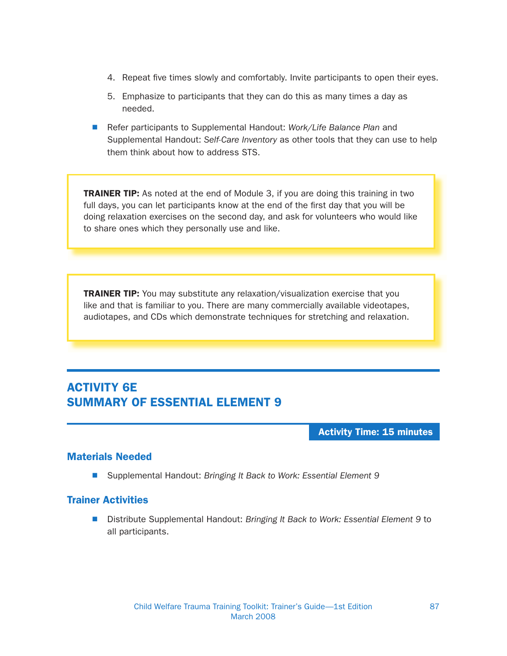- 4. Repeat five times slowly and comfortably. Invite participants to open their eyes.
- 5. Emphasize to participants that they can do this as many times a day as needed.
- Refer participants to Supplemental Handout: Work/Life Balance Plan and Supplemental Handout: Self-Care Inventory as other tools that they can use to help them think about how to address STS.

**TRAINER TIP:** As noted at the end of Module 3, if you are doing this training in two full days, you can let participants know at the end of the first day that you will be doing relaxation exercises on the second day, and ask for volunteers who would like to share ones which they personally use and like.

**TRAINER TIP:** You may substitute any relaxation/visualization exercise that you like and that is familiar to you. There are many commercially available videotapes, audiotapes, and CDs which demonstrate techniques for stretching and relaxation.

## ACTIVITY 6E SUMMARY OF ESSENTIAL ELEMENT 9

Activity Time: 15 minutes

## Materials Needed

■ Supplemental Handout: Bringing It Back to Work: Essential Element 9

## Trainer Activities

■ Distribute Supplemental Handout: Bringing It Back to Work: Essential Element 9 to all participants.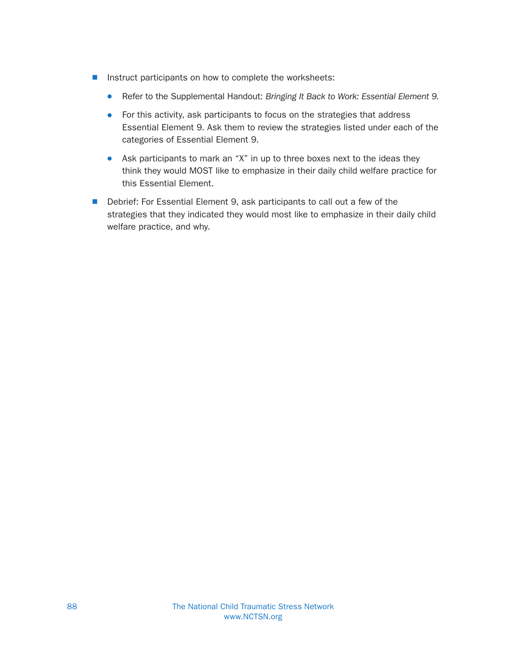- $\blacksquare$  Instruct participants on how to complete the worksheets:
	- Refer to the Supplemental Handout: Bringing It Back to Work: Essential Element 9.
	- For this activity, ask participants to focus on the strategies that address Essential Element 9. Ask them to review the strategies listed under each of the categories of Essential Element 9.
	- Ask participants to mark an "X" in up to three boxes next to the ideas they think they would MOST like to emphasize in their daily child welfare practice for this Essential Element.
- Debrief: For Essential Element 9, ask participants to call out a few of the strategies that they indicated they would most like to emphasize in their daily child welfare practice, and why.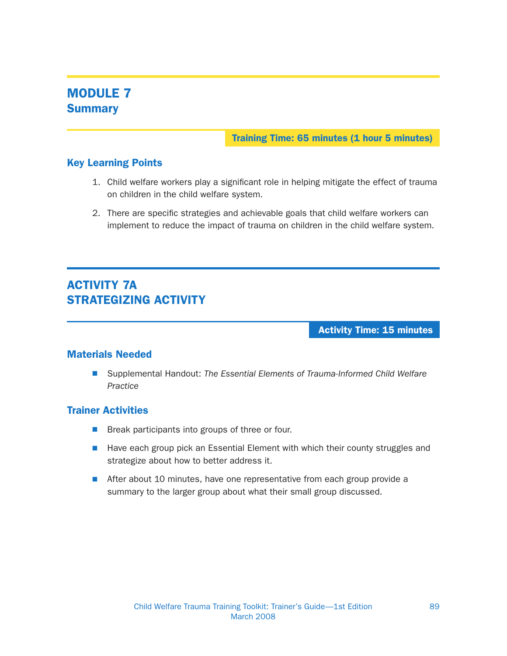## MODULE 7 **Summary**

Training Time: 65 minutes (1 hour 5 minutes)

## Key Learning Points

- 1. Child welfare workers play a significant role in helping mitigate the effect of trauma on children in the child welfare system.
- 2. There are specific strategies and achievable goals that child welfare workers can implement to reduce the impact of trauma on children in the child welfare system.

## ACTIVITY 7A STRATEGIZING ACTIVITY

Activity Time: 15 minutes

## Materials Needed

■ Supplemental Handout: The Essential Elements of Trauma-Informed Child Welfare Practice

### Trainer Activities

- $\blacksquare$  Break participants into groups of three or four.
- $\blacksquare$  Have each group pick an Essential Element with which their county struggles and strategize about how to better address it.
- **N** After about 10 minutes, have one representative from each group provide a summary to the larger group about what their small group discussed.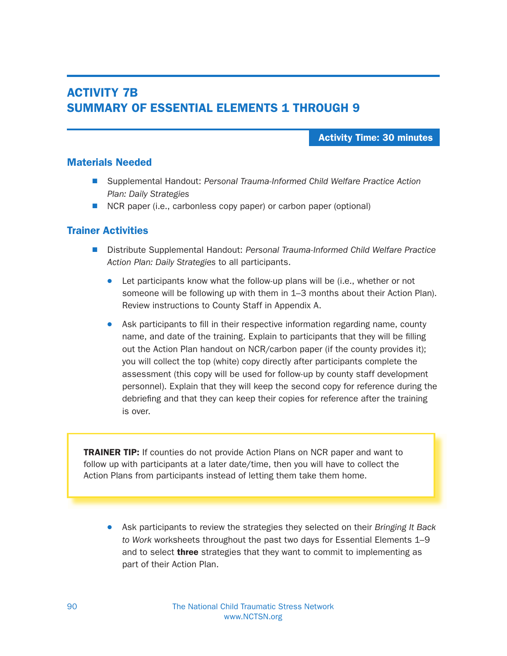## ACTIVITY 7B SUMMARY OF ESSENTIAL ELEMENTS 1 THROUGH 9

#### Activity Time: 30 minutes

#### Materials Needed

- Supplemental Handout: Personal Trauma-Informed Child Welfare Practice Action Plan: Daily Strategies
- $\blacksquare$  NCR paper (i.e., carbonless copy paper) or carbon paper (optional)

#### Trainer Activities

- Distribute Supplemental Handout: Personal Trauma-Informed Child Welfare Practice Action Plan: Daily Strategies to all participants.
	- Let participants know what the follow-up plans will be (i.e., whether or not someone will be following up with them in 1–3 months about their Action Plan). Review instructions to County Staff in Appendix A.
	- Ask participants to fill in their respective information regarding name, county name, and date of the training. Explain to participants that they will be filling out the Action Plan handout on NCR/carbon paper (if the county provides it); you will collect the top (white) copy directly after participants complete the assessment (this copy will be used for follow-up by county staff development personnel). Explain that they will keep the second copy for reference during the debriefing and that they can keep their copies for reference after the training is over.

**TRAINER TIP:** If counties do not provide Action Plans on NCR paper and want to follow up with participants at a later date/time, then you will have to collect the Action Plans from participants instead of letting them take them home.

• Ask participants to review the strategies they selected on their Bringing It Back to Work worksheets throughout the past two days for Essential Elements 1–9 and to select **three** strategies that they want to commit to implementing as part of their Action Plan.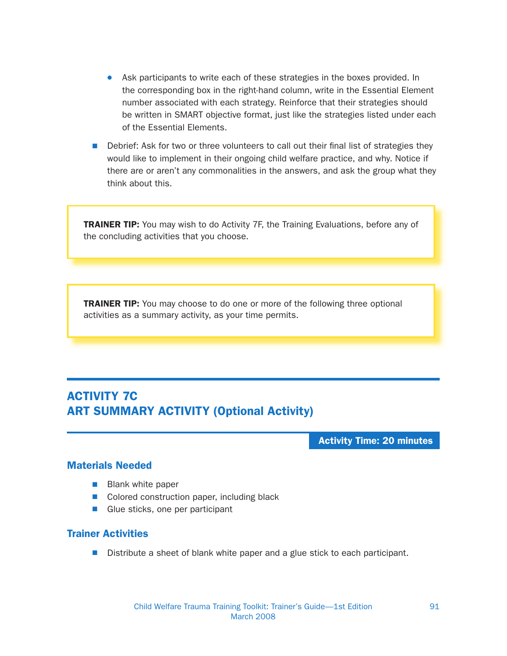- Ask participants to write each of these strategies in the boxes provided. In the corresponding box in the right-hand column, write in the Essential Element number associated with each strategy. Reinforce that their strategies should be written in SMART objective format, just like the strategies listed under each of the Essential Elements.
- Debrief: Ask for two or three volunteers to call out their final list of strategies they would like to implement in their ongoing child welfare practice, and why. Notice if there are or aren't any commonalities in the answers, and ask the group what they think about this.

**TRAINER TIP:** You may wish to do Activity 7F, the Training Evaluations, before any of the concluding activities that you choose.

**TRAINER TIP:** You may choose to do one or more of the following three optional activities as a summary activity, as your time permits.

## ACTIVITY 7C ART SUMMARY ACTIVITY (Optional Activity)

Activity Time: 20 minutes

## Materials Needed

- $\blacksquare$  Blank white paper
- $\blacksquare$  Colored construction paper, including black
- $\blacksquare$  Glue sticks, one per participant

#### Trainer Activities

 $\blacksquare$  Distribute a sheet of blank white paper and a glue stick to each participant.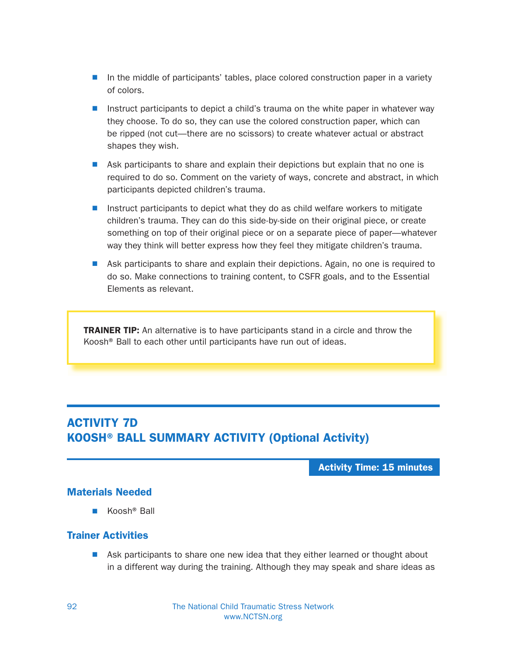- $\blacksquare$  In the middle of participants' tables, place colored construction paper in a variety of colors.
- **N** Instruct participants to depict a child's trauma on the white paper in whatever way they choose. To do so, they can use the colored construction paper, which can be ripped (not cut—there are no scissors) to create whatever actual or abstract shapes they wish.
- Ask participants to share and explain their depictions but explain that no one is required to do so. Comment on the variety of ways, concrete and abstract, in which participants depicted children's trauma.
- **N** Instruct participants to depict what they do as child welfare workers to mitigate children's trauma. They can do this side-by-side on their original piece, or create something on top of their original piece or on a separate piece of paper—whatever way they think will better express how they feel they mitigate children's trauma.
- Ask participants to share and explain their depictions. Again, no one is required to do so. Make connections to training content, to CSFR goals, and to the Essential Elements as relevant.

**TRAINER TIP:** An alternative is to have participants stand in a circle and throw the Koosh® Ball to each other until participants have run out of ideas.

## ACTIVITY 7D KOOSH® BALL SUMMARY ACTIVITY (Optional Activity)

Activity Time: 15 minutes

### Materials Needed

 $\blacksquare$  Koosh<sup>®</sup> Ball

#### Trainer Activities

 $\blacksquare$  Ask participants to share one new idea that they either learned or thought about in a different way during the training. Although they may speak and share ideas as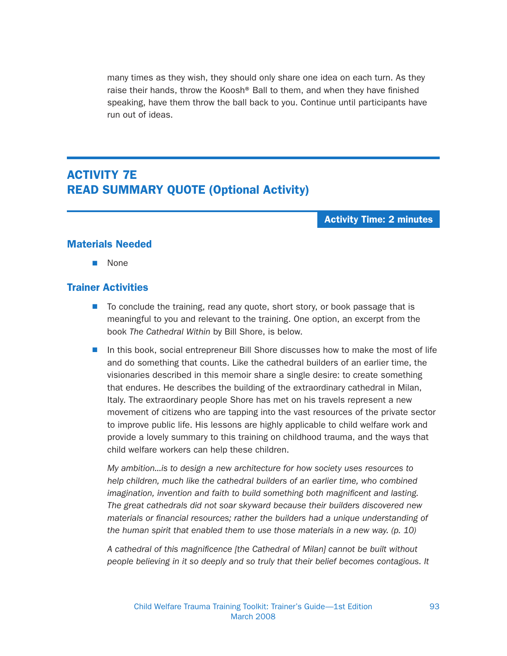many times as they wish, they should only share one idea on each turn. As they raise their hands, throw the Koosh® Ball to them, and when they have finished speaking, have them throw the ball back to you. Continue until participants have run out of ideas.

## ACTIVITY 7E READ SUMMARY QUOTE (Optional Activity)

#### Activity Time: 2 minutes

#### Materials Needed

**None** 

#### Trainer Activities

- To conclude the training, read any quote, short story, or book passage that is meaningful to you and relevant to the training. One option, an excerpt from the book The Cathedral Within by Bill Shore, is below.
- In this book, social entrepreneur Bill Shore discusses how to make the most of life and do something that counts. Like the cathedral builders of an earlier time, the visionaries described in this memoir share a single desire: to create something that endures. He describes the building of the extraordinary cathedral in Milan, Italy. The extraordinary people Shore has met on his travels represent a new movement of citizens who are tapping into the vast resources of the private sector to improve public life. His lessons are highly applicable to child welfare work and provide a lovely summary to this training on childhood trauma, and the ways that child welfare workers can help these children.

My ambition...is to design a new architecture for how society uses resources to help children, much like the cathedral builders of an earlier time, who combined imagination, invention and faith to build something both magnificent and lasting. The great cathedrals did not soar skyward because their builders discovered new materials or financial resources; rather the builders had a unique understanding of the human spirit that enabled them to use those materials in a new way. (p. 10)

A cathedral of this magnificence [the Cathedral of Milan] cannot be built without people believing in it so deeply and so truly that their belief becomes contagious. It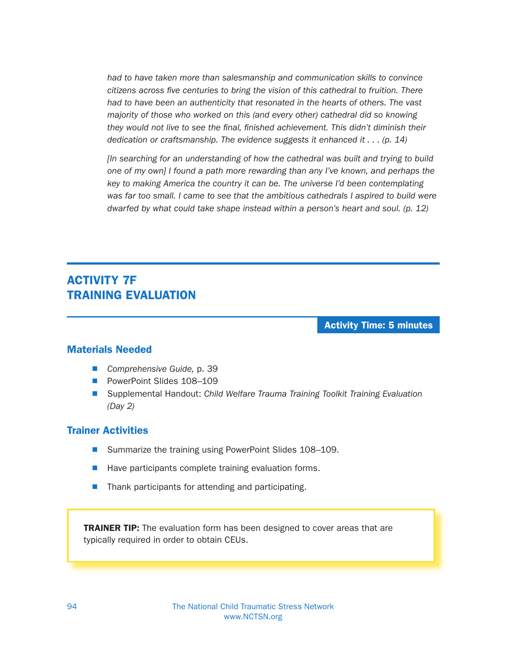had to have taken more than salesmanship and communication skills to convince citizens across five centuries to bring the vision of this cathedral to fruition. There had to have been an authenticity that resonated in the hearts of others. The vast majority of those who worked on this (and every other) cathedral did so knowing they would not live to see the final, finished achievement. This didn't diminish their dedication or craftsmanship. The evidence suggests it enhanced it  $\dots$  (p. 14)

[In searching for an understanding of how the cathedral was built and trying to build one of my own] I found a path more rewarding than any I've known, and perhaps the key to making America the country it can be. The universe I'd been contemplating was far too small. I came to see that the ambitious cathedrals I aspired to build were dwarfed by what could take shape instead within a person's heart and soul. (p. 12)

## ACTIVITY 7F TRAINING EVALUATION

Activity Time: 5 minutes

#### Materials Needed

- Comprehensive Guide, p. 39
- PowerPoint Slides 108-109
- Supplemental Handout: Child Welfare Trauma Training Toolkit Training Evaluation (Day 2)

#### Trainer Activities

- Summarize the training using PowerPoint Slides 108-109.
- Have participants complete training evaluation forms.
- $\blacksquare$  Thank participants for attending and participating.

**TRAINER TIP:** The evaluation form has been designed to cover areas that are typically required in order to obtain CEUs.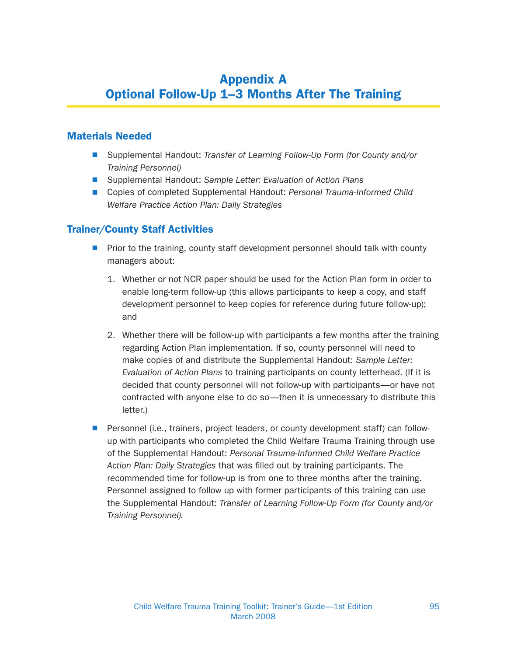# Appendix A Optional Follow-Up 1–3 Months After The Training

## Materials Needed

- Supplemental Handout: Transfer of Learning Follow-Up Form (for County and/or Training Personnel)
- Supplemental Handout: Sample Letter: Evaluation of Action Plans
- Copies of completed Supplemental Handout: Personal Trauma-Informed Child Welfare Practice Action Plan: Daily Strategies

#### Trainer/County Staff Activities

- $\blacksquare$  Prior to the training, county staff development personnel should talk with county managers about:
	- 1. Whether or not NCR paper should be used for the Action Plan form in order to enable long-term follow-up (this allows participants to keep a copy, and staff development personnel to keep copies for reference during future follow-up); and
	- 2. Whether there will be follow-up with participants a few months after the training regarding Action Plan implementation. If so, county personnel will need to make copies of and distribute the Supplemental Handout: Sample Letter: Evaluation of Action Plans to training participants on county letterhead. (If it is decided that county personnel will not follow-up with participants—or have not contracted with anyone else to do so—then it is unnecessary to distribute this letter.)
- **Personnel (i.e., trainers, project leaders, or county development staff) can follow**up with participants who completed the Child Welfare Trauma Training through use of the Supplemental Handout: Personal Trauma-Informed Child Welfare Practice Action Plan: Daily Strategies that was filled out by training participants. The recommended time for follow-up is from one to three months after the training. Personnel assigned to follow up with former participants of this training can use the Supplemental Handout: Transfer of Learning Follow-Up Form (for County and/or Training Personnel).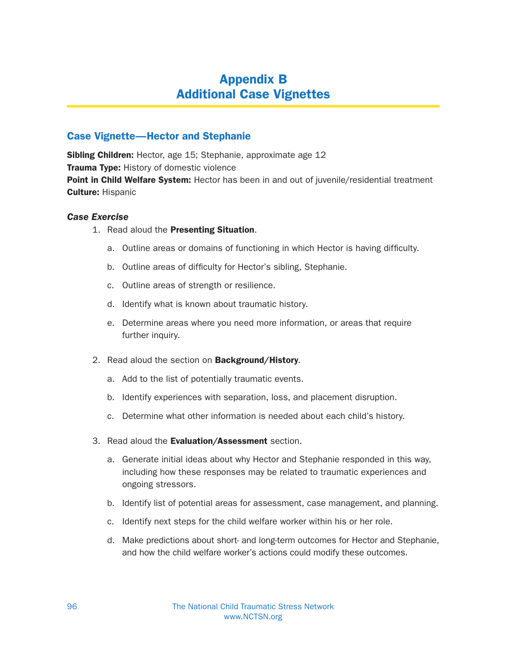# Appendix B Additional Case Vignettes

## Case Vignette—Hector and Stephanie

**Sibling Children:** Hector, age 15; Stephanie, approximate age 12 **Trauma Type:** History of domestic violence **Point in Child Welfare System:** Hector has been in and out of juvenile/residential treatment Culture: Hispanic

#### Case Exercise

- 1. Read aloud the Presenting Situation.
	- a. Outline areas or domains of functioning in which Hector is having difficulty.
	- b. Outline areas of difficulty for Hector's sibling, Stephanie.
	- c. Outline areas of strength or resilience.
	- d. Identify what is known about traumatic history.
	- e. Determine areas where you need more information, or areas that require further inquiry.
- 2. Read aloud the section on **Background/History**.
	- a. Add to the list of potentially traumatic events.
	- b. Identify experiences with separation, loss, and placement disruption.
	- c. Determine what other information is needed about each child's history.
- 3. Read aloud the Evaluation/Assessment section.
	- a. Generate initial ideas about why Hector and Stephanie responded in this way, including how these responses may be related to traumatic experiences and ongoing stressors.
	- b. Identify list of potential areas for assessment, case management, and planning.
	- c. Identify next steps for the child welfare worker within his or her role.
	- d. Make predictions about short- and long-term outcomes for Hector and Stephanie, and how the child welfare worker's actions could modify these outcomes.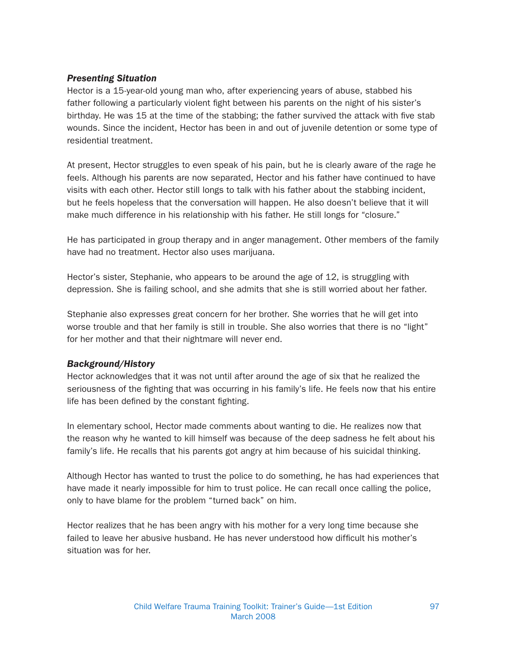### Presenting Situation

Hector is a 15-year-old young man who, after experiencing years of abuse, stabbed his father following a particularly violent fight between his parents on the night of his sister's birthday. He was 15 at the time of the stabbing; the father survived the attack with five stab wounds. Since the incident, Hector has been in and out of juvenile detention or some type of residential treatment.

At present, Hector struggles to even speak of his pain, but he is clearly aware of the rage he feels. Although his parents are now separated, Hector and his father have continued to have visits with each other. Hector still longs to talk with his father about the stabbing incident, but he feels hopeless that the conversation will happen. He also doesn't believe that it will make much difference in his relationship with his father. He still longs for "closure."

He has participated in group therapy and in anger management. Other members of the family have had no treatment. Hector also uses marijuana.

Hector's sister, Stephanie, who appears to be around the age of 12, is struggling with depression. She is failing school, and she admits that she is still worried about her father.

Stephanie also expresses great concern for her brother. She worries that he will get into worse trouble and that her family is still in trouble. She also worries that there is no "light" for her mother and that their nightmare will never end.

## Background/History

Hector acknowledges that it was not until after around the age of six that he realized the seriousness of the fighting that was occurring in his family's life. He feels now that his entire life has been defined by the constant fighting.

In elementary school, Hector made comments about wanting to die. He realizes now that the reason why he wanted to kill himself was because of the deep sadness he felt about his family's life. He recalls that his parents got angry at him because of his suicidal thinking.

Although Hector has wanted to trust the police to do something, he has had experiences that have made it nearly impossible for him to trust police. He can recall once calling the police, only to have blame for the problem "turned back" on him.

Hector realizes that he has been angry with his mother for a very long time because she failed to leave her abusive husband. He has never understood how difficult his mother's situation was for her.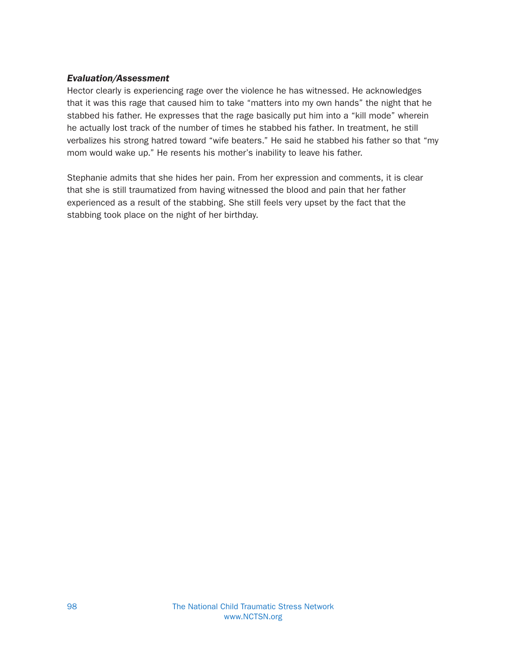### Evaluation/Assessment

Hector clearly is experiencing rage over the violence he has witnessed. He acknowledges that it was this rage that caused him to take "matters into my own hands" the night that he stabbed his father. He expresses that the rage basically put him into a "kill mode" wherein he actually lost track of the number of times he stabbed his father. In treatment, he still verbalizes his strong hatred toward "wife beaters." He said he stabbed his father so that "my mom would wake up." He resents his mother's inability to leave his father.

Stephanie admits that she hides her pain. From her expression and comments, it is clear that she is still traumatized from having witnessed the blood and pain that her father experienced as a result of the stabbing. She still feels very upset by the fact that the stabbing took place on the night of her birthday.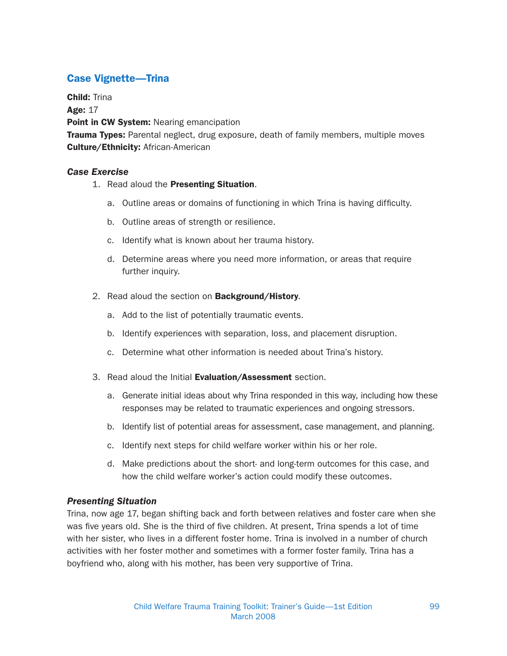## Case Vignette—Trina

Child: Trina

Age: 17

Point in CW System: Nearing emancipation

**Trauma Types:** Parental neglect, drug exposure, death of family members, multiple moves **Culture/Ethnicity: African-American** 

#### Case Exercise

- 1. Read aloud the Presenting Situation.
	- a. Outline areas or domains of functioning in which Trina is having difficulty.
	- b. Outline areas of strength or resilience.
	- c. Identify what is known about her trauma history.
	- d. Determine areas where you need more information, or areas that require further inquiry.
- 2. Read aloud the section on **Background/History**.
	- a. Add to the list of potentially traumatic events.
	- b. Identify experiences with separation, loss, and placement disruption.
	- c. Determine what other information is needed about Trina's history.
- 3. Read aloud the Initial Evaluation/Assessment section.
	- a. Generate initial ideas about why Trina responded in this way, including how these responses may be related to traumatic experiences and ongoing stressors.
	- b. Identify list of potential areas for assessment, case management, and planning.
	- c. Identify next steps for child welfare worker within his or her role.
	- d. Make predictions about the short- and long-term outcomes for this case, and how the child welfare worker's action could modify these outcomes.

#### Presenting Situation

Trina, now age 17, began shifting back and forth between relatives and foster care when she was five years old. She is the third of five children. At present, Trina spends a lot of time with her sister, who lives in a different foster home. Trina is involved in a number of church activities with her foster mother and sometimes with a former foster family. Trina has a boyfriend who, along with his mother, has been very supportive of Trina.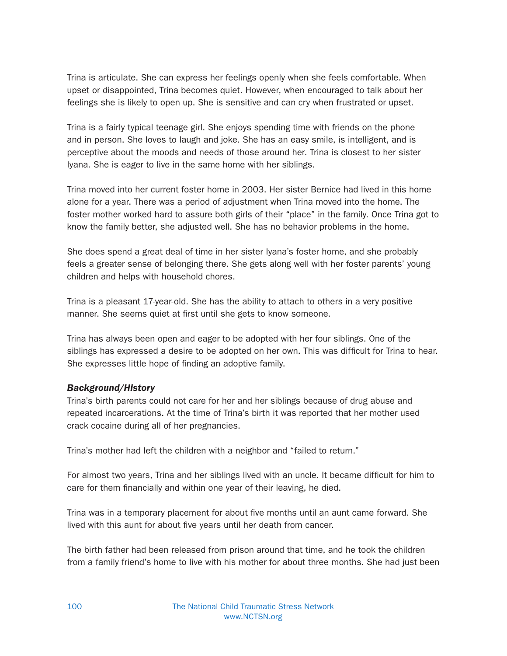Trina is articulate. She can express her feelings openly when she feels comfortable. When upset or disappointed, Trina becomes quiet. However, when encouraged to talk about her feelings she is likely to open up. She is sensitive and can cry when frustrated or upset.

Trina is a fairly typical teenage girl. She enjoys spending time with friends on the phone and in person. She loves to laugh and joke. She has an easy smile, is intelligent, and is perceptive about the moods and needs of those around her. Trina is closest to her sister Iyana. She is eager to live in the same home with her siblings.

Trina moved into her current foster home in 2003. Her sister Bernice had lived in this home alone for a year. There was a period of adjustment when Trina moved into the home. The foster mother worked hard to assure both girls of their "place" in the family. Once Trina got to know the family better, she adjusted well. She has no behavior problems in the home.

She does spend a great deal of time in her sister Iyana's foster home, and she probably feels a greater sense of belonging there. She gets along well with her foster parents' young children and helps with household chores.

Trina is a pleasant 17-year-old. She has the ability to attach to others in a very positive manner. She seems quiet at first until she gets to know someone.

Trina has always been open and eager to be adopted with her four siblings. One of the siblings has expressed a desire to be adopted on her own. This was difficult for Trina to hear. She expresses little hope of finding an adoptive family.

## Background/History

Trina's birth parents could not care for her and her siblings because of drug abuse and repeated incarcerations. At the time of Trina's birth it was reported that her mother used crack cocaine during all of her pregnancies.

Trina's mother had left the children with a neighbor and "failed to return."

For almost two years, Trina and her siblings lived with an uncle. It became difficult for him to care for them financially and within one year of their leaving, he died.

Trina was in a temporary placement for about five months until an aunt came forward. She lived with this aunt for about five years until her death from cancer.

The birth father had been released from prison around that time, and he took the children from a family friend's home to live with his mother for about three months. She had just been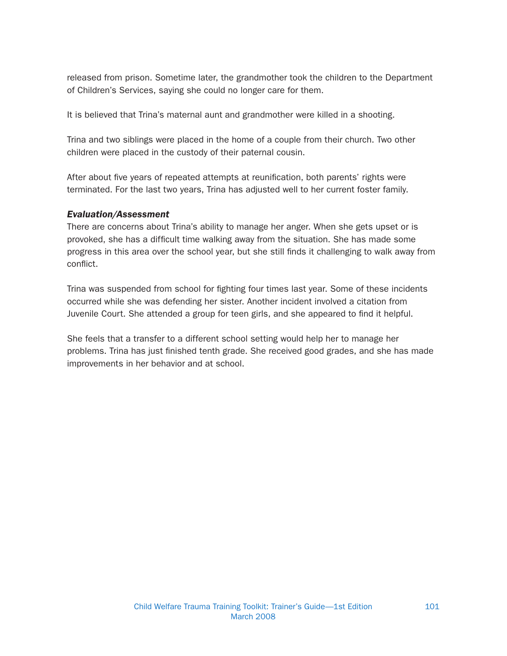released from prison. Sometime later, the grandmother took the children to the Department of Children's Services, saying she could no longer care for them.

It is believed that Trina's maternal aunt and grandmother were killed in a shooting.

Trina and two siblings were placed in the home of a couple from their church. Two other children were placed in the custody of their paternal cousin.

After about five years of repeated attempts at reunification, both parents' rights were terminated. For the last two years, Trina has adjusted well to her current foster family.

#### Evaluation/Assessment

There are concerns about Trina's ability to manage her anger. When she gets upset or is provoked, she has a difficult time walking away from the situation. She has made some progress in this area over the school year, but she still finds it challenging to walk away from conflict.

Trina was suspended from school for fighting four times last year. Some of these incidents occurred while she was defending her sister. Another incident involved a citation from Juvenile Court. She attended a group for teen girls, and she appeared to find it helpful.

She feels that a transfer to a different school setting would help her to manage her problems. Trina has just finished tenth grade. She received good grades, and she has made improvements in her behavior and at school.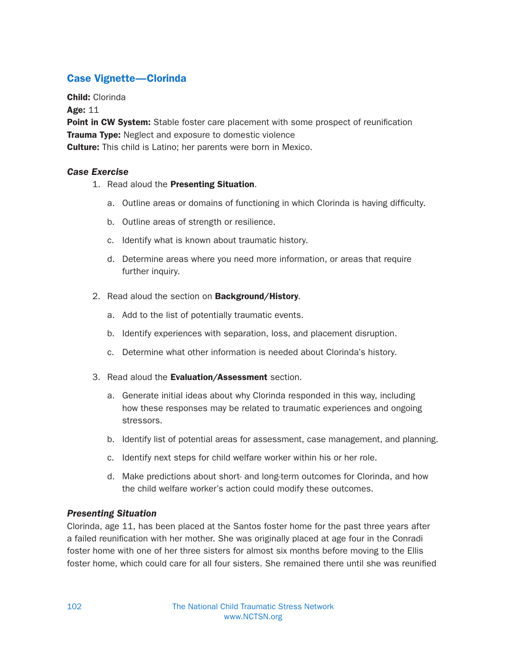## Case Vignette—Clorinda

Child: Clorinda

Age: 11

Point in CW System: Stable foster care placement with some prospect of reunification **Trauma Type:** Neglect and exposure to domestic violence **Culture:** This child is Latino; her parents were born in Mexico.

#### Case Exercise

- 1. Read aloud the Presenting Situation.
	- a. Outline areas or domains of functioning in which Clorinda is having difficulty.
	- b. Outline areas of strength or resilience.
	- c. Identify what is known about traumatic history.
	- d. Determine areas where you need more information, or areas that require further inquiry.
- 2. Read aloud the section on **Background/History**.
	- a. Add to the list of potentially traumatic events.
	- b. Identify experiences with separation, loss, and placement disruption.
	- c. Determine what other information is needed about Clorinda's history.
- 3. Read aloud the Evaluation/Assessment section.
	- a. Generate initial ideas about why Clorinda responded in this way, including how these responses may be related to traumatic experiences and ongoing stressors.
	- b. Identify list of potential areas for assessment, case management, and planning.
	- c. Identify next steps for child welfare worker within his or her role.
	- d. Make predictions about short- and long-term outcomes for Clorinda, and how the child welfare worker's action could modify these outcomes.

## Presenting Situation

Clorinda, age 11, has been placed at the Santos foster home for the past three years after a failed reunification with her mother. She was originally placed at age four in the Conradi foster home with one of her three sisters for almost six months before moving to the Ellis foster home, which could care for all four sisters. She remained there until she was reunified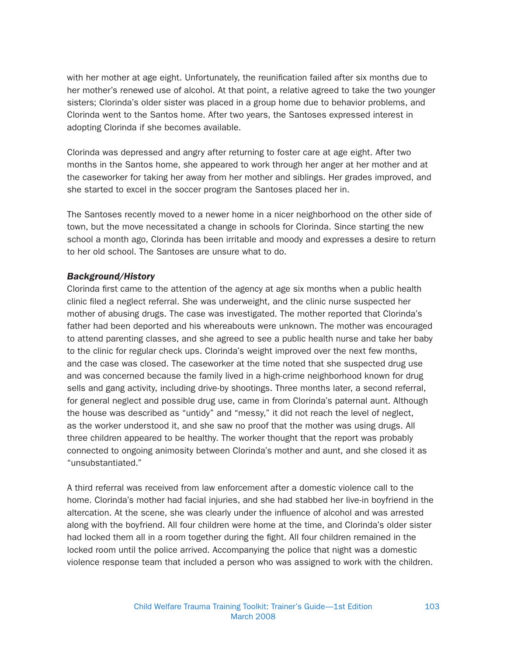with her mother at age eight. Unfortunately, the reunification failed after six months due to her mother's renewed use of alcohol. At that point, a relative agreed to take the two younger sisters; Clorinda's older sister was placed in a group home due to behavior problems, and Clorinda went to the Santos home. After two years, the Santoses expressed interest in adopting Clorinda if she becomes available.

Clorinda was depressed and angry after returning to foster care at age eight. After two months in the Santos home, she appeared to work through her anger at her mother and at the caseworker for taking her away from her mother and siblings. Her grades improved, and she started to excel in the soccer program the Santoses placed her in.

The Santoses recently moved to a newer home in a nicer neighborhood on the other side of town, but the move necessitated a change in schools for Clorinda. Since starting the new school a month ago, Clorinda has been irritable and moody and expresses a desire to return to her old school. The Santoses are unsure what to do.

#### Background/History

Clorinda first came to the attention of the agency at age six months when a public health clinic filed a neglect referral. She was underweight, and the clinic nurse suspected her mother of abusing drugs. The case was investigated. The mother reported that Clorinda's father had been deported and his whereabouts were unknown. The mother was encouraged to attend parenting classes, and she agreed to see a public health nurse and take her baby to the clinic for regular check ups. Clorinda's weight improved over the next few months, and the case was closed. The caseworker at the time noted that she suspected drug use and was concerned because the family lived in a high-crime neighborhood known for drug sells and gang activity, including drive-by shootings. Three months later, a second referral, for general neglect and possible drug use, came in from Clorinda's paternal aunt. Although the house was described as "untidy" and "messy," it did not reach the level of neglect, as the worker understood it, and she saw no proof that the mother was using drugs. All three children appeared to be healthy. The worker thought that the report was probably connected to ongoing animosity between Clorinda's mother and aunt, and she closed it as "unsubstantiated."

A third referral was received from law enforcement after a domestic violence call to the home. Clorinda's mother had facial injuries, and she had stabbed her live-in boyfriend in the altercation. At the scene, she was clearly under the influence of alcohol and was arrested along with the boyfriend. All four children were home at the time, and Clorinda's older sister had locked them all in a room together during the fight. All four children remained in the locked room until the police arrived. Accompanying the police that night was a domestic violence response team that included a person who was assigned to work with the children.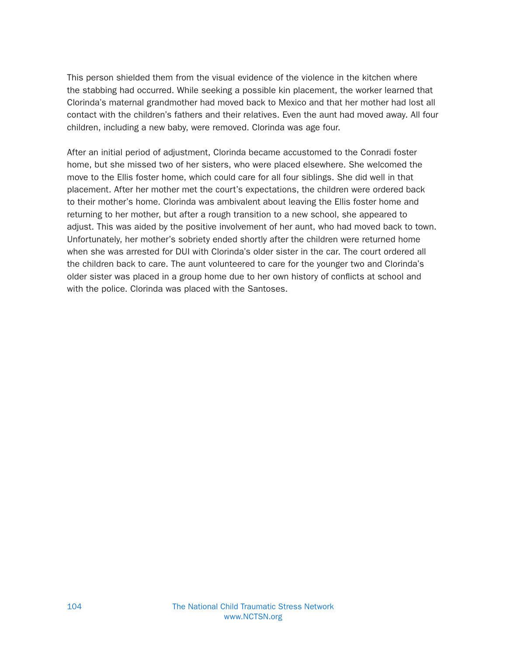This person shielded them from the visual evidence of the violence in the kitchen where the stabbing had occurred. While seeking a possible kin placement, the worker learned that Clorinda's maternal grandmother had moved back to Mexico and that her mother had lost all contact with the children's fathers and their relatives. Even the aunt had moved away. All four children, including a new baby, were removed. Clorinda was age four.

After an initial period of adjustment, Clorinda became accustomed to the Conradi foster home, but she missed two of her sisters, who were placed elsewhere. She welcomed the move to the Ellis foster home, which could care for all four siblings. She did well in that placement. After her mother met the court's expectations, the children were ordered back to their mother's home. Clorinda was ambivalent about leaving the Ellis foster home and returning to her mother, but after a rough transition to a new school, she appeared to adjust. This was aided by the positive involvement of her aunt, who had moved back to town. Unfortunately, her mother's sobriety ended shortly after the children were returned home when she was arrested for DUI with Clorinda's older sister in the car. The court ordered all the children back to care. The aunt volunteered to care for the younger two and Clorinda's older sister was placed in a group home due to her own history of conflicts at school and with the police. Clorinda was placed with the Santoses.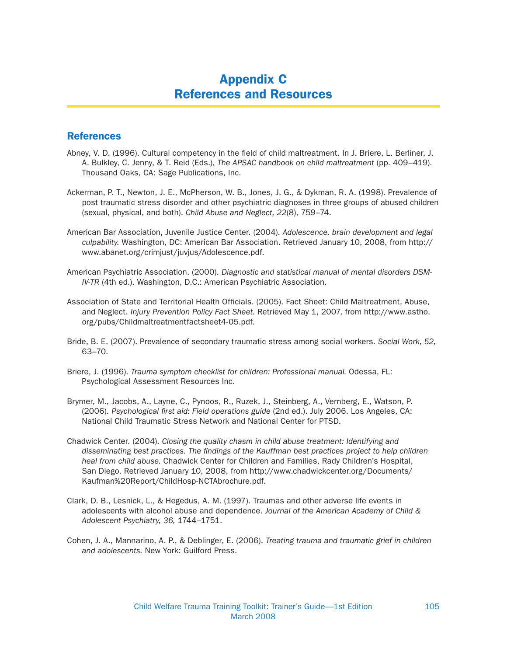## Appendix C References and Resources

### **References**

- Abney, V. D. (1996). Cultural competency in the field of child maltreatment. In J. Briere, L. Berliner, J. A. Bulkley, C. Jenny, & T. Reid (Eds.), The APSAC handbook on child maltreatment (pp. 409–419). Thousand Oaks, CA: Sage Publications, Inc.
- Ackerman, P. T., Newton, J. E., McPherson, W. B., Jones, J. G., & Dykman, R. A. (1998). Prevalence of post traumatic stress disorder and other psychiatric diagnoses in three groups of abused children (sexual, physical, and both). Child Abuse and Neglect, 22(8), 759–74.
- American Bar Association, Juvenile Justice Center. (2004). Adolescence, brain development and legal culpability. Washington, DC: American Bar Association. Retrieved January 10, 2008, from http:// www.abanet.org/crimjust/juvjus/Adolescence.pdf.
- American Psychiatric Association. (2000). Diagnostic and statistical manual of mental disorders DSM-IV-TR (4th ed.). Washington, D.C.: American Psychiatric Association.
- Association of State and Territorial Health Officials. (2005). Fact Sheet: Child Maltreatment, Abuse, and Neglect. Injury Prevention Policy Fact Sheet. Retrieved May 1, 2007, from http://www.astho. org/pubs/Childmaltreatmentfactsheet4-05.pdf.
- Bride, B. E. (2007). Prevalence of secondary traumatic stress among social workers. Social Work, 52, 63–70.
- Briere, J. (1996). Trauma symptom checklist for children: Professional manual. Odessa, FL: Psychological Assessment Resources Inc.
- Brymer, M., Jacobs, A., Layne, C., Pynoos, R., Ruzek, J., Steinberg, A., Vernberg, E., Watson, P. (2006). Psychological first aid: Field operations guide (2nd ed.). July 2006. Los Angeles, CA: National Child Traumatic Stress Network and National Center for PTSD.
- Chadwick Center. (2004). Closing the quality chasm in child abuse treatment: Identifying and disseminating best practices. The findings of the Kauffman best practices project to help children heal from child abuse. Chadwick Center for Children and Families, Rady Children's Hospital, San Diego. Retrieved January 10, 2008, from http://www.chadwickcenter.org/Documents/ Kaufman%20Report/ChildHosp-NCTAbrochure.pdf.
- Clark, D. B., Lesnick, L., & Hegedus, A. M. (1997). Traumas and other adverse life events in adolescents with alcohol abuse and dependence. Journal of the American Academy of Child & Adolescent Psychiatry, 36, 1744–1751.
- Cohen, J. A., Mannarino, A. P., & Deblinger, E. (2006). Treating trauma and traumatic grief in children and adolescents. New York: Guilford Press.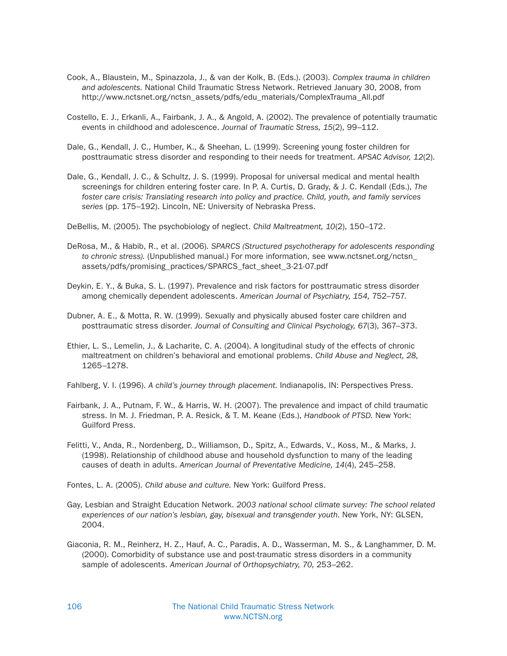- Cook, A., Blaustein, M., Spinazzola, J., & van der Kolk, B. (Eds.). (2003). Complex trauma in children and adolescents. National Child Traumatic Stress Network. Retrieved January 30, 2008, from http://www.nctsnet.org/nctsn\_assets/pdfs/edu\_materials/ComplexTrauma\_All.pdf
- Costello, E. J., Erkanli, A., Fairbank, J. A., & Angold, A. (2002). The prevalence of potentially traumatic events in childhood and adolescence. Journal of Traumatic Stress, 15(2), 99–112.
- Dale, G., Kendall, J. C., Humber, K., & Sheehan, L. (1999). Screening young foster children for posttraumatic stress disorder and responding to their needs for treatment. APSAC Advisor, 12(2).
- Dale, G., Kendall, J. C., & Schultz, J. S. (1999). Proposal for universal medical and mental health screenings for children entering foster care. In P. A. Curtis, D. Grady, & J. C. Kendall (Eds.), The foster care crisis: Translating research into policy and practice. Child, youth, and family services series (pp. 175–192). Lincoln, NE: University of Nebraska Press.
- DeBellis, M. (2005). The psychobiology of neglect. Child Maltreatment, 10(2), 150–172.
- DeRosa, M., & Habib, R., et al. (2006). SPARCS (Structured psychotherapy for adolescents responding to chronic stress). (Unpublished manual.) For more information, see www.nctsnet.org/nctsn\_ assets/pdfs/promising\_practices/SPARCS\_fact\_sheet\_3-21-07.pdf
- Deykin, E. Y., & Buka, S. L. (1997). Prevalence and risk factors for posttraumatic stress disorder among chemically dependent adolescents. American Journal of Psychiatry, 154, 752–757.
- Dubner, A. E., & Motta, R. W. (1999). Sexually and physically abused foster care children and posttraumatic stress disorder. Journal of Consulting and Clinical Psychology, 67(3), 367–373.
- Ethier, L. S., Lemelin, J., & Lacharite, C. A. (2004). A longitudinal study of the effects of chronic maltreatment on children's behavioral and emotional problems. Child Abuse and Neglect, 28, 1265–1278.
- Fahlberg, V. I. (1996). A child's journey through placement. Indianapolis, IN: Perspectives Press.
- Fairbank, J. A., Putnam, F. W., & Harris, W. H. (2007). The prevalence and impact of child traumatic stress. In M. J. Friedman, P. A. Resick, & T. M. Keane (Eds.), Handbook of PTSD. New York: Guilford Press.
- Felitti, V., Anda, R., Nordenberg, D., Williamson, D., Spitz, A., Edwards, V., Koss, M., & Marks, J. (1998). Relationship of childhood abuse and household dysfunction to many of the leading causes of death in adults. American Journal of Preventative Medicine, 14(4), 245–258.
- Fontes, L. A. (2005). Child abuse and culture. New York: Guilford Press.
- Gay, Lesbian and Straight Education Network. 2003 national school climate survey: The school related experiences of our nation's lesbian, gay, bisexual and transgender youth. New York, NY: GLSEN, 2004.
- Giaconia, R. M., Reinherz, H. Z., Hauf, A. C., Paradis, A. D., Wasserman, M. S., & Langhammer, D. M. (2000). Comorbidity of substance use and post-traumatic stress disorders in a community sample of adolescents. American Journal of Orthopsychiatry, 70, 253–262.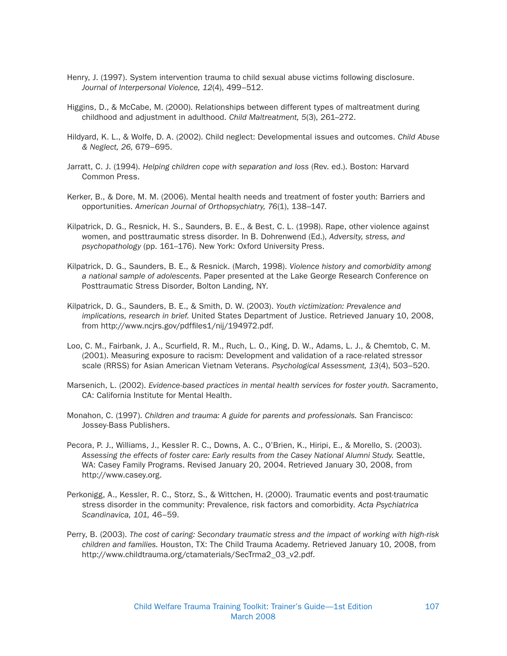- Henry, J. (1997). System intervention trauma to child sexual abuse victims following disclosure. Journal of Interpersonal Violence, 12(4), 499–512.
- Higgins, D., & McCabe, M. (2000). Relationships between different types of maltreatment during childhood and adjustment in adulthood. Child Maltreatment, 5(3), 261–272.
- Hildyard, K. L., & Wolfe, D. A. (2002). Child neglect: Developmental issues and outcomes. Child Abuse & Neglect, 26, 679–695.
- Jarratt, C. J. (1994). Helping children cope with separation and loss (Rev. ed.). Boston: Harvard Common Press.
- Kerker, B., & Dore, M. M. (2006). Mental health needs and treatment of foster youth: Barriers and opportunities. American Journal of Orthopsychiatry, 76(1), 138–147.
- Kilpatrick, D. G., Resnick, H. S., Saunders, B. E., & Best, C. L. (1998). Rape, other violence against women, and posttraumatic stress disorder. In B. Dohrenwend (Ed.), Adversity, stress, and psychopathology (pp. 161–176). New York: Oxford University Press.
- Kilpatrick, D. G., Saunders, B. E., & Resnick. (March, 1998). Violence history and comorbidity among a national sample of adolescents. Paper presented at the Lake George Research Conference on Posttraumatic Stress Disorder, Bolton Landing, NY.
- Kilpatrick, D. G., Saunders, B. E., & Smith, D. W. (2003). Youth victimization: Prevalence and implications, research in brief. United States Department of Justice. Retrieved January 10, 2008, from http://www.ncjrs.gov/pdffiles1/nij/194972.pdf.
- Loo, C. M., Fairbank, J. A., Scurfield, R. M., Ruch, L. O., King, D. W., Adams, L. J., & Chemtob, C. M. (2001). Measuring exposure to racism: Development and validation of a race-related stressor scale (RRSS) for Asian American Vietnam Veterans. Psychological Assessment, 13(4), 503–520.
- Marsenich, L. (2002). Evidence-based practices in mental health services for foster youth. Sacramento, CA: California Institute for Mental Health.
- Monahon, C. (1997). Children and trauma: A guide for parents and professionals. San Francisco: Jossey-Bass Publishers.
- Pecora, P. J., Williams, J., Kessler R. C., Downs, A. C., O'Brien, K., Hiripi, E., & Morello, S. (2003). Assessing the effects of foster care: Early results from the Casey National Alumni Study. Seattle, WA: Casey Family Programs. Revised January 20, 2004. Retrieved January 30, 2008, from http://www.casey.org.
- Perkonigg, A., Kessler, R. C., Storz, S., & Wittchen, H. (2000). Traumatic events and post-traumatic stress disorder in the community: Prevalence, risk factors and comorbidity. Acta Psychiatrica Scandinavica, 101, 46–59.
- Perry, B. (2003). The cost of caring: Secondary traumatic stress and the impact of working with high-risk children and families. Houston, TX: The Child Trauma Academy. Retrieved January 10, 2008, from http://www.childtrauma.org/ctamaterials/SecTrma2\_03\_v2.pdf.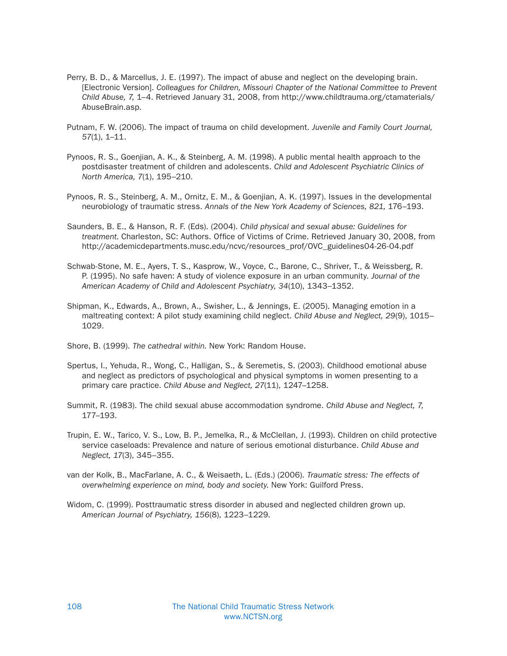- Perry, B. D., & Marcellus, J. E. (1997). The impact of abuse and neglect on the developing brain. [Electronic Version]. Colleagues for Children, Missouri Chapter of the National Committee to Prevent Child Abuse, 7, 1–4. Retrieved January 31, 2008, from http://www.childtrauma.org/ctamaterials/ AbuseBrain.asp.
- Putnam, F. W. (2006). The impact of trauma on child development. Juvenile and Family Court Journal, 57(1), 1–11.
- Pynoos, R. S., Goenjian, A. K., & Steinberg, A. M. (1998). A public mental health approach to the postdisaster treatment of children and adolescents. Child and Adolescent Psychiatric Clinics of North America, 7(1), 195–210.
- Pynoos, R. S., Steinberg, A. M., Ornitz, E. M., & Goenjian, A. K. (1997). Issues in the developmental neurobiology of traumatic stress. Annals of the New York Academy of Sciences, 821, 176–193.
- Saunders, B. E., & Hanson, R. F. (Eds). (2004). Child physical and sexual abuse: Guidelines for treatment. Charleston, SC: Authors. Office of Victims of Crime. Retrieved January 30, 2008, from http://academicdepartments.musc.edu/ncvc/resources\_prof/OVC\_guidelines04-26-04.pdf
- Schwab-Stone, M. E., Ayers, T. S., Kasprow, W., Voyce, C., Barone, C., Shriver, T., & Weissberg, R. P. (1995). No safe haven: A study of violence exposure in an urban community. Journal of the American Academy of Child and Adolescent Psychiatry, 34(10), 1343–1352.
- Shipman, K., Edwards, A., Brown, A., Swisher, L., & Jennings, E. (2005). Managing emotion in a maltreating context: A pilot study examining child neglect. Child Abuse and Neglect, 29(9), 1015– 1029.
- Shore, B. (1999). The cathedral within. New York: Random House.
- Spertus, I., Yehuda, R., Wong, C., Halligan, S., & Seremetis, S. (2003). Childhood emotional abuse and neglect as predictors of psychological and physical symptoms in women presenting to a primary care practice. Child Abuse and Neglect, 27(11), 1247–1258.
- Summit, R. (1983). The child sexual abuse accommodation syndrome. Child Abuse and Neglect, 7, 177–193.
- Trupin, E. W., Tarico, V. S., Low, B. P., Jemelka, R., & McClellan, J. (1993). Children on child protective service caseloads: Prevalence and nature of serious emotional disturbance. Child Abuse and Neglect, 17(3), 345–355.
- van der Kolk, B., MacFarlane, A. C., & Weisaeth, L. (Eds.) (2006). Traumatic stress: The effects of overwhelming experience on mind, body and society. New York: Guilford Press.
- Widom, C. (1999). Posttraumatic stress disorder in abused and neglected children grown up. American Journal of Psychiatry, 156(8), 1223–1229.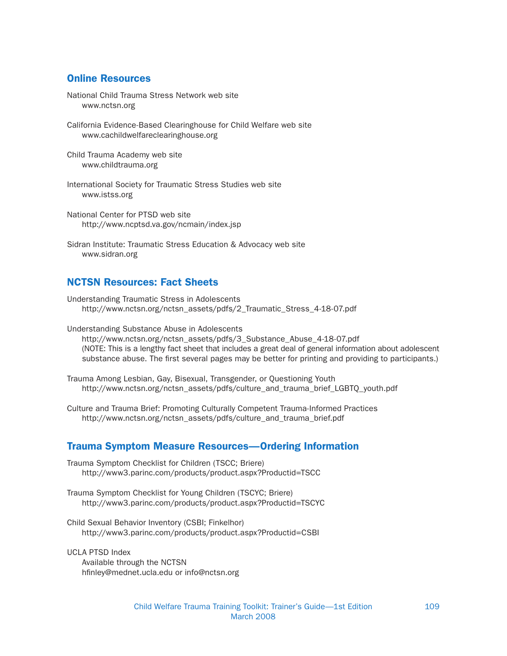## Online Resources

National Child Trauma Stress Network web site www.nctsn.org

California Evidence-Based Clearinghouse for Child Welfare web site www.cachildwelfareclearinghouse.org

Child Trauma Academy web site www.childtrauma.org

International Society for Traumatic Stress Studies web site www.istss.org

National Center for PTSD web site http://www.ncptsd.va.gov/ncmain/index.jsp

Sidran Institute: Traumatic Stress Education & Advocacy web site www.sidran.org

## NCTSN Resources: Fact Sheets

Understanding Traumatic Stress in Adolescents http://www.nctsn.org/nctsn\_assets/pdfs/2\_Traumatic\_Stress\_4-18-07.pdf

Understanding Substance Abuse in Adolescents http://www.nctsn.org/nctsn\_assets/pdfs/3\_Substance\_Abuse\_4-18-07.pdf (NOTE: This is a lengthy fact sheet that includes a great deal of general information about adolescent substance abuse. The first several pages may be better for printing and providing to participants.)

Trauma Among Lesbian, Gay, Bisexual, Transgender, or Questioning Youth http://www.nctsn.org/nctsn\_assets/pdfs/culture\_and\_trauma\_brief\_LGBTQ\_youth.pdf

Culture and Trauma Brief: Promoting Culturally Competent Trauma-Informed Practices http://www.nctsn.org/nctsn\_assets/pdfs/culture\_and\_trauma\_brief.pdf

#### Trauma Symptom Measure Resources—Ordering Information

Trauma Symptom Checklist for Children (TSCC; Briere) http://www3.parinc.com/products/product.aspx?Productid=TSCC

Trauma Symptom Checklist for Young Children (TSCYC; Briere) http://www3.parinc.com/products/product.aspx?Productid=TSCYC

Child Sexual Behavior Inventory (CSBI; Finkelhor) http://www3.parinc.com/products/product.aspx?Productid=CSBI

UCLA PTSD Index Available through the NCTSN hfinley@mednet.ucla.edu or info@nctsn.org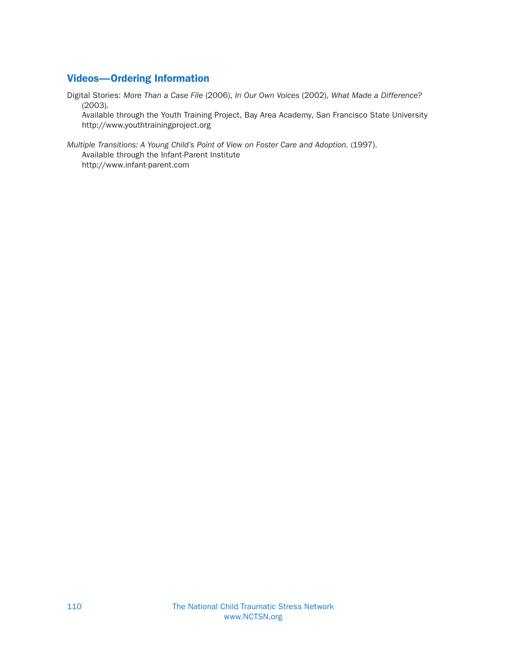# Videos—Ordering Information

Digital Stories: More Than a Case File (2006), In Our Own Voices (2002), What Made a Difference? (2003).

Available through the Youth Training Project, Bay Area Academy, San Francisco State University http://www.youthtrainingproject.org

Multiple Transitions: A Young Child's Point of View on Foster Care and Adoption. (1997). Available through the Infant-Parent Institute http://www.infant-parent.com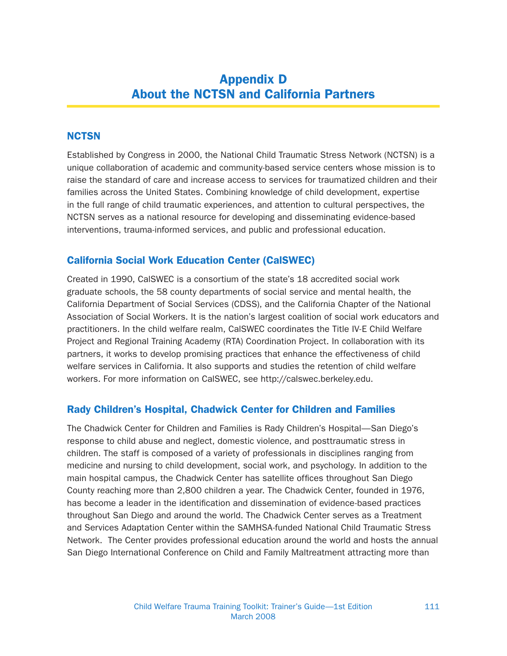# Appendix D About the NCTSN and California Partners

## **NCTSN**

Established by Congress in 2000, the National Child Traumatic Stress Network (NCTSN) is a unique collaboration of academic and community-based service centers whose mission is to raise the standard of care and increase access to services for traumatized children and their families across the United States. Combining knowledge of child development, expertise in the full range of child traumatic experiences, and attention to cultural perspectives, the NCTSN serves as a national resource for developing and disseminating evidence-based interventions, trauma-informed services, and public and professional education.

## California Social Work Education Center (CalSWEC)

Created in 1990, CalSWEC is a consortium of the state's 18 accredited social work graduate schools, the 58 county departments of social service and mental health, the California Department of Social Services (CDSS), and the California Chapter of the National Association of Social Workers. It is the nation's largest coalition of social work educators and practitioners. In the child welfare realm, CalSWEC coordinates the Title IV-E Child Welfare Project and Regional Training Academy (RTA) Coordination Project. In collaboration with its partners, it works to develop promising practices that enhance the effectiveness of child welfare services in California. It also supports and studies the retention of child welfare workers. For more information on CalSWEC, see http://calswec.berkeley.edu.

#### Rady Children's Hospital, Chadwick Center for Children and Families

The Chadwick Center for Children and Families is Rady Children's Hospital—San Diego's response to child abuse and neglect, domestic violence, and posttraumatic stress in children. The staff is composed of a variety of professionals in disciplines ranging from medicine and nursing to child development, social work, and psychology. In addition to the main hospital campus, the Chadwick Center has satellite offices throughout San Diego County reaching more than 2,800 children a year. The Chadwick Center, founded in 1976, has become a leader in the identification and dissemination of evidence-based practices throughout San Diego and around the world. The Chadwick Center serves as a Treatment and Services Adaptation Center within the SAMHSA-funded National Child Traumatic Stress Network. The Center provides professional education around the world and hosts the annual San Diego International Conference on Child and Family Maltreatment attracting more than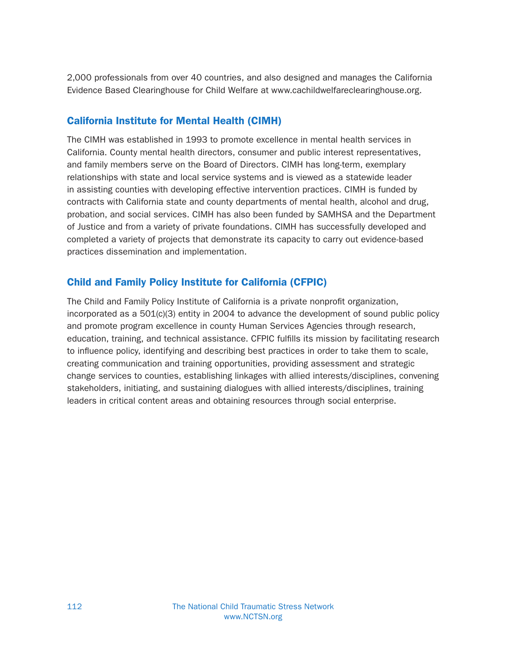2,000 professionals from over 40 countries, and also designed and manages the California Evidence Based Clearinghouse for Child Welfare at www.cachildwelfareclearinghouse.org.

# California Institute for Mental Health (CIMH)

The CIMH was established in 1993 to promote excellence in mental health services in California. County mental health directors, consumer and public interest representatives, and family members serve on the Board of Directors. CIMH has long-term, exemplary relationships with state and local service systems and is viewed as a statewide leader in assisting counties with developing effective intervention practices. CIMH is funded by contracts with California state and county departments of mental health, alcohol and drug, probation, and social services. CIMH has also been funded by SAMHSA and the Department of Justice and from a variety of private foundations. CIMH has successfully developed and completed a variety of projects that demonstrate its capacity to carry out evidence-based practices dissemination and implementation.

# Child and Family Policy Institute for California (CFPIC)

The Child and Family Policy Institute of California is a private nonprofit organization, incorporated as a 501(c)(3) entity in 2004 to advance the development of sound public policy and promote program excellence in county Human Services Agencies through research, education, training, and technical assistance. CFPIC fulfills its mission by facilitating research to influence policy, identifying and describing best practices in order to take them to scale, creating communication and training opportunities, providing assessment and strategic change services to counties, establishing linkages with allied interests/disciplines, convening stakeholders, initiating, and sustaining dialogues with allied interests/disciplines, training leaders in critical content areas and obtaining resources through social enterprise.